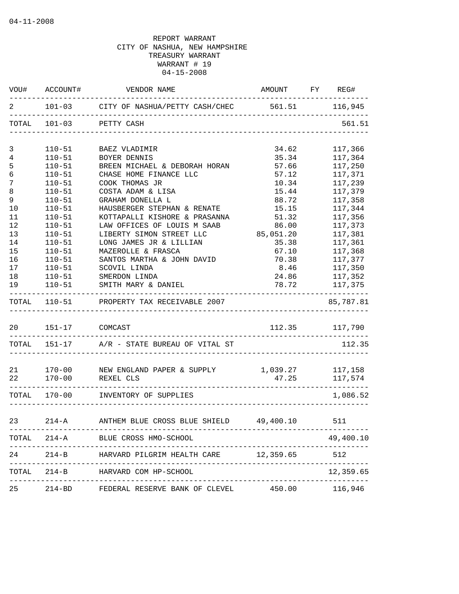|                |                | VOU# ACCOUNT# VENDOR NAME                                                  | AMOUNT FY REG#                    |                |
|----------------|----------------|----------------------------------------------------------------------------|-----------------------------------|----------------|
| 2              |                | 101-03 CITY OF NASHUA/PETTY CASH/CHEC 561.51 116,945                       |                                   |                |
|                | TOTAL 101-03   | PETTY CASH                                                                 | <u>Liste de l'especielle de l</u> | 561.51         |
| 3              | $110 - 51$     | BAEZ VLADIMIR                                                              | 34.62                             | 117,366        |
| $\overline{4}$ | $110 - 51$     | BOYER DENNIS                                                               | 35.34                             | 117,364        |
| 5              | $110 - 51$     | BREEN MICHAEL & DEBORAH HORAN                                              | 57.66                             | 117,250        |
| $\epsilon$     | $110 - 51$     | CHASE HOME FINANCE LLC                                                     | 57.12                             | 117,371        |
| $\overline{7}$ | $110 - 51$     | COOK THOMAS JR                                                             | 10.34                             | 117,239        |
| 8              | $110 - 51$     | COSTA ADAM & LISA                                                          | 15.44                             | 117,379        |
| 9              | $110 - 51$     | GRAHAM DONELLA L                                                           | 88.72                             | 117,358        |
| 10             | $110 - 51$     | HAUSBERGER STEPHAN & RENATE                                                | 15.15                             | 117,344        |
| 11             | $110 - 51$     | KOTTAPALLI KISHORE & PRASANNA                                              | 51.32                             | 117,356        |
| 12             | $110 - 51$     | LAW OFFICES OF LOUIS M SAAB                                                | 86.00                             | 117,373        |
| 13             | $110 - 51$     | LIBERTY SIMON STREET LLC                                                   | 85,051.20                         | 117,381        |
| 14             | $110 - 51$     | LONG JAMES JR & LILLIAN                                                    | 35.38                             | 117,361        |
| 15             | $110 - 51$     | MAZEROLLE & FRASCA                                                         | 67.10                             | 117,368        |
| 16             | $110 - 51$     | SANTOS MARTHA & JOHN DAVID                                                 | 70.38                             | 117,377        |
| 17             | $110 - 51$     | SCOVIL LINDA                                                               | 8.46                              | 117,350        |
| 18             | $110 - 51$     | SMERDON LINDA                                                              | 24.86                             | 117,352        |
| 19             |                | 110-51 SMITH MARY & DANIEL                                                 |                                   | 78.72 117,375  |
|                |                | TOTAL 110-51 PROPERTY TAX RECEIVABLE 2007<br>_____________________________ |                                   | 85,787.81      |
| 20             | 151-17 COMCAST |                                                                            |                                   | 112.35 117,790 |
|                |                | TOTAL 151-17 A/R - STATE BUREAU OF VITAL ST                                |                                   | 112.35         |
|                |                |                                                                            |                                   |                |
| 21<br>22       |                | 170-00 NEW ENGLAND PAPER & SUPPLY<br>170-00 REXEL CLS                      | 1,039.27 117,158<br>47.25         | 117,574        |
|                |                |                                                                            | --------------------------------- |                |
|                |                | TOTAL 170-00 INVENTORY OF SUPPLIES                                         |                                   | 1,086.52       |
| 23             |                | 214-A MITHEM BLUE CROSS BLUE SHIELD 49,400.10                              |                                   | 511            |
|                |                | TOTAL 214-A BLUE CROSS HMO-SCHOOL                                          |                                   | 49,400.10      |
| 24             | -----------    | 214-B HARVARD PILGRIM HEALTH CARE 12,359.65                                | . <u>.</u>                        | 512            |
|                |                | TOTAL 214-B HARVARD COM HP-SCHOOL                                          |                                   | 12,359.65      |
| 25             |                | 214-BD FEDERAL RESERVE BANK OF CLEVEL 450.00 116,946                       |                                   |                |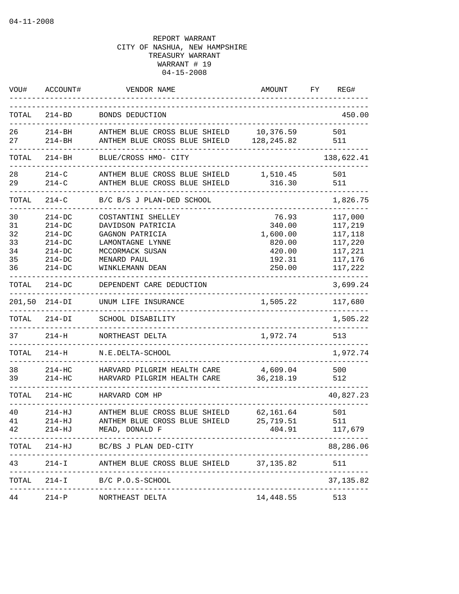| WOU#                                   | ACCOUNT#                                                                             | VENDOR NAME                                                                                                                         | AMOUNT                                                              | FY | REG#                                                                      |
|----------------------------------------|--------------------------------------------------------------------------------------|-------------------------------------------------------------------------------------------------------------------------------------|---------------------------------------------------------------------|----|---------------------------------------------------------------------------|
| TOTAL                                  | $214 - BD$                                                                           | BONDS DEDUCTION                                                                                                                     |                                                                     |    | 450.00                                                                    |
| 26<br>27                               | $214 - BH$<br>$214 - BH$                                                             | ANTHEM BLUE CROSS BLUE SHIELD<br>ANTHEM BLUE CROSS BLUE SHIELD                                                                      | 10,376.59<br>128, 245.82                                            |    | 501<br>511                                                                |
| TOTAL                                  | $214 - BH$                                                                           | BLUE/CROSS HMO- CITY                                                                                                                |                                                                     |    | 138,622.41                                                                |
| 28<br>29                               | $214 - C$<br>$214 - C$                                                               | ANTHEM BLUE CROSS BLUE SHIELD<br>ANTHEM BLUE CROSS BLUE SHIELD                                                                      | 1,510.45<br>316.30                                                  |    | 501<br>511                                                                |
| TOTAL                                  | $214 - C$                                                                            | B/C B/S J PLAN-DED SCHOOL                                                                                                           |                                                                     |    | 1,826.75                                                                  |
| 30<br>31<br>32<br>33<br>34<br>35<br>36 | $214 - DC$<br>$214 - DC$<br>$214-DC$<br>$214-DC$<br>$214-DC$<br>$214-DC$<br>$214-DC$ | COSTANTINI SHELLEY<br>DAVIDSON PATRICIA<br>GAGNON PATRICIA<br>LAMONTAGNE LYNNE<br>MCCORMACK SUSAN<br>MENARD PAUL<br>WINKLEMANN DEAN | 76.93<br>340.00<br>1,600.00<br>820.00<br>420.00<br>192.31<br>250.00 |    | 117,000<br>117,219<br>117,118<br>117,220<br>117,221<br>117,176<br>117,222 |
| TOTAL                                  | $214-DC$                                                                             | DEPENDENT CARE DEDUCTION                                                                                                            |                                                                     |    | 3,699.24                                                                  |
| 201,50                                 | $214-DI$                                                                             | UNUM LIFE INSURANCE                                                                                                                 | 1,505.22                                                            |    | 117,680                                                                   |
| TOTAL                                  | $214-DI$                                                                             | SCHOOL DISABILITY                                                                                                                   |                                                                     |    | 1,505.22                                                                  |
| 37                                     | $214-H$                                                                              | NORTHEAST DELTA<br>_____________________                                                                                            | 1,972.74                                                            |    | 513                                                                       |
| TOTAL                                  | $214-H$                                                                              | N.E.DELTA-SCHOOL                                                                                                                    |                                                                     |    | 1,972.74                                                                  |
| 38<br>39                               | $214 - HC$<br>$214-HC$                                                               | HARVARD PILGRIM HEALTH CARE<br>HARVARD PILGRIM HEALTH CARE                                                                          | 4,609.04<br>36, 218.19                                              |    | 500<br>512                                                                |
| TOTAL                                  | $214 - HC$                                                                           | HARVARD COM HP                                                                                                                      |                                                                     |    | 40,827.23                                                                 |
| 40<br>41<br>42                         | $214 - HJ$<br>214-HJ<br>214-HJ                                                       | ANTHEM BLUE CROSS BLUE SHIELD<br>ANTHEM BLUE CROSS BLUE SHIELD<br>MEAD, DONALD F<br>---------------------                           | 62,161.64<br>25,719.51<br>404.91                                    |    | 501<br>511<br>117,679                                                     |
|                                        |                                                                                      | TOTAL 214-HJ BC/BS J PLAN DED-CITY                                                                                                  |                                                                     |    | 88,286.06                                                                 |
| 43                                     |                                                                                      | 214-I ANTHEM BLUE CROSS BLUE SHIELD 37,135.82                                                                                       |                                                                     |    | 511                                                                       |
| TOTAL                                  |                                                                                      | 214-I B/C P.O.S-SCHOOL                                                                                                              | -----------------------------------                                 |    | 37, 135.82                                                                |
| 44                                     |                                                                                      | 214-P NORTHEAST DELTA                                                                                                               | 14,448.55                                                           |    | 513                                                                       |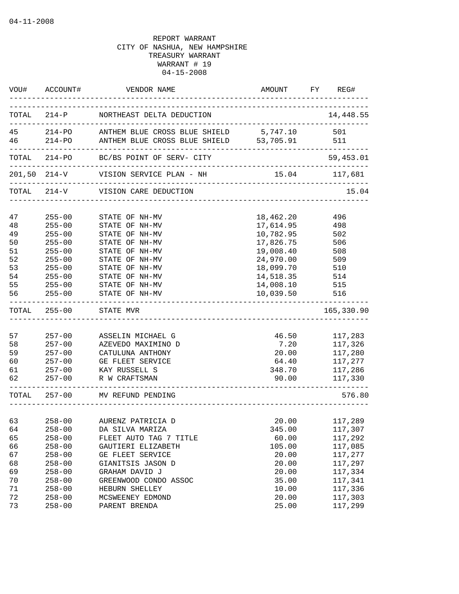|                                                    | VOU# ACCOUNT#                                                                                                | VENDOR NAME                                                                                                                                                                                       | AMOUNT                                                                          | FY REG#                                                                                         |
|----------------------------------------------------|--------------------------------------------------------------------------------------------------------------|---------------------------------------------------------------------------------------------------------------------------------------------------------------------------------------------------|---------------------------------------------------------------------------------|-------------------------------------------------------------------------------------------------|
|                                                    |                                                                                                              | TOTAL 214-P NORTHEAST DELTA DEDUCTION                                                                                                                                                             |                                                                                 | 14,448.55                                                                                       |
|                                                    |                                                                                                              | 45 214-PO ANTHEM BLUE CROSS BLUE SHIELD 5,747.10 501<br>46 214-PO ANTHEM BLUE CROSS BLUE SHIELD 53,705.91 511                                                                                     |                                                                                 |                                                                                                 |
|                                                    |                                                                                                              | TOTAL 214-PO BC/BS POINT OF SERV- CITY                                                                                                                                                            |                                                                                 | 59,453.01                                                                                       |
|                                                    |                                                                                                              | 201,50 214-V VISION SERVICE PLAN - NH                                                                                                                                                             |                                                                                 | 15.04    117,681                                                                                |
|                                                    |                                                                                                              | TOTAL 214-V VISION CARE DEDUCTION                                                                                                                                                                 |                                                                                 | 15.04                                                                                           |
| 47<br>48<br>49<br>50<br>51                         | $255 - 00$<br>$255 - 00$<br>$255 - 00$<br>$255 - 00$<br>$255 - 00$                                           | STATE OF NH-MV<br>STATE OF NH-MV<br>STATE OF NH-MV<br>STATE OF NH-MV<br>STATE OF NH-MV                                                                                                            | 18,462.20<br>17,614.95<br>10,782.95<br>17,826.75<br>19,008.40                   | 496<br>498<br>502<br>506<br>508                                                                 |
| 52<br>53<br>54<br>55<br>56                         | $255 - 00$<br>$255 - 00$<br>$255 - 00$<br>$255 - 00$<br>$255 - 00$                                           | STATE OF NH-MV<br>STATE OF NH-MV<br>STATE OF NH-MV<br>STATE OF NH-MV<br>STATE OF NH-MV                                                                                                            | 24,970.00<br>18,099.70<br>14,518.35<br>14,008.10<br>10,039.50                   | 509<br>510<br>514<br>515<br>516                                                                 |
|                                                    | TOTAL 255-00                                                                                                 | STATE MVR                                                                                                                                                                                         |                                                                                 | 165,330.90                                                                                      |
| 57<br>58<br>59<br>60<br>61<br>62                   | $257 - 00$<br>$257 - 00$<br>$257 - 00$<br>$257 - 00$<br>$257 - 00$                                           | ASSELIN MICHAEL G<br>AZEVEDO MAXIMINO D<br>CATULUNA ANTHONY<br>GE FLEET SERVICE<br>KAY RUSSELL S<br>257-00 R W CRAFTSMAN                                                                          | 46.50<br>7.20<br>20.00<br>64.40<br>348.70<br>90.00                              | 117,283<br>117,326<br>117,280<br>117,277<br>117,286<br>117,330                                  |
|                                                    |                                                                                                              | TOTAL 257-00 MV REFUND PENDING                                                                                                                                                                    |                                                                                 | 576.80                                                                                          |
| 63<br>64<br>65<br>66<br>67<br>68<br>69<br>70<br>71 | $258 - 00$<br>$258 - 00$<br>$258 - 00$<br>$258 - 00$<br>$258 - 00$<br>$258 - 00$<br>$258 - 00$<br>$258 - 00$ | 258-00 AURENZ PATRICIA D<br>DA SILVA MARIZA<br>FLEET AUTO TAG 7 TITLE<br>GAUTIERI ELIZABETH<br>GE FLEET SERVICE<br>GIANITSIS JASON D<br>GRAHAM DAVID J<br>GREENWOOD CONDO ASSOC<br>HEBURN SHELLEY | 20.00<br>345.00<br>60.00<br>105.00<br>20.00<br>20.00<br>20.00<br>35.00<br>10.00 | 117,289<br>117,307<br>117,292<br>117,085<br>117,277<br>117,297<br>117,334<br>117,341<br>117,336 |
| 72<br>73                                           | $258 - 00$<br>$258 - 00$                                                                                     | MCSWEENEY EDMOND<br>PARENT BRENDA                                                                                                                                                                 | 20.00<br>25.00                                                                  | 117,303<br>117,299                                                                              |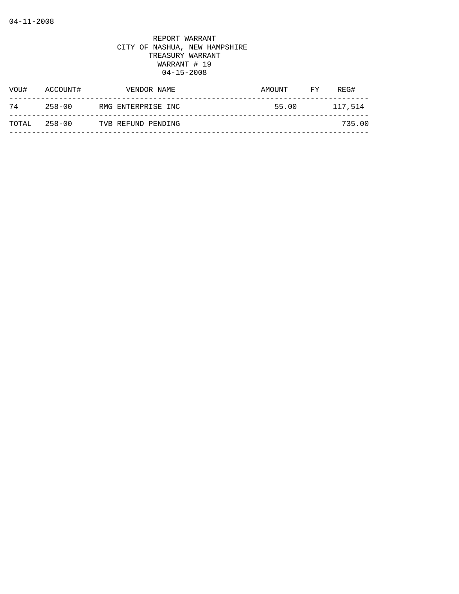| VOU#  | ACCOUNT#   | VENDOR NAME        | AMOUNT | FY. | REG#    |
|-------|------------|--------------------|--------|-----|---------|
| 74    | $258 - 00$ | RMG ENTERPRISE INC | 55.00  |     | 117,514 |
| TOTAL | 258-00     | TVB REFUND PENDING |        |     | 735.00  |
|       |            |                    |        |     |         |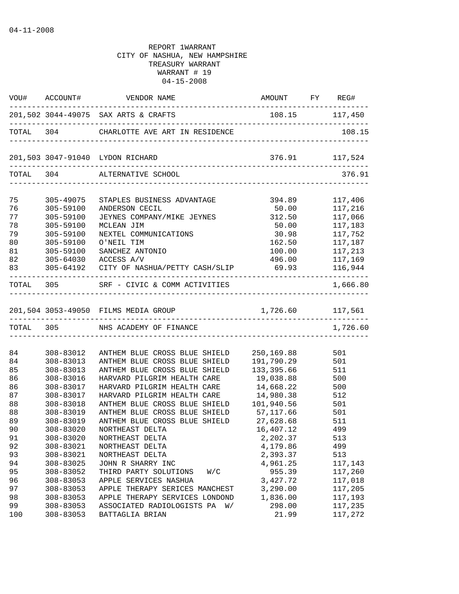|     |           | VOU# ACCOUNT# VENDOR NAME                                        | AMOUNT FY REG#   |                   |
|-----|-----------|------------------------------------------------------------------|------------------|-------------------|
|     |           | 201,502 3044-49075 SAX ARTS & CRAFTS                             | 108.15 117,450   |                   |
|     |           | TOTAL 304 CHARLOTTE AVE ART IN RESIDENCE                         |                  | 108.15            |
|     |           |                                                                  | 376.91 117,524   |                   |
|     |           | TOTAL 304 ALTERNATIVE SCHOOL<br>-------------------------------- |                  | 376.91            |
| 75  | 305-49075 | STAPLES BUSINESS ADVANTAGE                                       | 394.89           | 117,406           |
| 76  | 305-59100 | ANDERSON CECIL                                                   | 50.00            | 117,216           |
| 77  | 305-59100 | JEYNES COMPANY/MIKE JEYNES                                       | 312.50           | 117,066           |
| 78  | 305-59100 | MCLEAN JIM                                                       | 50.00            | 117,183           |
| 79  | 305-59100 | NEXTEL COMMUNICATIONS                                            | 30.98            | 117,752           |
| 80  | 305-59100 | O'NEIL TIM                                                       | 162.50           | 117,187           |
| 81  | 305-59100 | SANCHEZ ANTONIO                                                  | 100.00           | 117,213           |
| 82  |           | 305-64030 ACCESS A/V                                             |                  | 496.00 117,169    |
| 83  |           | 305-64192 CITY OF NASHUA/PETTY CASH/SLIP 69.93 116,944           |                  | ----------------- |
|     |           | TOTAL 305 SRF - CIVIC & COMM ACTIVITIES                          |                  | 1,666.80          |
|     |           | 201,504 3053-49050 FILMS MEDIA GROUP                             | 1,726.60 117,561 |                   |
|     |           | TOTAL 305 NHS ACADEMY OF FINANCE                                 |                  | 1,726.60          |
|     |           |                                                                  |                  |                   |
| 84  | 308-83012 | ANTHEM BLUE CROSS BLUE SHIELD                                    | 250,169.88       | 501               |
| 84  | 308-83013 | ANTHEM BLUE CROSS BLUE SHIELD                                    | 191,790.29       | 501               |
| 85  | 308-83013 | ANTHEM BLUE CROSS BLUE SHIELD                                    | 133,395.66       | 511               |
| 86  | 308-83016 | HARVARD PILGRIM HEALTH CARE                                      | 19,038.88        | 500               |
| 86  | 308-83017 | HARVARD PILGRIM HEALTH CARE                                      | 14,668.22        | 500               |
| 87  | 308-83017 | HARVARD PILGRIM HEALTH CARE                                      | 14,980.38        | 512               |
| 88  | 308-83018 | ANTHEM BLUE CROSS BLUE SHIELD                                    | 101,940.56       | 501               |
| 88  | 308-83019 | ANTHEM BLUE CROSS BLUE SHIELD                                    | 57,117.66        | 501               |
| 89  | 308-83019 | ANTHEM BLUE CROSS BLUE SHIELD                                    | 27,628.68        | 511               |
| 90  | 308-83020 | NORTHEAST DELTA                                                  | 16,407.12        | 499               |
| 91  | 308-83020 | NORTHEAST DELTA                                                  | 2,202.37         | 513               |
| 92  | 308-83021 | NORTHEAST DELTA                                                  | 4,179.86         | 499               |
| 93  | 308-83021 | NORTHEAST DELTA                                                  | 2,393.37         | 513               |
| 94  | 308-83025 | JOHN R SHARRY INC                                                | 4,961.25         | 117,143           |
| 95  | 308-83052 | THIRD PARTY SOLUTIONS<br>W/C                                     | 955.39           | 117,260           |
| 96  | 308-83053 | APPLE SERVICES NASHUA                                            | 3,427.72         | 117,018           |
| 97  | 308-83053 | APPLE THERAPY SERICES MANCHEST                                   | 3,290.00         | 117,205           |
| 98  | 308-83053 | APPLE THERAPY SERVICES LONDOND                                   | 1,836.00         | 117,193           |
| 99  | 308-83053 | ASSOCIATED RADIOLOGISTS PA<br>W/                                 | 298.00           | 117,235           |
| 100 | 308-83053 | BATTAGLIA BRIAN                                                  | 21.99            | 117,272           |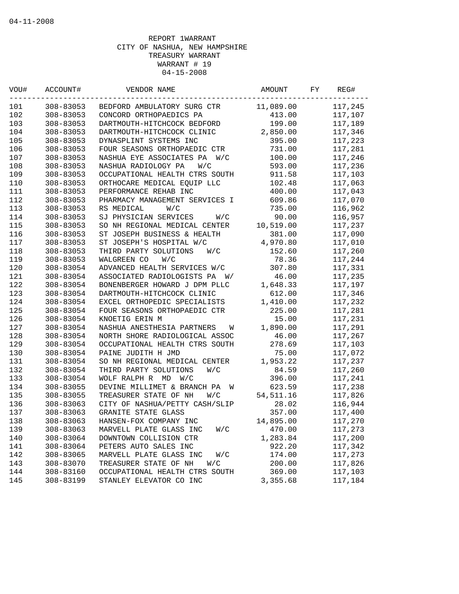| VOU# | ACCOUNT#  | VENDOR NAME                      | AMOUNT     | FY | REG#    |
|------|-----------|----------------------------------|------------|----|---------|
| 101  | 308-83053 | BEDFORD AMBULATORY SURG CTR      | 11,089.00  |    | 117,245 |
| 102  | 308-83053 | CONCORD ORTHOPAEDICS PA          | 413.00     |    | 117,107 |
| 103  | 308-83053 | DARTMOUTH-HITCHCOCK BEDFORD      | 199.00     |    | 117,189 |
| 104  | 308-83053 | DARTMOUTH-HITCHCOCK CLINIC       | 2,850.00   |    | 117,346 |
| 105  | 308-83053 | DYNASPLINT SYSTEMS INC           | 395.00     |    | 117,223 |
| 106  | 308-83053 | FOUR SEASONS ORTHOPAEDIC CTR     | 731.00     |    | 117,281 |
| 107  | 308-83053 | NASHUA EYE ASSOCIATES PA W/C     | 100.00     |    | 117,246 |
| 108  | 308-83053 | NASHUA RADIOLOGY PA<br>W/C       | 593.00     |    | 117,236 |
| 109  | 308-83053 | OCCUPATIONAL HEALTH CTRS SOUTH   | 911.58     |    | 117,103 |
| 110  | 308-83053 | ORTHOCARE MEDICAL EQUIP LLC      | 102.48     |    | 117,063 |
| 111  | 308-83053 | PERFORMANCE REHAB INC            | 400.00     |    | 117,043 |
| 112  | 308-83053 | PHARMACY MANAGEMENT SERVICES I   | 609.86     |    | 117,070 |
| 113  | 308-83053 | RS MEDICAL<br>W/C                | 735.00     |    | 116,962 |
| 114  | 308-83053 | SJ PHYSICIAN SERVICES<br>W/C     | 90.00      |    | 116,957 |
| 115  | 308-83053 | SO NH REGIONAL MEDICAL CENTER    | 10,519.00  |    | 117,237 |
| 116  | 308-83053 | ST JOSEPH BUSINESS & HEALTH      | 381.00     |    | 117,090 |
| 117  | 308-83053 | ST JOSEPH'S HOSPITAL W/C         | 4,970.80   |    | 117,010 |
| 118  | 308-83053 | THIRD PARTY SOLUTIONS<br>W/C     | 152.60     |    | 117,260 |
| 119  | 308-83053 | WALGREEN CO<br>W/C               | 78.36      |    | 117,244 |
| 120  | 308-83054 | ADVANCED HEALTH SERVICES W/C     | 307.80     |    | 117,331 |
| 121  | 308-83054 | ASSOCIATED RADIOLOGISTS PA<br>W/ | 46.00      |    | 117,235 |
| 122  | 308-83054 | BONENBERGER HOWARD J DPM PLLC    | 1,648.33   |    | 117,197 |
| 123  | 308-83054 | DARTMOUTH-HITCHCOCK CLINIC       | 612.00     |    | 117,346 |
| 124  | 308-83054 | EXCEL ORTHOPEDIC SPECIALISTS     | 1,410.00   |    | 117,232 |
| 125  | 308-83054 | FOUR SEASONS ORTHOPAEDIC CTR     | 225.00     |    | 117,281 |
| 126  | 308-83054 | KNOETIG ERIN M                   | 15.00      |    | 117,231 |
| 127  | 308-83054 | NASHUA ANESTHESIA PARTNERS<br>W  | 1,890.00   |    | 117,291 |
| 128  | 308-83054 | NORTH SHORE RADIOLOGICAL ASSOC   | 46.00      |    | 117,267 |
| 129  | 308-83054 | OCCUPATIONAL HEALTH CTRS SOUTH   | 278.69     |    | 117,103 |
| 130  | 308-83054 | PAINE JUDITH H JMD               | 75.00      |    | 117,072 |
| 131  | 308-83054 | SO NH REGIONAL MEDICAL CENTER    | 1,953.22   |    | 117,237 |
| 132  | 308-83054 | THIRD PARTY SOLUTIONS<br>W/C     | 84.59      |    | 117,260 |
| 133  | 308-83054 | WOLF RALPH R MD<br>W/C           | 396.00     |    | 117,241 |
| 134  | 308-83055 | DEVINE MILLIMET & BRANCH PA<br>W | 623.59     |    | 117,238 |
| 135  | 308-83055 | TREASURER STATE OF NH<br>W/C     | 54, 511.16 |    | 117,826 |
| 136  | 308-83063 | CITY OF NASHUA/PETTY CASH/SLIP   | 28.02      |    | 116,944 |
| 137  | 308-83063 | <b>GRANITE STATE GLASS</b>       | 357.00     |    | 117,400 |
| 138  | 308-83063 | HANSEN-FOX COMPANY INC           | 14,895.00  |    | 117,270 |
| 139  | 308-83063 | MARVELL PLATE GLASS INC<br>W/C   | 470.00     |    | 117,273 |
| 140  | 308-83064 | DOWNTOWN COLLISION CTR           | 1,283.84   |    | 117,200 |
| 141  | 308-83064 | PETERS AUTO SALES INC            | 922.20     |    | 117,342 |
| 142  | 308-83065 | MARVELL PLATE GLASS INC<br>W/C   | 174.00     |    | 117,273 |
| 143  | 308-83070 | TREASURER STATE OF NH<br>W/C     | 200.00     |    | 117,826 |
| 144  | 308-83160 | OCCUPATIONAL HEALTH CTRS SOUTH   | 369.00     |    | 117,103 |
| 145  | 308-83199 | STANLEY ELEVATOR CO INC          | 3,355.68   |    | 117,184 |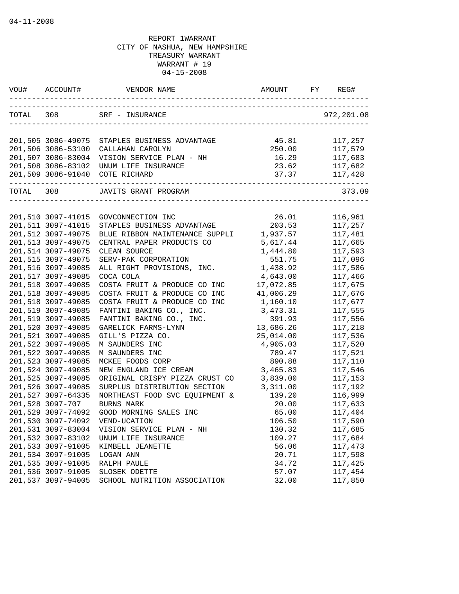| VOU#      |                                          | VENDOR NAME                                   | AMOUNT         |                    |
|-----------|------------------------------------------|-----------------------------------------------|----------------|--------------------|
|           |                                          | TOTAL 308 SRF - INSURANCE                     |                | 972,201.08         |
|           | 201,505 3086-49075                       | STAPLES BUSINESS ADVANTAGE                    | 45.81          | 117,257            |
|           | 201,506 3086-53100                       | CALLAHAN CAROLYN                              | 250.00         | 117,579            |
|           | 201,507 3086-83004                       | VISION SERVICE PLAN - NH                      | 16.29          | 117,683            |
|           | 201,508 3086-83102                       | UNUM LIFE INSURANCE                           | 23.62          | 117,682            |
|           | 201,509 3086-91040                       | COTE RICHARD                                  |                | 37.37 117,428      |
| TOTAL 308 |                                          | JAVITS GRANT PROGRAM                          |                | 373.09             |
|           | 201,510 3097-41015                       | GOVCONNECTION INC                             | 26.01          | 116,961            |
|           | 201,511 3097-41015                       | STAPLES BUSINESS ADVANTAGE                    | 203.53         | 117,257            |
|           | 201,512 3097-49075                       | BLUE RIBBON MAINTENANCE SUPPLI                | 1,937.57       | 117,481            |
|           | 201,513 3097-49075                       | CENTRAL PAPER PRODUCTS CO                     | 5,617.44       | 117,665            |
|           | 201,514 3097-49075                       | CLEAN SOURCE                                  | 1,444.80       | 117,593            |
|           | 201,515 3097-49075                       | SERV-PAK CORPORATION                          | 551.75         | 117,096            |
|           | 201,516 3097-49085                       | ALL RIGHT PROVISIONS, INC.                    | 1,438.92       | 117,586            |
|           | 201,517 3097-49085                       | COCA COLA                                     | 4,643.00       | 117,466            |
|           | 201,518 3097-49085                       | COSTA FRUIT & PRODUCE CO INC                  | 17,072.85      | 117,675            |
|           | 201,518 3097-49085                       | COSTA FRUIT & PRODUCE CO INC                  | 41,006.29      | 117,676            |
|           | 201,518 3097-49085                       | COSTA FRUIT & PRODUCE CO INC                  | 1,160.10       | 117,677            |
|           | 201,519 3097-49085                       | FANTINI BAKING CO., INC.                      | 3,473.31       | 117,555            |
|           | 201,519 3097-49085                       | FANTINI BAKING CO., INC.                      | 391.93         | 117,556            |
|           | 201,520 3097-49085                       | GARELICK FARMS-LYNN                           | 13,686.26      | 117,218            |
|           | 201,521 3097-49085                       | GILL'S PIZZA CO.                              | 25,014.00      | 117,536            |
|           | 201,522 3097-49085                       | M SAUNDERS INC                                | 4,905.03       | 117,520            |
|           | 201,522 3097-49085                       | M SAUNDERS INC                                | 789.47         | 117,521            |
|           | 201,523 3097-49085                       | MCKEE FOODS CORP                              | 890.88         | 117,110            |
|           | 201,524 3097-49085                       | NEW ENGLAND ICE CREAM                         | 3,465.83       | 117,546            |
|           | 201,525 3097-49085                       | ORIGINAL CRISPY PIZZA CRUST CO                | 3,839.00       | 117,153            |
|           | 201,526 3097-49085                       | SURPLUS DISTRIBUTION SECTION                  | 3,311.00       | 117,192            |
|           | 201,527 3097-64335                       | NORTHEAST FOOD SVC EQUIPMENT &                | 139.20         | 116,999            |
|           | 201,528 3097-707                         | BURNS MARK                                    | 20.00          | 117,633            |
|           | 201,529 3097-74092                       | GOOD MORNING SALES INC                        | 65.00          | 117,404            |
|           | 201,530 3097-74092                       | VEND-UCATION                                  | 106.50         | 117,590            |
|           | 201,531 3097-83004                       | VISION SERVICE PLAN - NH                      | 130.32         | 117,685            |
|           | 201,532 3097-83102                       | UNUM LIFE INSURANCE                           | 109.27         | 117,684            |
|           | 201,533 3097-91005                       | KIMBELL JEANETTE                              | 56.06          | 117,473            |
|           | 201,534 3097-91005                       | LOGAN ANN                                     | 20.71          | 117,598            |
|           | 201,535 3097-91005                       | RALPH PAULE                                   | 34.72          | 117,425            |
|           | 201,536 3097-91005<br>201,537 3097-94005 | SLOSEK ODETTE<br>SCHOOL NUTRITION ASSOCIATION | 57.07<br>32.00 | 117,454<br>117,850 |
|           |                                          |                                               |                |                    |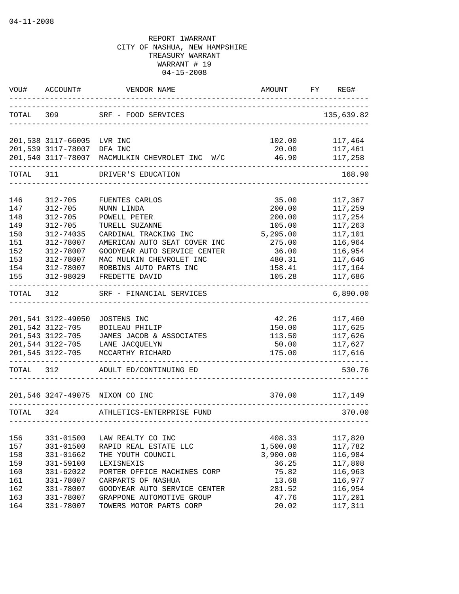| VOU#       | ACCOUNT#                   | VENDOR NAME                                                                              | <b>AMOUNT</b>                         | REG#<br>FY         |
|------------|----------------------------|------------------------------------------------------------------------------------------|---------------------------------------|--------------------|
|            |                            | TOTAL 309 SRF - FOOD SERVICES                                                            |                                       | 135,639.82         |
|            | 201,538 3117-66005 LVR INC |                                                                                          | 102.00                                | 117,464            |
|            | 201,539 3117-78007 DFA INC |                                                                                          | 20.00                                 | 117,461            |
|            |                            | 201,540 3117-78007 MACMULKIN CHEVROLET INC W/C<br>-------------------------------------- | 46.90                                 | 117,258            |
|            |                            | TOTAL 311 DRIVER'S EDUCATION                                                             |                                       | 168.90             |
| 146        | $312 - 705$                |                                                                                          | 35.00                                 |                    |
| 147        | $312 - 705$                | FUENTES CARLOS<br>NUNN LINDA                                                             | 200.00                                | 117,367<br>117,259 |
| 148        | $312 - 705$                | POWELL PETER                                                                             | 200.00                                | 117,254            |
| 149        | $312 - 705$                | TURELL SUZANNE                                                                           | 105.00                                | 117,263            |
| 150        | 312-74035                  | CARDINAL TRACKING INC                                                                    | 5,295.00                              | 117,101            |
| 151        | 312-78007                  | AMERICAN AUTO SEAT COVER INC                                                             | 275.00                                | 116,964            |
| 152        | 312-78007                  | GOODYEAR AUTO SERVICE CENTER                                                             | 36.00                                 | 116,954            |
| 153        | 312-78007                  | MAC MULKIN CHEVROLET INC                                                                 | 480.31                                | 117,646            |
| 154        | 312-78007                  | ROBBINS AUTO PARTS INC                                                                   | 158.41                                | 117,164            |
| 155        | 312-98029                  | FREDETTE DAVID                                                                           | 105.28                                | 117,686            |
| TOTAL      | 312                        | SRF - FINANCIAL SERVICES                                                                 |                                       | 6,890.00           |
|            |                            |                                                                                          |                                       |                    |
|            | 201,541 3122-49050         | JOSTENS INC                                                                              | 42.26                                 | 117,460            |
|            | 201,542 3122-705           | BOILEAU PHILIP                                                                           | 150.00                                | 117,625            |
|            | 201,543 3122-705           | JAMES JACOB & ASSOCIATES<br>201,544 3122-705 LANE JACQUELYN                              | 113.50                                | 117,626            |
|            | 201,545 3122-705           | MCCARTHY RICHARD                                                                         | 50.00<br>175.00                       | 117,627            |
|            |                            | _________________________________                                                        |                                       | 117,616            |
|            | TOTAL 312                  | ADULT ED/CONTINUING ED                                                                   |                                       | 530.76             |
|            |                            | 201,546 3247-49075 NIXON CO INC                                                          |                                       | 370.00 117,149     |
| TOTAL 324  |                            | ATHLETICS-ENTERPRISE FUND                                                                |                                       | 370.00             |
|            |                            | ------------------------                                                                 | ------------------------------------- |                    |
| 156        | 331-01500                  | LAW REALTY CO INC                                                                        | 408.33                                | 117,820            |
| 157        | 331-01500                  | RAPID REAL ESTATE LLC                                                                    | 1,500.00                              | 117,782            |
| 158        | 331-01662                  | THE YOUTH COUNCIL                                                                        | 3,900.00                              | 116,984            |
| 159        | 331-59100                  | LEXISNEXIS                                                                               | 36.25                                 | 117,808            |
| 160        | 331-62022                  | PORTER OFFICE MACHINES CORP                                                              | 75.82                                 | 116,963            |
| 161        | 331-78007                  | CARPARTS OF NASHUA                                                                       | 13.68                                 | 116,977            |
| 162        | 331-78007                  | GOODYEAR AUTO SERVICE CENTER                                                             | 281.52<br>47.76                       | 116,954            |
| 163<br>164 | 331-78007<br>331-78007     | GRAPPONE AUTOMOTIVE GROUP<br>TOWERS MOTOR PARTS CORP                                     | 20.02                                 | 117,201<br>117,311 |
|            |                            |                                                                                          |                                       |                    |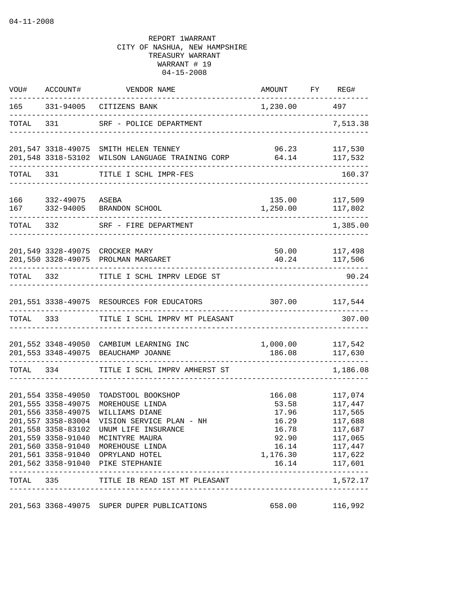| VOU# |                                                                                                            | ACCOUNT# VENDOR NAME                                                                                                                                                                                                                                                                                       | AMOUNT FY REG#                                                 |                                                                                                                                       |
|------|------------------------------------------------------------------------------------------------------------|------------------------------------------------------------------------------------------------------------------------------------------------------------------------------------------------------------------------------------------------------------------------------------------------------------|----------------------------------------------------------------|---------------------------------------------------------------------------------------------------------------------------------------|
|      |                                                                                                            | 165 331-94005 CITIZENS BANK                                                                                                                                                                                                                                                                                | 1,230.00 497                                                   |                                                                                                                                       |
|      |                                                                                                            | TOTAL 331 SRF - POLICE DEPARTMENT                                                                                                                                                                                                                                                                          |                                                                | 7,513.38                                                                                                                              |
|      |                                                                                                            | 201,547 3318-49075 SMITH HELEN TENNEY<br>201,548 3318-53102 WILSON LANGUAGE TRAINING CORP                                                                                                                                                                                                                  |                                                                | 96.23 117,530<br>64.14 117,532                                                                                                        |
|      |                                                                                                            | TOTAL 331 TITLE I SCHL IMPR-FES                                                                                                                                                                                                                                                                            |                                                                | 160.37                                                                                                                                |
|      |                                                                                                            |                                                                                                                                                                                                                                                                                                            |                                                                |                                                                                                                                       |
|      | 166 332-49075<br>167 332-94005                                                                             | ASEBA<br>BRANDON SCHOOL                                                                                                                                                                                                                                                                                    | 135.00<br>1,250.00                                             | 117,509<br>117,802                                                                                                                    |
|      | TOTAL 332                                                                                                  | SRF - FIRE DEPARTMENT<br>. _ _ _ _ _ _ _ _ _ _ _ _ _ _ _ _ _ _                                                                                                                                                                                                                                             |                                                                | 1,385.00                                                                                                                              |
|      | -------------------                                                                                        | 201,549 3328-49075 CROCKER MARY<br>201,550 3328-49075 PROLMAN MARGARET                                                                                                                                                                                                                                     |                                                                | 50.00 117,498<br>40.24 117,506                                                                                                        |
|      |                                                                                                            | TOTAL 332 TITLE I SCHL IMPRV LEDGE ST                                                                                                                                                                                                                                                                      | _______________                                                | 90.24                                                                                                                                 |
|      |                                                                                                            | 201,551 3338-49075 RESOURCES FOR EDUCATORS                                                                                                                                                                                                                                                                 |                                                                | 307.00 117,544                                                                                                                        |
|      | TOTAL 333                                                                                                  | TITLE I SCHL IMPRV MT PLEASANT                                                                                                                                                                                                                                                                             |                                                                | 307.00                                                                                                                                |
|      |                                                                                                            | 201,552 3348-49050 CAMBIUM LEARNING INC<br>201,553 3348-49075 BEAUCHAMP JOANNE                                                                                                                                                                                                                             | 1,000.00 117,542                                               | 186.08 117,630                                                                                                                        |
|      | TOTAL 334                                                                                                  | TITLE I SCHL IMPRV AMHERST ST                                                                                                                                                                                                                                                                              |                                                                | 1,186.08                                                                                                                              |
|      | 201,554 3358-49050<br>201,555 3358-49075<br>201,556 3358-49075<br>201,557 3358-83004<br>201,559 3358-91040 | TOADSTOOL BOOKSHOP<br>MOREHOUSE LINDA<br>WILLIAMS DIANE<br>VISION SERVICE PLAN - NH<br>201,558 3358-83102 UNUM LIFE INSURANCE<br>MCINTYRE MAURA<br>201,560 3358-91040 MOREHOUSE LINDA<br>201,561 3358-91040 OPRYLAND HOTEL<br>201,562 3358-91040 PIKE STEPHANIE<br>TOTAL 335 TITLE IB READ 1ST MT PLEASANT | 166.08<br>53.58<br>17.96<br>16.29<br>16.78<br>1,176.30 117,622 | 117,074<br>117,447<br>117,565<br>117,688<br>117,687<br>92.90 117,065<br>16.14 117,447<br>16.14 117,601<br>---------------<br>1,572.17 |
|      |                                                                                                            |                                                                                                                                                                                                                                                                                                            |                                                                |                                                                                                                                       |
|      |                                                                                                            | 201,563 3368-49075 SUPER DUPER PUBLICATIONS                                                                                                                                                                                                                                                                | 658.00                                                         | 116,992                                                                                                                               |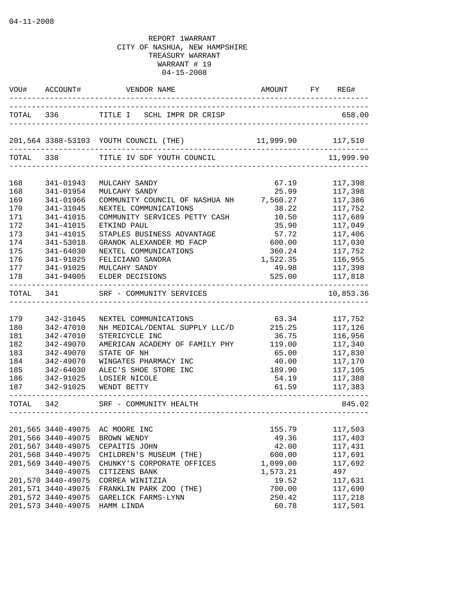|           | VOU# ACCOUNT#      | VENDOR NAME                                                                                  | AMOUNT FY REG#                                                        |           |
|-----------|--------------------|----------------------------------------------------------------------------------------------|-----------------------------------------------------------------------|-----------|
|           |                    | TOTAL 336 TITLE I SCHL IMPR DR CRISP<br>-------------                                        | ____________________________________<br>_____________________________ | 658.00    |
|           |                    | 201,564 3388-53103 YOUTH COUNCIL (THE) 11,999.90 117,510<br>-------------------------------- |                                                                       |           |
|           |                    | TOTAL 338 TITLE IV SDF YOUTH COUNCIL                                                         |                                                                       | 11,999.90 |
| 168       | 341-01943          | MULCAHY SANDY                                                                                | 67.19                                                                 | 117,398   |
| 168       | 341-01954          | MULCAHY SANDY                                                                                | 25.99                                                                 | 117,398   |
| 169       | 341-01966          | COMMUNITY COUNCIL OF NASHUA NH 7,560.27                                                      |                                                                       | 117,386   |
| 170       | 341-31045          | NEXTEL COMMUNICATIONS                                                                        | 38.22                                                                 | 117,752   |
| 171       | 341-41015          | COMMUNITY SERVICES PETTY CASH                                                                | 10.50                                                                 | 117,689   |
| 172       | 341-41015          | ETKIND PAUL                                                                                  | 35.90                                                                 | 117,049   |
| 173       | 341-41015          | STAPLES BUSINESS ADVANTAGE                                                                   | 57.72                                                                 | 117,406   |
| 174       | 341-53018          | GRANOK ALEXANDER MD FACP                                                                     | 600.00                                                                | 117,030   |
| 175       | 341-64030          | NEXTEL COMMUNICATIONS                                                                        | 360.24                                                                | 117,752   |
| 176       | 341-91025          | FELICIANO SANDRA                                                                             | 1,522.35                                                              | 116,955   |
| 177       | 341-91025          | MULCAHY SANDY                                                                                | 49.98                                                                 | 117,398   |
| 178       | 341-94005          | ELDER DECISIONS                                                                              | 525.00                                                                | 117,818   |
| TOTAL     |                    | 341 SRF - COMMUNITY SERVICES                                                                 |                                                                       | 10,853.36 |
|           |                    |                                                                                              |                                                                       |           |
| 179       | 342-31045          | NEXTEL COMMUNICATIONS                                                                        | 63.34                                                                 | 117,752   |
| 180       | 342-47010          | NH MEDICAL/DENTAL SUPPLY LLC/D                                                               | 215.25                                                                | 117,126   |
| 181       | 342-47010          | STERICYCLE INC                                                                               | 36.75                                                                 | 116,956   |
| 182       | 342-49070          | AMERICAN ACADEMY OF FAMILY PHY                                                               | 119.00                                                                | 117,340   |
| 183       | 342-49070          | STATE OF NH                                                                                  | 65.00                                                                 | 117,830   |
| 184       | 342-49070          | WINGATES PHARMACY INC                                                                        | 40.00                                                                 | 117,170   |
| 185       | 342-64030          | ALEC'S SHOE STORE INC                                                                        | 189.90                                                                | 117,105   |
| 186       | 342-91025          | LOSIER NICOLE                                                                                | 54.19                                                                 | 117,388   |
| 187       | 342-91025          | WENDT BETTY                                                                                  | 61.59                                                                 | 117,383   |
| TOTAL 342 |                    | SRF - COMMUNITY HEALTH                                                                       | _____________________________________                                 | 845.02    |
|           |                    |                                                                                              |                                                                       |           |
|           | 201,565 3440-49075 | AC MOORE INC                                                                                 | 155.79                                                                | 117,503   |
|           | 201,566 3440-49075 | BROWN WENDY                                                                                  | 49.36                                                                 | 117,403   |
|           | 201,567 3440-49075 | CEPAITIS JOHN                                                                                | 42.00                                                                 | 117,431   |
|           | 201,568 3440-49075 | CHILDREN'S MUSEUM (THE)                                                                      | 600.00                                                                | 117,691   |
|           | 201,569 3440-49075 | CHUNKY'S CORPORATE OFFICES                                                                   | 1,099.00                                                              | 117,692   |
|           | 3440-49075         | CITIZENS BANK                                                                                | 1,573.21                                                              | 497       |
|           | 201,570 3440-49075 | CORREA WINITZIA                                                                              | 19.52                                                                 | 117,631   |
|           | 201,571 3440-49075 | FRANKLIN PARK ZOO (THE)                                                                      | 700.00                                                                | 117,690   |
|           | 201,572 3440-49075 | GARELICK FARMS-LYNN                                                                          | 250.42                                                                | 117,218   |
|           | 201,573 3440-49075 | HAMM LINDA                                                                                   | 60.78                                                                 | 117,501   |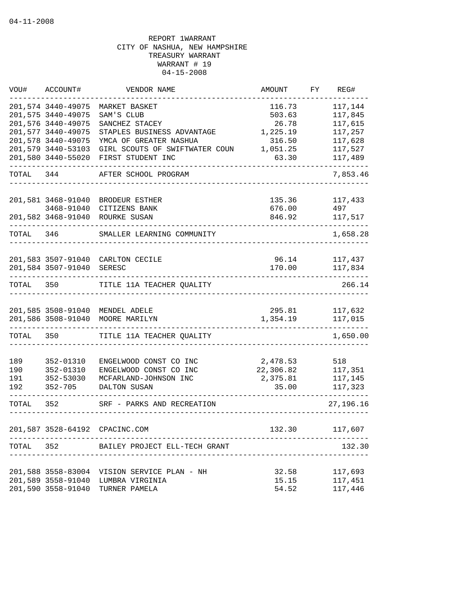| WOU#      | ACCOUNT#           | VENDOR NAME                     | AMOUNT    | FY | REG#      |
|-----------|--------------------|---------------------------------|-----------|----|-----------|
|           | 201,574 3440-49075 | MARKET BASKET                   | 116.73    |    | 117,144   |
|           | 201,575 3440-49075 | SAM'S CLUB                      | 503.63    |    | 117,845   |
|           | 201,576 3440-49075 | SANCHEZ STACEY                  | 26.78     |    | 117,615   |
|           | 201,577 3440-49075 | STAPLES BUSINESS ADVANTAGE      | 1,225.19  |    | 117,257   |
|           | 201,578 3440-49075 | YMCA OF GREATER NASHUA          | 316.50    |    | 117,628   |
|           | 201,579 3440-53103 | GIRL SCOUTS OF SWIFTWATER COUN  | 1,051.25  |    | 117,527   |
|           | 201,580 3440-55020 | FIRST STUDENT INC               | 63.30     |    | 117,489   |
| TOTAL 344 |                    | AFTER SCHOOL PROGRAM            |           |    | 7,853.46  |
|           | 201,581 3468-91040 | BRODEUR ESTHER                  | 135.36    |    | 117,433   |
|           | 3468-91040         | CITIZENS BANK                   | 676.00    |    | 497       |
|           | 201,582 3468-91040 | ROURKE SUSAN                    | 846.92    |    | 117,517   |
|           |                    |                                 |           |    |           |
| TOTAL     | 346                | SMALLER LEARNING COMMUNITY      |           |    | 1,658.28  |
|           |                    |                                 |           |    |           |
|           | 201,583 3507-91040 | CARLTON CECILE                  | 96.14     |    | 117,437   |
|           | 201,584 3507-91040 | SERESC                          | 170.00    |    | 117,834   |
| TOTAL 350 |                    | TITLE 11A TEACHER QUALITY       |           |    | 266.14    |
|           |                    | 201,585 3508-91040 MENDEL ADELE | 295.81    |    | 117,632   |
|           | 201,586 3508-91040 | MOORE MARILYN                   | 1,354.19  |    | 117,015   |
| TOTAL 350 |                    | TITLE 11A TEACHER QUALITY       |           |    | 1,650.00  |
|           |                    |                                 |           |    |           |
| 189       | 352-01310          | ENGELWOOD CONST CO INC          | 2,478.53  |    | 518       |
| 190       | 352-01310          | ENGELWOOD CONST CO INC          | 22,306.82 |    | 117,351   |
| 191       | 352-53030          | MCFARLAND-JOHNSON INC           | 2,375.81  |    | 117,145   |
| 192       | $352 - 705$        | DALTON SUSAN                    | 35.00     |    | 117,323   |
| TOTAL     | 352                | SRF - PARKS AND RECREATION      |           |    | 27,196.16 |
|           |                    |                                 |           |    |           |
|           |                    | 201,587 3528-64192 CPACINC.COM  | 132.30    |    | 117,607   |
| TOTAL     | 352                | BAILEY PROJECT ELL-TECH GRANT   |           |    | 132.30    |
|           |                    |                                 |           |    |           |
|           | 201,588 3558-83004 | VISION SERVICE PLAN - NH        | 32.58     |    | 117,693   |
|           | 201,589 3558-91040 | LUMBRA VIRGINIA                 | 15.15     |    | 117,451   |
|           | 201,590 3558-91040 | TURNER PAMELA                   | 54.52     |    | 117,446   |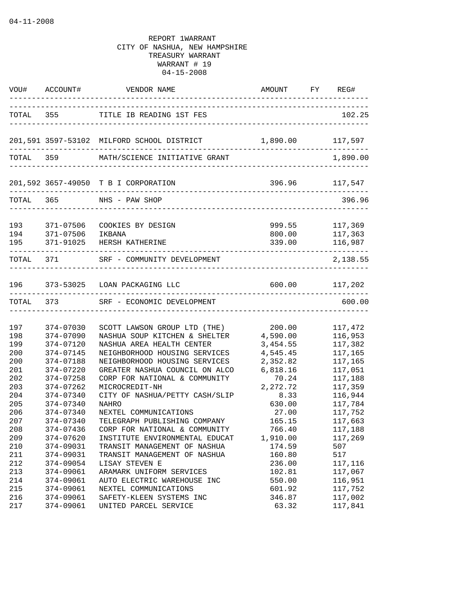|                          |                                                  | VOU# ACCOUNT# VENDOR NAME                                                                                                     | AMOUNT FY REG#<br>____________________________ |                                                                           |
|--------------------------|--------------------------------------------------|-------------------------------------------------------------------------------------------------------------------------------|------------------------------------------------|---------------------------------------------------------------------------|
|                          |                                                  | TOTAL 355 TITLE IB READING 1ST FES                                                                                            | ____________________________________           | 102.25                                                                    |
|                          |                                                  | 201,591 3597-53102 MILFORD SCHOOL DISTRICT                                                                                    | 1,890.00                                       | 117,597                                                                   |
|                          |                                                  | TOTAL 359 MATH/SCIENCE INITIATIVE GRANT                                                                                       |                                                | 1,890.00                                                                  |
|                          |                                                  | 201,592 3657-49050 T B I CORPORATION                                                                                          |                                                | 396.96 117,547                                                            |
|                          |                                                  | TOTAL 365 NHS - PAW SHOP                                                                                                      |                                                | 396.96                                                                    |
| 193<br>194<br>195        | 371-07506<br>371-07506<br>371-91025              | COOKIES BY DESIGN<br>IKBANA<br>HERSH KATHERINE                                                                                | 800.00<br>339.00                               | 999.55 117,369<br>117,363<br>116,987<br>. _ _ _ _ _ _ _ _ _ _ _ _ _ _ _ _ |
|                          |                                                  | TOTAL 371 SRF - COMMUNITY DEVELOPMENT<br>_____________                                                                        |                                                | 2,138.55                                                                  |
|                          |                                                  | 196 373-53025 LOAN PACKAGING LLC                                                                                              | 600.00 117,202                                 |                                                                           |
| TOTAL 373                |                                                  | SRF - ECONOMIC DEVELOPMENT<br>----------------------------------                                                              |                                                | 600.00                                                                    |
| 197<br>198               | 374-07030<br>374-07090                           | SCOTT LAWSON GROUP LTD (THE)<br>NASHUA SOUP KITCHEN & SHELTER                                                                 | 200.00<br>4,590.00                             | 117,472<br>116,953                                                        |
| 199<br>200<br>200<br>201 | 374-07120<br>374-07145<br>374-07188<br>374-07220 | NASHUA AREA HEALTH CENTER<br>NEIGHBORHOOD HOUSING SERVICES<br>NEIGHBORHOOD HOUSING SERVICES<br>GREATER NASHUA COUNCIL ON ALCO | 3,454.55<br>4,545.45<br>2,352.82<br>6,818.16   | 117,382<br>117,165<br>117,165<br>117,051                                  |
| 202<br>203<br>204<br>205 | 374-07258<br>374-07262<br>374-07340<br>374-07340 | CORP FOR NATIONAL & COMMUNITY<br>MICROCREDIT-NH<br>CITY OF NASHUA/PETTY CASH/SLIP<br><b>NAHRO</b>                             | 70.24<br>2,272.72<br>8.33                      | 117,188<br>117,359<br>116,944                                             |
| 206<br>207<br>208        | 374-07340<br>374-07340<br>374-07436              | NEXTEL COMMUNICATIONS<br>TELEGRAPH PUBLISHING COMPANY<br>CORP FOR NATIONAL & COMMUNITY                                        | 630.00<br>27.00<br>165.15<br>766.40            | 117,784<br>117,752<br>117,663<br>117,188                                  |
| 209<br>$210\,$<br>211    | 374-07620<br>374-09031<br>374-09031              | INSTITUTE ENVIRONMENTAL EDUCAT<br>TRANSIT MANAGEMENT OF NASHUA<br>TRANSIT MANAGEMENT OF NASHUA                                | 1,910.00<br>174.59<br>160.80                   | 117,269<br>507<br>517                                                     |
| 212<br>213<br>214<br>215 | 374-09054<br>374-09061<br>374-09061<br>374-09061 | LISAY STEVEN E<br>ARAMARK UNIFORM SERVICES<br>AUTO ELECTRIC WAREHOUSE INC<br>NEXTEL COMMUNICATIONS                            | 236.00<br>102.81<br>550.00<br>601.92           | 117,116<br>117,067<br>116,951<br>117,752                                  |
| 216<br>217               | 374-09061<br>374-09061                           | SAFETY-KLEEN SYSTEMS INC<br>UNITED PARCEL SERVICE                                                                             | 346.87<br>63.32                                | 117,002<br>117,841                                                        |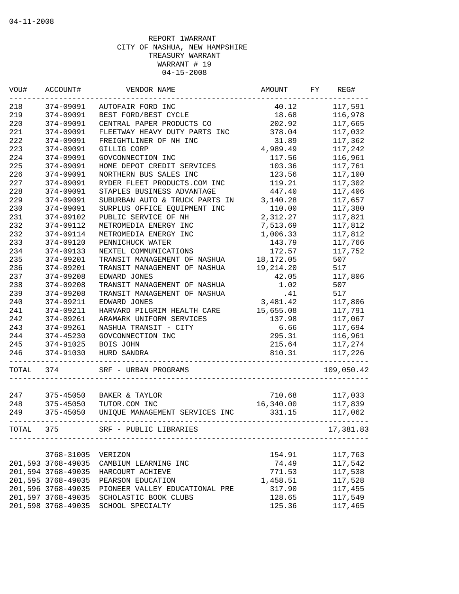| VOU#  | ACCOUNT#           | VENDOR NAME                    | AMOUNT    | FY | REG#       |
|-------|--------------------|--------------------------------|-----------|----|------------|
| 218   | 374-09091          | AUTOFAIR FORD INC              | 40.12     |    | 117,591    |
| 219   | 374-09091          | BEST FORD/BEST CYCLE           | 18.68     |    | 116,978    |
| 220   | 374-09091          | CENTRAL PAPER PRODUCTS CO      | 202.92    |    | 117,665    |
| 221   | 374-09091          | FLEETWAY HEAVY DUTY PARTS INC  | 378.04    |    | 117,032    |
| 222   | 374-09091          | FREIGHTLINER OF NH INC         | 31.89     |    | 117,362    |
| 223   | 374-09091          | GILLIG CORP                    | 4,989.49  |    | 117,242    |
| 224   | 374-09091          | GOVCONNECTION INC              | 117.56    |    | 116,961    |
| 225   | 374-09091          | HOME DEPOT CREDIT SERVICES     | 103.36    |    | 117,761    |
| 226   | 374-09091          | NORTHERN BUS SALES INC         | 123.56    |    | 117,100    |
| 227   | 374-09091          | RYDER FLEET PRODUCTS.COM INC   | 119.21    |    | 117,302    |
| 228   | 374-09091          | STAPLES BUSINESS ADVANTAGE     | 447.40    |    | 117,406    |
| 229   | 374-09091          | SUBURBAN AUTO & TRUCK PARTS IN | 3,140.28  |    | 117,657    |
| 230   | 374-09091          | SURPLUS OFFICE EQUIPMENT INC   | 110.00    |    | 117,380    |
| 231   | 374-09102          | PUBLIC SERVICE OF NH           | 2,312.27  |    | 117,821    |
| 232   | 374-09112          | METROMEDIA ENERGY INC          | 7,513.69  |    | 117,812    |
| 232   | 374-09114          | METROMEDIA ENERGY INC          | 1,006.33  |    | 117,812    |
| 233   | 374-09120          | PENNICHUCK WATER               | 143.79    |    | 117,766    |
| 234   | 374-09133          | NEXTEL COMMUNICATIONS          | 172.57    |    | 117,752    |
| 235   | 374-09201          | TRANSIT MANAGEMENT OF NASHUA   | 18,172.05 |    | 507        |
| 236   | 374-09201          | TRANSIT MANAGEMENT OF NASHUA   | 19,214.20 |    | 517        |
| 237   | 374-09208          | EDWARD JONES                   | 42.05     |    | 117,806    |
| 238   | 374-09208          | TRANSIT MANAGEMENT OF NASHUA   | 1.02      |    | 507        |
| 239   | 374-09208          | TRANSIT MANAGEMENT OF NASHUA   | .41       |    | 517        |
| 240   | 374-09211          | EDWARD JONES                   | 3,481.42  |    | 117,806    |
| 241   | 374-09211          | HARVARD PILGRIM HEALTH CARE    | 15,655.08 |    | 117,791    |
| 242   | 374-09261          | ARAMARK UNIFORM SERVICES       | 137.98    |    | 117,067    |
| 243   | 374-09261          | NASHUA TRANSIT - CITY          | 6.66      |    | 117,694    |
| 244   | 374-45230          | GOVCONNECTION INC              | 295.31    |    |            |
| 245   |                    | BOIS JOHN                      |           |    | 116,961    |
|       | 374-91025          |                                | 215.64    |    | 117,274    |
| 246   | 374-91030          | HURD SANDRA                    | 810.31    |    | 117,226    |
| TOTAL | 374                | SRF - URBAN PROGRAMS           |           |    | 109,050.42 |
|       |                    |                                |           |    |            |
| 247   | 375-45050          | BAKER & TAYLOR                 | 710.68    |    | 117,033    |
| 248   | 375-45050          | TUTOR.COM INC                  | 16,340.00 |    | 117,839    |
| 249   | 375-45050          | UNIQUE MANAGEMENT SERVICES INC | 331.15    |    | 117,062    |
| TOTAL | 375 — 100          | SRF - PUBLIC LIBRARIES         |           |    | 17,381.83  |
|       |                    |                                |           |    |            |
|       | 3768-31005         | VERIZON                        | 154.91    |    | 117,763    |
|       | 201,593 3768-49035 | CAMBIUM LEARNING INC           | 74.49     |    | 117,542    |
|       | 201,594 3768-49035 | HARCOURT ACHIEVE               | 771.53    |    | 117,538    |
|       | 201,595 3768-49035 | PEARSON EDUCATION              | 1,458.51  |    | 117,528    |
|       | 201,596 3768-49035 | PIONEER VALLEY EDUCATIONAL PRE | 317.90    |    | 117,455    |
|       | 201,597 3768-49035 | SCHOLASTIC BOOK CLUBS          | 128.65    |    | 117,549    |
|       | 201,598 3768-49035 | SCHOOL SPECIALTY               | 125.36    |    | 117,465    |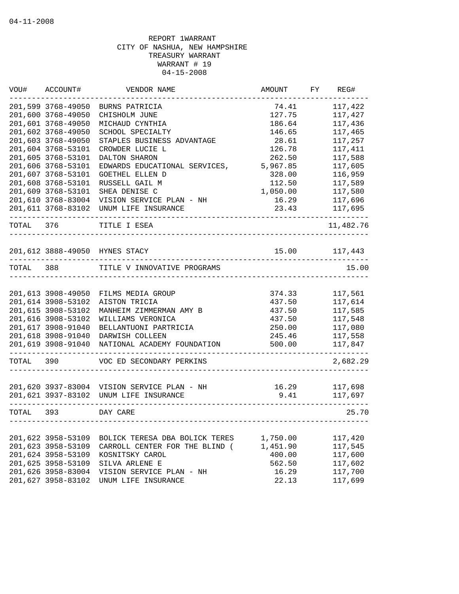| WOU#      | ACCOUNT#           | VENDOR NAME                                 | AMOUNT        | FY | REG#      |
|-----------|--------------------|---------------------------------------------|---------------|----|-----------|
|           | 201,599 3768-49050 | BURNS PATRICIA                              | 74.41         |    | 117,422   |
|           | 201,600 3768-49050 | CHISHOLM JUNE                               | 127.75        |    | 117,427   |
|           | 201,601 3768-49050 | MICHAUD CYNTHIA                             | 186.64        |    | 117,436   |
|           | 201,602 3768-49050 | SCHOOL SPECIALTY                            | 146.65        |    | 117,465   |
|           | 201,603 3768-49050 | STAPLES BUSINESS ADVANTAGE                  | 28.61         |    | 117,257   |
|           | 201,604 3768-53101 | CROWDER LUCIE L                             | 126.78        |    | 117,411   |
|           | 201,605 3768-53101 | DALTON SHARON                               | 262.50        |    | 117,588   |
|           | 201,606 3768-53101 | EDWARDS EDUCATIONAL SERVICES,               | 5,967.85      |    | 117,605   |
|           | 201,607 3768-53101 | GOETHEL ELLEN D                             | 328.00        |    | 116,959   |
|           | 201,608 3768-53101 | RUSSELL GAIL M                              | 112.50        |    | 117,589   |
|           | 201,609 3768-53101 | SHEA DENISE C                               | 1,050.00      |    | 117,580   |
|           | 201,610 3768-83004 | VISION SERVICE PLAN - NH                    | 16.29         |    | 117,696   |
|           | 201,611 3768-83102 | UNUM LIFE INSURANCE                         | 23.43         |    | 117,695   |
| TOTAL 376 |                    | TITLE I ESEA                                |               |    | 11,482.76 |
|           |                    |                                             | 15.00 117,443 |    |           |
|           |                    | 201,612 3888-49050 HYNES STACY              |               |    |           |
| TOTAL 388 |                    | TITLE V INNOVATIVE PROGRAMS                 |               |    | 15.00     |
|           |                    |                                             |               |    |           |
|           | 201,613 3908-49050 | FILMS MEDIA GROUP                           | 374.33        |    | 117,561   |
|           | 201,614 3908-53102 | AISTON TRICIA                               | 437.50        |    | 117,614   |
|           | 201,615 3908-53102 | MANHEIM ZIMMERMAN AMY B                     | 437.50        |    | 117,585   |
|           | 201,616 3908-53102 | WILLIAMS VERONICA                           | 437.50        |    | 117,548   |
|           | 201,617 3908-91040 | BELLANTUONI PARTRICIA                       | 250.00        |    | 117,080   |
|           | 201,618 3908-91040 | DARWISH COLLEEN                             | 245.46        |    | 117,558   |
|           | 201,619 3908-91040 | NATIONAL ACADEMY FOUNDATION                 | 500.00        |    | 117,847   |
| TOTAL     | 390                | VOC ED SECONDARY PERKINS                    |               |    | 2,682.29  |
|           |                    |                                             |               |    |           |
|           |                    | 201,620 3937-83004 VISION SERVICE PLAN - NH | 16.29         |    | 117,698   |
|           |                    | 201,621 3937-83102 UNUM LIFE INSURANCE      | 9.41          |    | 117,697   |
| TOTAL 393 |                    | DAY CARE                                    |               |    | 25.70     |
|           |                    |                                             |               |    |           |
|           | 201,622 3958-53109 | BOLICK TERESA DBA BOLICK TERES              | 1,750.00      |    | 117,420   |
|           | 201,623 3958-53109 | CARROLL CENTER FOR THE BLIND (              | 1,451.90      |    | 117,545   |
|           | 201,624 3958-53109 | KOSNITSKY CAROL                             | 400.00        |    | 117,600   |
|           | 201,625 3958-53109 | SILVA ARLENE E                              | 562.50        |    | 117,602   |
|           | 201,626 3958-83004 | VISION SERVICE PLAN - NH                    | 16.29         |    | 117,700   |
|           | 201,627 3958-83102 | UNUM LIFE INSURANCE                         | 22.13         |    | 117,699   |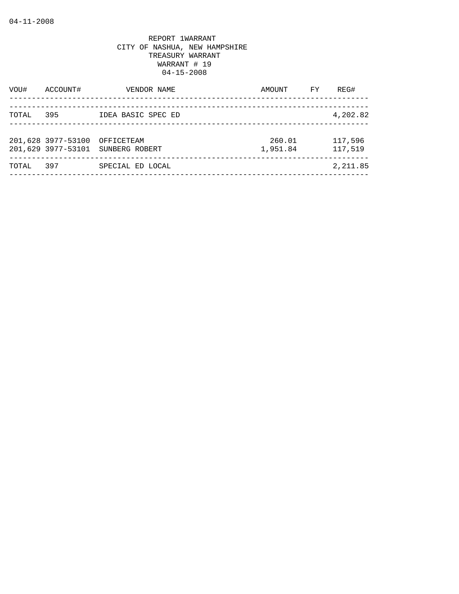| VOU#  | ACCOUNT#                                 | VENDOR NAME                  | AMOUNT             | FY | REG#               |
|-------|------------------------------------------|------------------------------|--------------------|----|--------------------|
| TOTAL | 395                                      | IDEA BASIC SPEC ED           |                    |    | 4,202.82           |
|       | 201,628 3977-53100<br>201,629 3977-53101 | OFFICETEAM<br>SUNBERG ROBERT | 260.01<br>1,951.84 |    | 117,596<br>117,519 |
| TOTAL | 397                                      | SPECIAL ED LOCAL             |                    |    | 2,211.85           |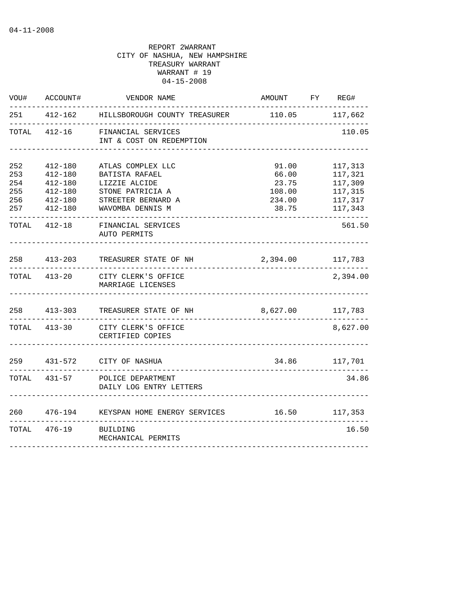| WOU#                                   | ACCOUNT#                                                                   | VENDOR NAME                                                                                                        | AMOUNT FY REG#                                       |                                                                |
|----------------------------------------|----------------------------------------------------------------------------|--------------------------------------------------------------------------------------------------------------------|------------------------------------------------------|----------------------------------------------------------------|
| 251                                    |                                                                            | 412-162 HILLSBOROUGH COUNTY TREASURER                                                                              | 110.05 117,662                                       |                                                                |
| TOTAL                                  | 412-16                                                                     | FINANCIAL SERVICES<br>INT & COST ON REDEMPTION                                                                     |                                                      | 110.05                                                         |
| 252<br>253<br>254<br>255<br>256<br>257 | $412 - 180$<br>412-180<br>412-180<br>$412 - 180$<br>412-180<br>$412 - 180$ | ATLAS COMPLEX LLC<br>BATISTA RAFAEL<br>LIZZIE ALCIDE<br>STONE PATRICIA A<br>STREETER BERNARD A<br>WAVOMBA DENNIS M | 91.00<br>66.00<br>23.75<br>108.00<br>234.00<br>38.75 | 117,313<br>117,321<br>117,309<br>117,315<br>117,317<br>117,343 |
|                                        | TOTAL 412-18                                                               | FINANCIAL SERVICES<br>AUTO PERMITS                                                                                 |                                                      | 561.50                                                         |
| 258                                    |                                                                            | 413-203 TREASURER STATE OF NH                                                                                      | 2,394.00 117,783                                     |                                                                |
| TOTAL                                  |                                                                            | 413-20 CITY CLERK'S OFFICE<br>MARRIAGE LICENSES                                                                    |                                                      | 2,394.00                                                       |
|                                        | 258 413-303                                                                | TREASURER STATE OF NH                                                                                              | 8,627.00 117,783                                     |                                                                |
|                                        | TOTAL 413-30                                                               | CITY CLERK'S OFFICE<br>CERTIFIED COPIES                                                                            |                                                      | 8,627.00                                                       |
|                                        |                                                                            | 259 431-572 CITY OF NASHUA                                                                                         |                                                      | 34.86 117,701                                                  |
|                                        | TOTAL 431-57                                                               | POLICE DEPARTMENT<br>DAILY LOG ENTRY LETTERS                                                                       |                                                      | 34.86                                                          |
| 260                                    |                                                                            | 476-194 KEYSPAN HOME ENERGY SERVICES                                                                               |                                                      | 16.50 117,353                                                  |
|                                        | TOTAL 476-19                                                               | BUILDING<br>MECHANICAL PERMITS                                                                                     |                                                      | 16.50                                                          |
|                                        |                                                                            |                                                                                                                    |                                                      |                                                                |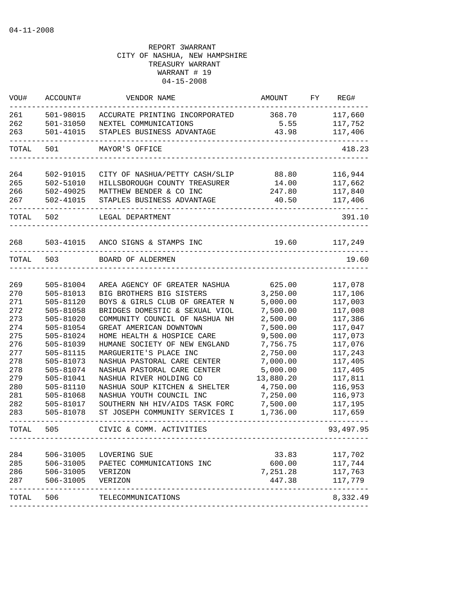| VOU#       | ACCOUNT#               | VENDOR NAME                                                      | AMOUNT               | FY | REG#               |
|------------|------------------------|------------------------------------------------------------------|----------------------|----|--------------------|
| 261        | 501-98015              | ACCURATE PRINTING INCORPORATED                                   | 368.70               |    | 117,660            |
| 262        | 501-31050              | NEXTEL COMMUNICATIONS                                            | 5.55                 |    | 117,752            |
| 263        | 501-41015              | STAPLES BUSINESS ADVANTAGE                                       | 43.98                |    | 117,406            |
| TOTAL      | 501                    | MAYOR'S OFFICE                                                   |                      |    | 418.23             |
| 264        | 502-91015              | CITY OF NASHUA/PETTY CASH/SLIP                                   | 88.80                |    | 116,944            |
| 265        | 502-51010              | HILLSBOROUGH COUNTY TREASURER                                    | 14.00                |    | 117,662            |
| 266        | 502-49025              | MATTHEW BENDER & CO INC                                          | 247.80               |    | 117,840            |
| 267        | 502-41015              | STAPLES BUSINESS ADVANTAGE                                       | 40.50                |    | 117,406            |
| TOTAL      | 502                    | LEGAL DEPARTMENT                                                 |                      |    | 391.10             |
| 268        |                        | 503-41015 ANCO SIGNS & STAMPS INC                                | 19.60                |    | 117,249            |
| TOTAL      | 503                    | BOARD OF ALDERMEN                                                |                      |    | 19.60              |
|            |                        |                                                                  |                      |    |                    |
| 269        | 505-81004              | AREA AGENCY OF GREATER NASHUA                                    | 625.00               |    | 117,078            |
| 270        | $505 - 81013$          | BIG BROTHERS BIG SISTERS                                         | 3,250.00             |    | 117,106            |
| 271        | 505-81120              | BOYS & GIRLS CLUB OF GREATER N                                   | 5,000.00             |    | 117,003            |
| 272        | 505-81058              | BRIDGES DOMESTIC & SEXUAL VIOL                                   | 7,500.00             |    | 117,008            |
| 273        | 505-81020              | COMMUNITY COUNCIL OF NASHUA NH                                   | 2,500.00             |    | 117,386            |
| 274        | 505-81054              | GREAT AMERICAN DOWNTOWN                                          | 7,500.00             |    | 117,047            |
| 275        | 505-81024              | HOME HEALTH & HOSPICE CARE                                       | 9,500.00             |    | 117,073            |
| 276        | 505-81039              | HUMANE SOCIETY OF NEW ENGLAND                                    | 7,756.75             |    | 117,076            |
| 277        | 505-81115              | MARGUERITE'S PLACE INC                                           | 2,750.00             |    | 117,243            |
| 278        | 505-81073              | NASHUA PASTORAL CARE CENTER                                      | 7,000.00             |    | 117,405            |
| 278        | 505-81074              | NASHUA PASTORAL CARE CENTER                                      | 5,000.00             |    | 117,405            |
| 279        | 505-81041              | NASHUA RIVER HOLDING CO                                          | 13,880.20            |    | 117,811            |
| 280        | 505-81110              | NASHUA SOUP KITCHEN & SHELTER                                    | 4,750.00             |    | 116,953            |
| 281        | 505-81068              | NASHUA YOUTH COUNCIL INC                                         | 7,250.00             |    | 116,973            |
| 282<br>283 | 505-81017<br>505-81078 | SOUTHERN NH HIV/AIDS TASK FORC<br>ST JOSEPH COMMUNITY SERVICES I | 7,500.00<br>1,736.00 |    | 117,195<br>117,659 |
| TOTAL      | 505                    | CIVIC & COMM. ACTIVITIES                                         |                      |    | 93,497.95          |
|            |                        |                                                                  |                      |    |                    |
| 284        | 506-31005              | LOVERING SUE                                                     | 33.83                |    | 117,702            |
| 285        | 506-31005              | PAETEC COMMUNICATIONS INC                                        | 600.00               |    | 117,744            |
| 286        | 506-31005              | VERIZON                                                          | 7,251.28             |    | 117,763            |
| 287        | 506-31005              | VERIZON                                                          | 447.38               |    | 117,779<br>------  |
| TOTAL      | 506                    | TELECOMMUNICATIONS                                               |                      |    | 8,332.49           |
|            |                        |                                                                  |                      |    |                    |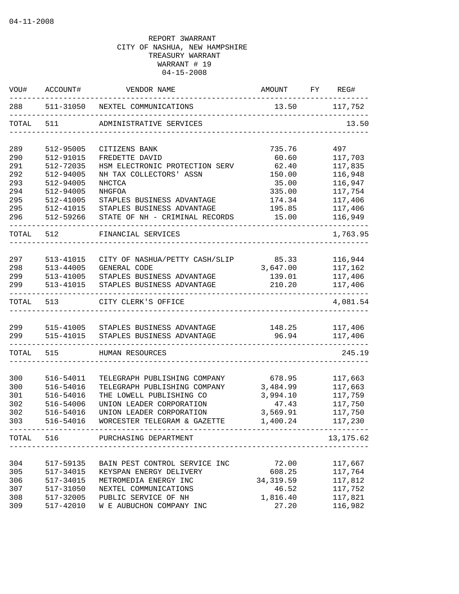| WOU#       | ACCOUNT#               | VENDOR NAME                                          | AMOUNT            | FY | REG#               |
|------------|------------------------|------------------------------------------------------|-------------------|----|--------------------|
| 288        | 511-31050              | NEXTEL COMMUNICATIONS                                | 13.50 117,752     |    |                    |
| TOTAL      | 511                    | ADMINISTRATIVE SERVICES                              |                   |    | 13.50              |
| 289        | 512-95005              | CITIZENS BANK                                        | 735.76            |    | 497                |
| 290        | 512-91015              | FREDETTE DAVID                                       | 60.60             |    | 117,703            |
| 291        | 512-72035              | HSM ELECTRONIC PROTECTION SERV                       | 62.40             |    | 117,835            |
| 292        | 512-94005              | NH TAX COLLECTORS' ASSN                              | 150.00            |    | 116,948            |
| 293        | 512-94005              | NHCTCA                                               | 35.00             |    | 116,947            |
| 294        | 512-94005              | NHGFOA                                               | 335.00            |    | 117,754            |
| 295        | 512-41005              | STAPLES BUSINESS ADVANTAGE                           | 174.34            |    | 117,406            |
| 295        | 512-41015              | STAPLES BUSINESS ADVANTAGE                           | 195.85            |    | 117,406            |
| 296        | 512-59266              | STATE OF NH - CRIMINAL RECORDS                       | 15.00             |    | 116,949            |
| TOTAL 512  |                        | FINANCIAL SERVICES                                   |                   |    | 1,763.95           |
| 297        | 513-41015              | CITY OF NASHUA/PETTY CASH/SLIP 85.33                 |                   |    | 116,944            |
| 298        | 513-44005              | GENERAL CODE                                         | 3,647.00          |    | 117,162            |
| 299        | 513-41005              | STAPLES BUSINESS ADVANTAGE                           | 139.01            |    | 117,406            |
| 299        | 513-41015              | STAPLES BUSINESS ADVANTAGE                           | 210.20            |    | 117,406            |
|            | TOTAL 513              | CITY CLERK'S OFFICE                                  |                   |    | 4,081.54           |
|            |                        |                                                      |                   |    |                    |
| 299        |                        | 515-41005 STAPLES BUSINESS ADVANTAGE                 | 148.25            |    | 117,406            |
| 299        | 515-41015              | STAPLES BUSINESS ADVANTAGE                           | 96.94             |    | 117,406            |
| TOTAL      | 515                    | HUMAN RESOURCES                                      |                   |    | 245.19             |
|            |                        |                                                      |                   |    |                    |
| 300        | 516-54011              | TELEGRAPH PUBLISHING COMPANY                         | 678.95            |    | 117,663            |
| 300        | 516-54016              | TELEGRAPH PUBLISHING COMPANY                         | 3,484.99          |    | 117,663            |
| 301<br>302 | 516-54016<br>516-54006 | THE LOWELL PUBLISHING CO<br>UNION LEADER CORPORATION | 3,994.10<br>47.43 |    | 117,759<br>117,750 |
| 302        | 516-54016              | UNION LEADER CORPORATION                             | 3,569.91          |    | 117,750            |
| 303        | 516-54016              | WORCESTER TELEGRAM & GAZETTE                         | 1,400.24          |    | 117,230            |
| TOTAL      | 516                    | PURCHASING DEPARTMENT                                |                   |    | 13,175.62          |
|            |                        | _________________________                            |                   |    |                    |
| 304        | 517-59135              | BAIN PEST CONTROL SERVICE INC                        | 72.00             |    | 117,667            |
| 305        | 517-34015              | KEYSPAN ENERGY DELIVERY                              | 608.25            |    | 117,764            |
| 306        | 517-34015              | METROMEDIA ENERGY INC                                | 34, 319.59        |    | 117,812            |
| 307        | 517-31050              | NEXTEL COMMUNICATIONS                                | 46.52             |    | 117,752            |
| 308        | 517-32005              | PUBLIC SERVICE OF NH                                 | 1,816.40          |    | 117,821            |
| 309        | 517-42010              | W E AUBUCHON COMPANY INC                             | 27.20             |    | 116,982            |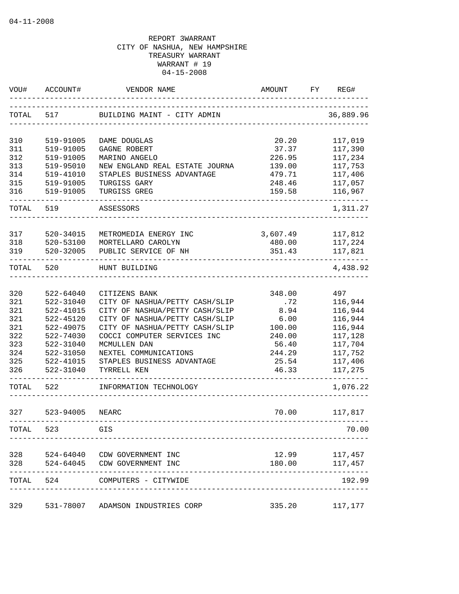| VOU#       | ACCOUNT#  | VENDOR NAME                                        | AMOUNT          | FY | REG#               |
|------------|-----------|----------------------------------------------------|-----------------|----|--------------------|
| TOTAL      | 517       | BUILDING MAINT - CITY ADMIN                        |                 |    | 36,889.96          |
| 310        | 519-91005 | DAME DOUGLAS                                       | 20.20           |    | 117,019            |
| 311        | 519-91005 | GAGNE ROBERT                                       | 37.37           |    | 117,390            |
| 312        | 519-91005 | MARINO ANGELO                                      | 226.95          |    | 117,234            |
| 313        | 519-95010 | NEW ENGLAND REAL ESTATE JOURNA                     | 139.00          |    | 117,753            |
| 314        | 519-41010 | STAPLES BUSINESS ADVANTAGE                         | 479.71          |    | 117,406            |
| 315        | 519-91005 | TURGISS GARY                                       | 248.46          |    | 117,057            |
| 316        | 519-91005 | TURGISS GREG                                       | 159.58          |    | 116,967            |
| TOTAL 519  |           | ASSESSORS                                          |                 |    | 1,311.27           |
| 317        | 520-34015 | METROMEDIA ENERGY INC                              | 3,607.49        |    | 117,812            |
| 318        | 520-53100 | MORTELLARO CAROLYN                                 | 480.00          |    | 117,224            |
| 319        | 520-32005 | PUBLIC SERVICE OF NH                               | 351.43          |    | 117,821            |
| TOTAL      | 520       | HUNT BUILDING                                      |                 |    | 4,438.92           |
|            |           |                                                    |                 |    |                    |
| 320        | 522-64040 | CITIZENS BANK                                      | 348.00          |    | 497                |
| 321        | 522-31040 | CITY OF NASHUA/PETTY CASH/SLIP                     | .72             |    | 116,944            |
| 321        | 522-41015 | CITY OF NASHUA/PETTY CASH/SLIP                     | 8.94            |    | 116,944            |
| 321        | 522-45120 | CITY OF NASHUA/PETTY CASH/SLIP                     | 6.00            |    | 116,944            |
| 321        | 522-49075 | CITY OF NASHUA/PETTY CASH/SLIP                     | 100.00          |    | 116,944            |
| 322        | 522-74030 | COCCI COMPUTER SERVICES INC                        | 240.00          |    | 117,128            |
| 323        | 522-31040 | MCMULLEN DAN                                       | 56.40           |    | 117,704            |
| 324        | 522-31050 | NEXTEL COMMUNICATIONS                              | 244.29          |    | 117,752            |
| 325        | 522-41015 | STAPLES BUSINESS ADVANTAGE                         | 25.54           |    | 117,406            |
| 326        | 522-31040 | TYRRELL KEN                                        | 46.33           |    | 117,275            |
| TOTAL      | 522       | INFORMATION TECHNOLOGY                             |                 |    | 1,076.22           |
| 327        | 523-94005 | <b>NEARC</b>                                       | 70.00           |    | 117,817            |
| TOTAL      | 523       | GIS                                                |                 |    | 70.00              |
|            |           |                                                    |                 |    |                    |
| 328<br>328 | 524-64045 | 524-64040 CDW GOVERNMENT INC<br>CDW GOVERNMENT INC | 12.99<br>180.00 |    | 117,457<br>117,457 |
| TOTAL      | 524       | COMPUTERS - CITYWIDE                               |                 |    | 192.99             |
| 329        | 531-78007 | ADAMSON INDUSTRIES CORP                            | 335.20          |    | 117,177            |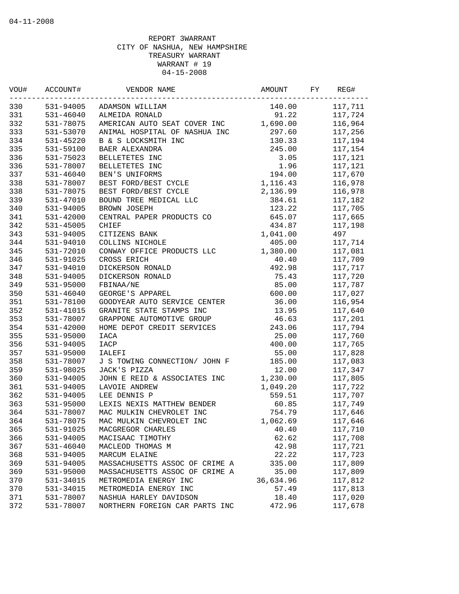| #UOV | ACCOUNT#  | VENDOR NAME                    | AMOUNT    | FY | REG#    |
|------|-----------|--------------------------------|-----------|----|---------|
| 330  | 531-94005 | ADAMSON WILLIAM                | 140.00    |    | 117,711 |
| 331  | 531-46040 | ALMEIDA RONALD                 | 91.22     |    | 117,724 |
| 332  | 531-78075 | AMERICAN AUTO SEAT COVER INC   | 1,690.00  |    | 116,964 |
| 333  | 531-53070 | ANIMAL HOSPITAL OF NASHUA INC  | 297.60    |    | 117,256 |
| 334  | 531-45220 | B & S LOCKSMITH INC            | 130.33    |    | 117,194 |
| 335  | 531-59100 | BAER ALEXANDRA                 | 245.00    |    | 117,154 |
| 336  | 531-75023 | BELLETETES INC                 | 3.05      |    | 117,121 |
| 336  | 531-78007 | BELLETETES INC                 | 1.96      |    | 117,121 |
| 337  | 531-46040 | BEN'S UNIFORMS                 | 194.00    |    | 117,670 |
| 338  | 531-78007 | BEST FORD/BEST CYCLE           | 1,116.43  |    | 116,978 |
| 338  | 531-78075 | BEST FORD/BEST CYCLE           | 2,136.99  |    | 116,978 |
| 339  | 531-47010 | BOUND TREE MEDICAL LLC         | 384.61    |    | 117,182 |
| 340  | 531-94005 | BROWN JOSEPH                   | 123.22    |    | 117,705 |
| 341  | 531-42000 | CENTRAL PAPER PRODUCTS CO      | 645.07    |    | 117,665 |
| 342  | 531-45005 | CHIEF                          | 434.87    |    | 117,198 |
| 343  | 531-94005 | CITIZENS BANK                  | 1,041.00  |    | 497     |
| 344  | 531-94010 | COLLINS NICHOLE                | 405.00    |    | 117,714 |
| 345  | 531-72010 | CONWAY OFFICE PRODUCTS LLC     | 1,380.00  |    | 117,081 |
| 346  | 531-91025 | CROSS ERICH                    | 40.40     |    | 117,709 |
| 347  | 531-94010 | DICKERSON RONALD               | 492.98    |    | 117,717 |
| 348  | 531-94005 | DICKERSON RONALD               | 75.43     |    | 117,720 |
| 349  | 531-95000 | FBINAA/NE                      | 85.00     |    | 117,787 |
| 350  | 531-46040 | GEORGE'S APPAREL               | 600.00    |    | 117,027 |
| 351  | 531-78100 | GOODYEAR AUTO SERVICE CENTER   | 36.00     |    | 116,954 |
| 352  | 531-41015 | GRANITE STATE STAMPS INC       | 13.95     |    | 117,640 |
| 353  | 531-78007 | GRAPPONE AUTOMOTIVE GROUP      | 46.63     |    | 117,201 |
| 354  | 531-42000 | HOME DEPOT CREDIT SERVICES     | 243.06    |    | 117,794 |
| 355  | 531-95000 | <b>IACA</b>                    | 25.00     |    | 117,760 |
| 356  | 531-94005 | IACP                           | 400.00    |    | 117,765 |
| 357  | 531-95000 | IALEFI                         | 55.00     |    | 117,828 |
| 358  | 531-78007 | J S TOWING CONNECTION/ JOHN F  | 185.00    |    | 117,083 |
| 359  | 531-98025 | JACK'S PIZZA                   | 12.00     |    | 117,347 |
| 360  | 531-94005 | JOHN E REID & ASSOCIATES INC   | 1,230.00  |    | 117,805 |
| 361  | 531-94005 | LAVOIE ANDREW                  | 1,049.20  |    | 117,722 |
| 362  | 531-94005 | LEE DENNIS P                   | 559.51    |    | 117,707 |
| 363  | 531-95000 | LEXIS NEXIS MATTHEW BENDER     | 60.85     |    | 117,749 |
| 364  | 531-78007 | MAC MULKIN CHEVROLET INC       | 754.79    |    | 117,646 |
| 364  | 531-78075 | MAC MULKIN CHEVROLET INC       | 1,062.69  |    | 117,646 |
| 365  | 531-91025 | MACGREGOR CHARLES              | 40.40     |    | 117,710 |
| 366  | 531-94005 | MACISAAC TIMOTHY               | 62.62     |    | 117,708 |
| 367  | 531-46040 | MACLEOD THOMAS M               | 42.98     |    | 117,721 |
| 368  | 531-94005 | MARCUM ELAINE                  | 22.22     |    | 117,723 |
| 369  | 531-94005 | MASSACHUSETTS ASSOC OF CRIME A | 335.00    |    | 117,809 |
| 369  | 531-95000 | MASSACHUSETTS ASSOC OF CRIME A | 35.00     |    | 117,809 |
| 370  | 531-34015 | METROMEDIA ENERGY INC          | 36,634.96 |    | 117,812 |
| 370  | 531-34015 | METROMEDIA ENERGY INC          | 57.49     |    | 117,813 |
| 371  | 531-78007 | NASHUA HARLEY DAVIDSON         | 18.40     |    | 117,020 |
| 372  | 531-78007 | NORTHERN FOREIGN CAR PARTS INC | 472.96    |    | 117,678 |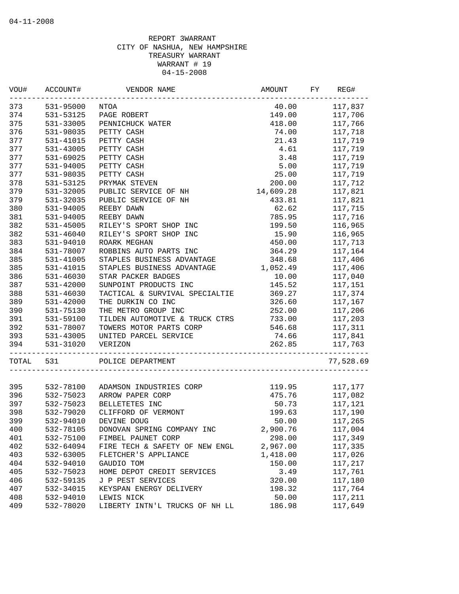| WOU#  | ACCOUNT#  | VENDOR NAME                                               | AMOUNT    | FY | REG#      |
|-------|-----------|-----------------------------------------------------------|-----------|----|-----------|
| 373   | 531-95000 | NTOA                                                      | 40.00     |    | 117,837   |
| 374   | 531-53125 | PAGE ROBERT                                               | 149.00    |    | 117,706   |
| 375   | 531-33005 | PENNICHUCK WATER                                          | 418.00    |    | 117,766   |
| 376   | 531-98035 | PETTY CASH                                                | 74.00     |    | 117,718   |
| 377   | 531-41015 | PETTY CASH                                                | 21.43     |    | 117,719   |
| 377   | 531-43005 | PETTY CASH                                                | 4.61      |    | 117,719   |
| 377   | 531-69025 | PETTY CASH                                                | 3.48      |    | 117,719   |
| 377   | 531-94005 | PETTY CASH                                                | 5.00      |    | 117,719   |
| 377   | 531-98035 | PETTY CASH                                                | 25.00     |    | 117,719   |
| 378   | 531-53125 | PRYMAK STEVEN                                             | 200.00    |    | 117,712   |
| 379   | 531-32005 | PUBLIC SERVICE OF NH                                      | 14,609.28 |    | 117,821   |
| 379   | 531-32035 | PUBLIC SERVICE OF NH                                      | 433.81    |    | 117,821   |
| 380   | 531-94005 | REEBY DAWN                                                | 62.62     |    | 117,715   |
| 381   | 531-94005 | REEBY DAWN                                                | 785.95    |    | 117,716   |
| 382   | 531-45005 | RILEY'S SPORT SHOP INC                                    | 199.50    |    | 116,965   |
| 382   | 531-46040 | RILEY'S SPORT SHOP INC                                    | 15.90     |    | 116,965   |
| 383   | 531-94010 | ROARK MEGHAN                                              | 450.00    |    | 117,713   |
| 384   | 531-78007 | ROBBINS AUTO PARTS INC                                    | 364.29    |    | 117,164   |
| 385   | 531-41005 | STAPLES BUSINESS ADVANTAGE                                | 348.68    |    | 117,406   |
| 385   | 531-41015 | STAPLES BUSINESS ADVANTAGE                                | 1,052.49  |    | 117,406   |
| 386   | 531-46030 | STAR PACKER BADGES                                        | 10.00     |    | 117,040   |
| 387   | 531-42000 | SUNPOINT PRODUCTS INC                                     | 145.52    |    | 117,151   |
| 388   | 531-46030 | TACTICAL & SURVIVAL SPECIALTIE                            | 369.27    |    | 117,374   |
| 389   | 531-42000 | THE DURKIN CO INC                                         | 326.60    |    | 117,167   |
| 390   | 531-75130 | THE METRO GROUP INC                                       | 252.00    |    | 117,206   |
| 391   | 531-59100 | TILDEN AUTOMOTIVE & TRUCK CTRS                            | 733.00    |    | 117,203   |
| 392   | 531-78007 | TOWERS MOTOR PARTS CORP                                   | 546.68    |    | 117,311   |
| 393   | 531-43005 | UNITED PARCEL SERVICE                                     | 74.66     |    | 117,841   |
| 394   | 531-31020 | VERIZON                                                   | 262.85    |    | 117,763   |
| TOTAL | 531       | ------------------------------------<br>POLICE DEPARTMENT |           |    | 77,528.69 |
|       |           |                                                           |           |    |           |
| 395   | 532-78100 | ADAMSON INDUSTRIES CORP                                   | 119.95    |    | 117,177   |
| 396   | 532-75023 | ARROW PAPER CORP                                          | 475.76    |    | 117,082   |
| 397   | 532-75023 | BELLETETES INC                                            | 50.73     |    | 117,121   |
| 398   | 532-79020 | CLIFFORD OF VERMONT                                       | 199.63    |    | 117,190   |
| 399   | 532-94010 | DEVINE DOUG                                               | 50.00     |    | 117,265   |
| 400   | 532-78105 | DONOVAN SPRING COMPANY INC                                | 2,900.76  |    | 117,004   |
| 401   | 532-75100 | FIMBEL PAUNET CORP                                        | 298.00    |    | 117,349   |
| 402   | 532-64094 | FIRE TECH & SAFETY OF NEW ENGL                            | 2,967.00  |    | 117,335   |
| 403   | 532-63005 | FLETCHER'S APPLIANCE                                      | 1,418.00  |    | 117,026   |
| 404   | 532-94010 | GAUDIO TOM                                                | 150.00    |    | 117,217   |
| 405   | 532-75023 | HOME DEPOT CREDIT SERVICES                                | 3.49      |    | 117,761   |
| 406   | 532-59135 | J P PEST SERVICES                                         | 320.00    |    | 117,180   |
| 407   | 532-34015 | KEYSPAN ENERGY DELIVERY                                   | 198.32    |    | 117,764   |
| 408   | 532-94010 | LEWIS NICK                                                | 50.00     |    | 117,211   |
| 409   | 532-78020 | LIBERTY INTN'L TRUCKS OF NH LL                            | 186.98    |    | 117,649   |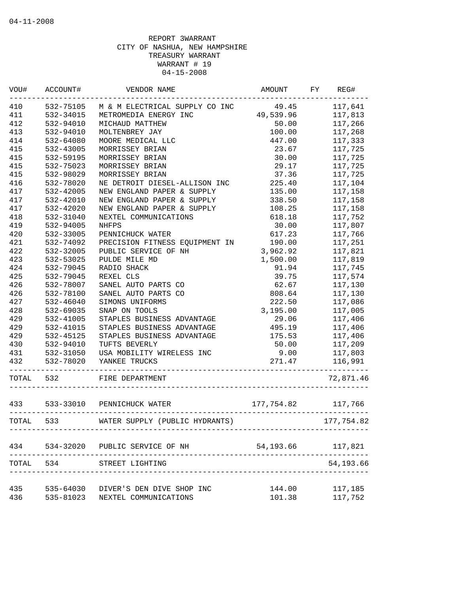| VOU#  | ACCOUNT#      | VENDOR NAME                                      | AMOUNT              | FY | REG#       |
|-------|---------------|--------------------------------------------------|---------------------|----|------------|
| 410   | 532-75105     | M & M ELECTRICAL SUPPLY CO INC                   | 49.45               |    | 117,641    |
| 411   | 532-34015     | METROMEDIA ENERGY INC                            | 49,539.96           |    | 117,813    |
| 412   | 532-94010     | MICHAUD MATTHEW                                  | 50.00               |    | 117,266    |
| 413   | 532-94010     | MOLTENBREY JAY                                   | 100.00              |    | 117,268    |
| 414   | 532-64080     | MOORE MEDICAL LLC                                | 447.00              |    | 117,333    |
| 415   | 532-43005     | MORRISSEY BRIAN                                  | 23.67               |    | 117,725    |
| 415   | 532-59195     | MORRISSEY BRIAN                                  | 30.00               |    | 117,725    |
| 415   | 532-75023     | MORRISSEY BRIAN                                  | 29.17               |    | 117,725    |
| 415   | 532-98029     | MORRISSEY BRIAN                                  | 37.36               |    | 117,725    |
| 416   | 532-78020     | NE DETROIT DIESEL-ALLISON INC                    | 225.40              |    | 117,104    |
| 417   | 532-42005     | NEW ENGLAND PAPER & SUPPLY                       | 135.00              |    | 117,158    |
| 417   | 532-42010     | NEW ENGLAND PAPER & SUPPLY                       | 338.50              |    | 117,158    |
| 417   | 532-42020     | NEW ENGLAND PAPER & SUPPLY                       | 108.25              |    | 117,158    |
| 418   | 532-31040     | NEXTEL COMMUNICATIONS                            | 618.18              |    | 117,752    |
| 419   | 532-94005     | <b>NHFPS</b>                                     | 30.00               |    | 117,807    |
| 420   | 532-33005     | PENNICHUCK WATER                                 | 617.23              |    | 117,766    |
| 421   | 532-74092     | PRECISION FITNESS EQUIPMENT IN                   | 190.00              |    | 117,251    |
| 422   | 532-32005     | PUBLIC SERVICE OF NH                             | 3,962.92            |    | 117,821    |
| 423   | 532-53025     | PULDE MILE MD                                    | 1,500.00            |    | 117,819    |
| 424   | 532-79045     | RADIO SHACK                                      | 91.94               |    | 117,745    |
| 425   | 532-79045     | REXEL CLS                                        | 39.75               |    | 117,574    |
| 426   | 532-78007     | SANEL AUTO PARTS CO                              | 62.67               |    | 117,130    |
| 426   | 532-78100     | SANEL AUTO PARTS CO                              | 808.64              |    | 117,130    |
| 427   | $532 - 46040$ | SIMONS UNIFORMS                                  | 222.50              |    | 117,086    |
| 428   | 532-69035     | SNAP ON TOOLS                                    | 3,195.00            |    | 117,005    |
| 429   | 532-41005     | STAPLES BUSINESS ADVANTAGE                       | 29.06               |    | 117,406    |
| 429   | 532-41015     | STAPLES BUSINESS ADVANTAGE                       | 495.19              |    | 117,406    |
| 429   | 532-45125     | STAPLES BUSINESS ADVANTAGE                       | 175.53              |    | 117,406    |
| 430   | 532-94010     | TUFTS BEVERLY                                    | 50.00               |    | 117,209    |
| 431   | 532-31050     | USA MOBILITY WIRELESS INC                        | 9.00                |    | 117,803    |
| 432   | 532-78020     | YANKEE TRUCKS                                    | 271.47              |    | 116,991    |
| TOTAL | 532           | FIRE DEPARTMENT                                  |                     |    | 72,871.46  |
| 433   |               | 533-33010 PENNICHUCK WATER                       | 177,754.82          |    | 117,766    |
| TOTAL | 533           | WATER SUPPLY (PUBLIC HYDRANTS)                   |                     |    | 177,754.82 |
|       |               |                                                  |                     |    |            |
| 434   | 534-32020     | PUBLIC SERVICE OF NH                             | 54, 193.66 117, 821 |    |            |
| TOTAL | 534           | STREET LIGHTING<br>_____________________________ |                     |    | 54, 193.66 |
| 435   | 535-64030     | DIVER'S DEN DIVE SHOP INC                        | 144.00              |    | 117,185    |
| 436   | 535-81023     | NEXTEL COMMUNICATIONS                            | 101.38              |    | 117,752    |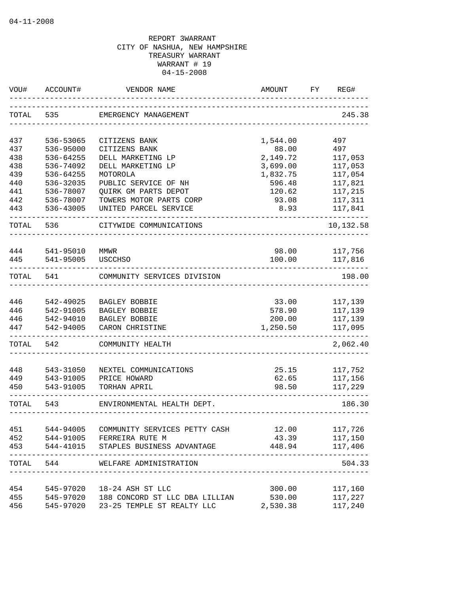| WOU#       | ACCOUNT#  | VENDOR NAME                                                             | AMOUNT           | REG#<br>FY |
|------------|-----------|-------------------------------------------------------------------------|------------------|------------|
| TOTAL      | 535       | EMERGENCY MANAGEMENT                                                    |                  | 245.38     |
| 437        | 536-53065 | CITIZENS BANK                                                           | 1,544.00         | 497        |
| 437        | 536-95000 | CITIZENS BANK                                                           | 88.00            | 497        |
| 438        | 536-64255 | DELL MARKETING LP                                                       | 2,149.72         | 117,053    |
| 438        | 536-74092 | DELL MARKETING LP                                                       | 3,699.00         | 117,053    |
| 439        | 536-64255 | MOTOROLA                                                                | 1,832.75         | 117,054    |
| 440        | 536-32035 | PUBLIC SERVICE OF NH                                                    | 596.48           | 117,821    |
| 441        | 536-78007 | <b>QUIRK GM PARTS DEPOT</b>                                             | 120.62           | 117,215    |
| 442        | 536-78007 | TOWERS MOTOR PARTS CORP                                                 | 93.08            | 117,311    |
| 443        | 536-43005 | UNITED PARCEL SERVICE                                                   | 8.93             | 117,841    |
| TOTAL      | 536       | CITYWIDE COMMUNICATIONS                                                 |                  | 10,132.58  |
| 444        | 541-95010 | MMWR                                                                    | 98.00            | 117,756    |
| 445        | 541-95005 | <b>USCCHSO</b>                                                          | 100.00           | 117,816    |
| TOTAL      | 541       | COMMUNITY SERVICES DIVISION                                             |                  | 198.00     |
|            |           |                                                                         |                  |            |
| 446        | 542-49025 | BAGLEY BOBBIE                                                           | 33.00            | 117,139    |
| 446        | 542-91005 | BAGLEY BOBBIE                                                           | 578.90           | 117,139    |
| 446        | 542-94010 | BAGLEY BOBBIE                                                           | 200.00           | 117,139    |
| 447        | 542-94005 | CARON CHRISTINE                                                         | 1,250.50         | 117,095    |
| TOTAL      | 542       | COMMUNITY HEALTH                                                        |                  | 2,062.40   |
| 448        | 543-31050 | NEXTEL COMMUNICATIONS                                                   | 25.15            | 117,752    |
| 449        | 543-91005 | PRICE HOWARD                                                            | 62.65            | 117,156    |
| 450        | 543-91005 | TORHAN APRIL                                                            | 98.50            | 117,229    |
| TOTAL      | 543       | ENVIRONMENTAL HEALTH DEPT.                                              |                  | 186.30     |
| 451        | 544-94005 | COMMUNITY SERVICES PETTY CASH                                           | 12.00            | 117,726    |
| 452        |           | 544-91005 FERREIRA RUTE M                                               | 43.39            | 117,150    |
| 453        |           | 544-41015 STAPLES BUSINESS ADVANTAGE                                    | 448.94           | 117,406    |
|            |           | TOTAL 544 WELFARE ADMINISTRATION                                        |                  | 504.33     |
|            |           |                                                                         |                  | 117,160    |
| 454<br>455 |           | 545-97020  18-24 ASH ST LLC<br>545-97020 188 CONCORD ST LLC DBA LILLIAN | 300.00<br>530.00 | 117,227    |
| 456        | 545-97020 | 23-25 TEMPLE ST REALTY LLC                                              | 2,530.38         | 117,240    |
|            |           |                                                                         |                  |            |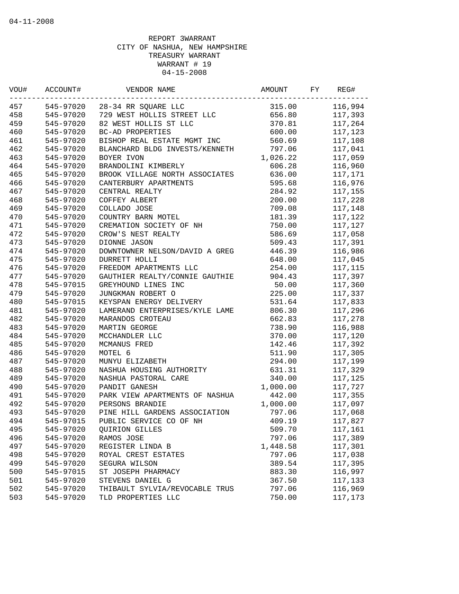| WOU# | ACCOUNT#  | VENDOR NAME                    | AMOUNT   | FY | REG#    |
|------|-----------|--------------------------------|----------|----|---------|
| 457  | 545-97020 | 28-34 RR SQUARE LLC            | 315.00   |    | 116,994 |
| 458  | 545-97020 | 729 WEST HOLLIS STREET LLC     | 656.80   |    | 117,393 |
| 459  | 545-97020 | 82 WEST HOLLIS ST LLC          | 370.81   |    | 117,264 |
| 460  | 545-97020 | <b>BC-AD PROPERTIES</b>        | 600.00   |    | 117,123 |
| 461  | 545-97020 | BISHOP REAL ESTATE MGMT INC    | 560.69   |    | 117,108 |
| 462  | 545-97020 | BLANCHARD BLDG INVESTS/KENNETH | 797.06   |    | 117,041 |
| 463  | 545-97020 | BOYER IVON                     | 1,026.22 |    | 117,059 |
| 464  | 545-97020 | BRANDOLINI KIMBERLY            | 606.28   |    | 116,960 |
| 465  | 545-97020 | BROOK VILLAGE NORTH ASSOCIATES | 636.00   |    | 117,171 |
| 466  | 545-97020 | CANTERBURY APARTMENTS          | 595.68   |    | 116,976 |
| 467  | 545-97020 | CENTRAL REALTY                 | 284.92   |    | 117,155 |
| 468  | 545-97020 | COFFEY ALBERT                  | 200.00   |    | 117,228 |
| 469  | 545-97020 | COLLADO JOSE                   | 709.08   |    | 117,148 |
| 470  | 545-97020 | COUNTRY BARN MOTEL             | 181.39   |    | 117,122 |
| 471  | 545-97020 | CREMATION SOCIETY OF NH        | 750.00   |    | 117,127 |
| 472  | 545-97020 | CROW'S NEST REALTY             | 586.69   |    | 117,058 |
| 473  | 545-97020 | DIONNE JASON                   | 509.43   |    | 117,391 |
| 474  | 545-97020 | DOWNTOWNER NELSON/DAVID A GREG | 446.39   |    | 116,986 |
| 475  | 545-97020 | DURRETT HOLLI                  | 648.00   |    | 117,045 |
| 476  | 545-97020 | FREEDOM APARTMENTS LLC         | 254.00   |    | 117,115 |
| 477  | 545-97020 | GAUTHIER REALTY/CONNIE GAUTHIE | 904.43   |    | 117,397 |
| 478  | 545-97015 | GREYHOUND LINES INC            | 50.00    |    | 117,360 |
| 479  | 545-97020 | JUNGKMAN ROBERT O              | 225.00   |    | 117,337 |
| 480  | 545-97015 | KEYSPAN ENERGY DELIVERY        | 531.64   |    | 117,833 |
| 481  | 545-97020 | LAMERAND ENTERPRISES/KYLE LAME | 806.30   |    | 117,296 |
| 482  | 545-97020 | MARANDOS CROTEAU               | 662.83   |    | 117,278 |
| 483  | 545-97020 | MARTIN GEORGE                  | 738.90   |    | 116,988 |
| 484  | 545-97020 | MCCHANDLER LLC                 | 370.00   |    | 117,120 |
| 485  | 545-97020 | MCMANUS FRED                   | 142.46   |    | 117,392 |
| 486  | 545-97020 | MOTEL 6                        | 511.90   |    | 117,305 |
| 487  | 545-97020 | MUNYU ELIZABETH                | 294.00   |    | 117,199 |
| 488  | 545-97020 | NASHUA HOUSING AUTHORITY       | 631.31   |    | 117,329 |
| 489  | 545-97020 | NASHUA PASTORAL CARE           | 340.00   |    | 117,125 |
| 490  | 545-97020 | PANDIT GANESH                  | 1,000.00 |    | 117,727 |
| 491  | 545-97020 | PARK VIEW APARTMENTS OF NASHUA | 442.00   |    | 117,355 |
| 492  | 545-97020 | PERSONS BRANDIE                | 1,000.00 |    | 117,097 |
| 493  | 545-97020 | PINE HILL GARDENS ASSOCIATION  | 797.06   |    | 117,068 |
| 494  | 545-97015 | PUBLIC SERVICE CO OF NH        | 409.19   |    | 117,827 |
| 495  | 545-97020 | QUIRION GILLES                 | 509.70   |    | 117,161 |
| 496  | 545-97020 | RAMOS JOSE                     | 797.06   |    | 117,389 |
| 497  | 545-97020 | REGISTER LINDA B               | 1,448.58 |    | 117,301 |
| 498  | 545-97020 | ROYAL CREST ESTATES            | 797.06   |    | 117,038 |
| 499  | 545-97020 | SEGURA WILSON                  | 389.54   |    | 117,395 |
| 500  | 545-97015 | ST JOSEPH PHARMACY             | 883.30   |    | 116,997 |
| 501  | 545-97020 | STEVENS DANIEL G               | 367.50   |    | 117,133 |
| 502  | 545-97020 | THIBAULT SYLVIA/REVOCABLE TRUS | 797.06   |    | 116,969 |
| 503  | 545-97020 | TLD PROPERTIES LLC             | 750.00   |    | 117,173 |
|      |           |                                |          |    |         |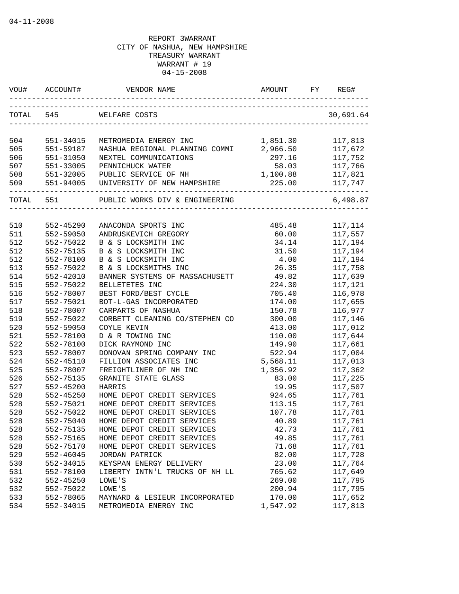| WOU#       | ACCOUNT#               | VENDOR NAME                                            | AMOUNT                | REG#               |
|------------|------------------------|--------------------------------------------------------|-----------------------|--------------------|
|            | TOTAL 545              | WELFARE COSTS                                          |                       | 30,691.64          |
| 504        | 551-34015              | METROMEDIA ENERGY INC                                  | 1,851.30              | 117,813            |
| 505        | 551-59187              | NASHUA REGIONAL PLANNING COMMI                         | 2,966.50              | 117,672            |
| 506        | 551-31050              | NEXTEL COMMUNICATIONS                                  | 297.16                | 117,752            |
| 507        | 551-33005              | PENNICHUCK WATER                                       |                       | 58.03 117,766      |
| 508        | 551-32005              | PUBLIC SERVICE OF NH                                   | 1,100.88 117,821      |                    |
| 509        | 551-94005              | UNIVERSITY OF NEW HAMPSHIRE                            | --------------------- | 225.00 117,747     |
| TOTAL 551  |                        | PUBLIC WORKS DIV & ENGINEERING                         |                       | 6,498.87           |
|            |                        |                                                        |                       |                    |
| 510        | 552-45290              | ANACONDA SPORTS INC                                    | 485.48                | 117,114            |
| 511        | 552-59050              | ANDRUSKEVICH GREGORY                                   | 60.00                 | 117,557            |
| 512        | 552-75022              | B & S LOCKSMITH INC                                    | 34.14                 | 117,194            |
| 512        | 552-75135              | B & S LOCKSMITH INC                                    | 31.50                 | 117,194            |
| 512        | 552-78100              | B & S LOCKSMITH INC                                    | 4.00                  | 117,194            |
| 513        | 552-75022              | B & S LOCKSMITHS INC<br>BANNER SYSTEMS OF MASSACHUSETT | 26.35                 | 117,758            |
| 514        | 552-42010              |                                                        | 49.82                 | 117,639            |
| 515        | 552-75022              | BELLETETES INC                                         | 224.30                | 117,121            |
| 516        | 552-78007              | BEST FORD/BEST CYCLE                                   | 705.40                | 116,978            |
| 517        | 552-75021<br>552-78007 | BOT-L-GAS INCORPORATED                                 | 174.00                | 117,655            |
| 518        | 552-75022              | CARPARTS OF NASHUA                                     | 150.78                | 116,977            |
| 519<br>520 | 552-59050              | CORBETT CLEANING CO/STEPHEN CO<br>COYLE KEVIN          | 300.00<br>413.00      | 117,146<br>117,012 |
| 521        | 552-78100              | D & R TOWING INC                                       | 110.00                | 117,644            |
| 522        | 552-78100              | DICK RAYMOND INC                                       | 149.90                | 117,661            |
| 523        | 552-78007              | DONOVAN SPRING COMPANY INC                             | 522.94                | 117,004            |
| 524        | 552-45110              | FILLION ASSOCIATES INC                                 | 5,568.11              | 117,013            |
| 525        | 552-78007              | FREIGHTLINER OF NH INC                                 | 1,356.92              | 117,362            |
| 526        | 552-75135              | GRANITE STATE GLASS                                    | 83.00                 | 117,225            |
| 527        | 552-45200              | HARRIS                                                 | 19.95                 | 117,507            |
| 528        | 552-45250              | HOME DEPOT CREDIT SERVICES                             | 924.65                | 117,761            |
| 528        | 552-75021              | HOME DEPOT CREDIT SERVICES                             | 113.15                | 117,761            |
| 528        | 552-75022              | HOME DEPOT CREDIT SERVICES                             | 107.78                | 117,761            |
| 528        | 552-75040              | HOME DEPOT CREDIT SERVICES                             | 40.89                 | 117,761            |
| 528        | 552-75135              | HOME DEPOT CREDIT SERVICES                             | 42.73                 | 117,761            |
| 528        | 552-75165              | HOME DEPOT CREDIT SERVICES                             | 49.85                 | 117,761            |
| 528        | 552-75170              | HOME DEPOT CREDIT SERVICES                             | 71.68                 | 117,761            |
| 529        | 552-46045              | JORDAN PATRICK                                         | 82.00                 | 117,728            |
| 530        | 552-34015              | KEYSPAN ENERGY DELIVERY                                | 23.00                 | 117,764            |
| 531        | 552-78100              | LIBERTY INTN'L TRUCKS OF NH LL                         | 765.62                | 117,649            |
| 532        | 552-45250              | LOWE'S                                                 | 269.00                | 117,795            |
| 532        | 552-75022              | LOWE'S                                                 | 200.94                | 117,795            |
| 533        | 552-78065              | MAYNARD & LESIEUR INCORPORATED                         | 170.00                | 117,652            |
| 534        | 552-34015              | METROMEDIA ENERGY INC                                  | 1,547.92              | 117,813            |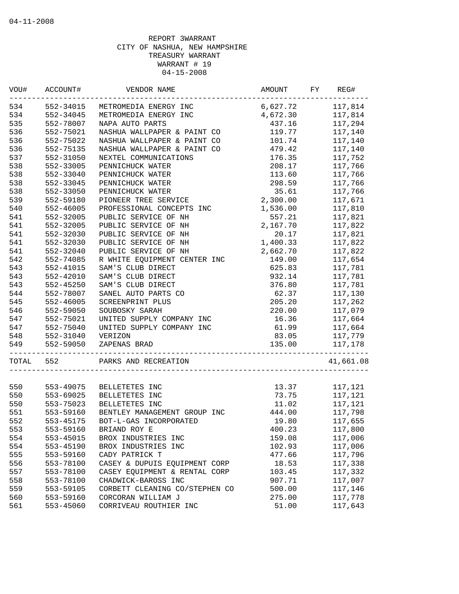| WOU#  | ACCOUNT#  | VENDOR NAME                    | AMOUNT                          | FY | REG#      |
|-------|-----------|--------------------------------|---------------------------------|----|-----------|
| 534   | 552-34015 | METROMEDIA ENERGY INC          | 6,627.72                        |    | 117,814   |
| 534   | 552-34045 | METROMEDIA ENERGY INC          | 4,672.30                        |    | 117,814   |
| 535   | 552-78007 | NAPA AUTO PARTS                | 437.16                          |    | 117,294   |
| 536   | 552-75021 | NASHUA WALLPAPER & PAINT CO    | 119.77                          |    | 117,140   |
| 536   | 552-75022 | NASHUA WALLPAPER & PAINT CO    | 101.74                          |    | 117,140   |
| 536   | 552-75135 | NASHUA WALLPAPER & PAINT CO    | 479.42                          |    | 117,140   |
| 537   | 552-31050 | NEXTEL COMMUNICATIONS          | 176.35                          |    | 117,752   |
| 538   | 552-33005 | PENNICHUCK WATER               | 208.17                          |    | 117,766   |
| 538   | 552-33040 | PENNICHUCK WATER               | 113.60                          |    | 117,766   |
| 538   | 552-33045 | PENNICHUCK WATER               | 298.59                          |    | 117,766   |
| 538   | 552-33050 | PENNICHUCK WATER               | 35.61                           |    | 117,766   |
| 539   | 552-59180 | PIONEER TREE SERVICE           | 2,300.00                        |    | 117,671   |
| 540   | 552-46005 | PROFESSIONAL CONCEPTS INC      | 1,536.00                        |    | 117,810   |
| 541   | 552-32005 | PUBLIC SERVICE OF NH           | 557.21                          |    | 117,821   |
| 541   | 552-32005 | PUBLIC SERVICE OF NH           | 2,167.70                        |    | 117,822   |
| 541   | 552-32030 | PUBLIC SERVICE OF NH           | 20.17                           |    | 117,821   |
| 541   | 552-32030 | PUBLIC SERVICE OF NH           | 1,400.33                        |    | 117,822   |
| 541   | 552-32040 | PUBLIC SERVICE OF NH           | 2,662.70                        |    | 117,822   |
| 542   | 552-74085 | R WHITE EQUIPMENT CENTER INC   | 149.00                          |    | 117,654   |
| 543   | 552-41015 | SAM'S CLUB DIRECT              | 625.83                          |    | 117,781   |
| 543   | 552-42010 | SAM'S CLUB DIRECT              | 932.14                          |    | 117,781   |
| 543   | 552-45250 | SAM'S CLUB DIRECT              | 376.80                          |    | 117,781   |
| 544   | 552-78007 | SANEL AUTO PARTS CO            | 62.37                           |    | 117,130   |
| 545   | 552-46005 | SCREENPRINT PLUS               | 205.20                          |    | 117,262   |
| 546   | 552-59050 | SOUBOSKY SARAH                 | 220.00                          |    | 117,079   |
| 547   | 552-75021 | UNITED SUPPLY COMPANY INC      | 16.36                           |    | 117,664   |
| 547   | 552-75040 | UNITED SUPPLY COMPANY INC      | 61.99                           |    | 117,664   |
| 548   | 552-31040 | VERIZON                        | 83.05                           |    | 117,779   |
| 549   | 552-59050 | ZAPENAS BRAD                   | 135.00                          |    |           |
|       |           |                                | _______________________________ |    | 117,178   |
| TOTAL | 552       | PARKS AND RECREATION           |                                 |    | 41,661.08 |
|       |           |                                |                                 |    |           |
| 550   | 553-49075 | BELLETETES INC                 | 13.37                           |    | 117,121   |
| 550   | 553-69025 | BELLETETES INC                 | 73.75                           |    | 117,121   |
| 550   | 553-75023 | BELLETETES INC                 | 11.02                           |    | 117,121   |
| 551   | 553-59160 | BENTLEY MANAGEMENT GROUP INC   | 444.00                          |    | 117,798   |
| 552   | 553-45175 | BOT-L-GAS INCORPORATED         | 19.80                           |    | 117,655   |
| 553   | 553-59160 | BRIAND ROY E                   | 400.23                          |    | 117,800   |
| 554   | 553-45015 | BROX INDUSTRIES INC            | 159.08                          |    | 117,006   |
| 554   | 553-45190 | BROX INDUSTRIES INC            | 102.93                          |    | 117,006   |
| 555   | 553-59160 | CADY PATRICK T                 | 477.66                          |    | 117,796   |
| 556   | 553-78100 | CASEY & DUPUIS EQUIPMENT CORP  | 18.53                           |    | 117,338   |
| 557   | 553-78100 | CASEY EQUIPMENT & RENTAL CORP  | 103.45                          |    | 117,332   |
| 558   | 553-78100 | CHADWICK-BAROSS INC            | 907.71                          |    | 117,007   |
| 559   | 553-59105 | CORBETT CLEANING CO/STEPHEN CO | 500.00                          |    | 117,146   |
| 560   | 553-59160 | CORCORAN WILLIAM J             | 275.00                          |    | 117,778   |
| 561   | 553-45060 | CORRIVEAU ROUTHIER INC         | 51.00                           |    | 117,643   |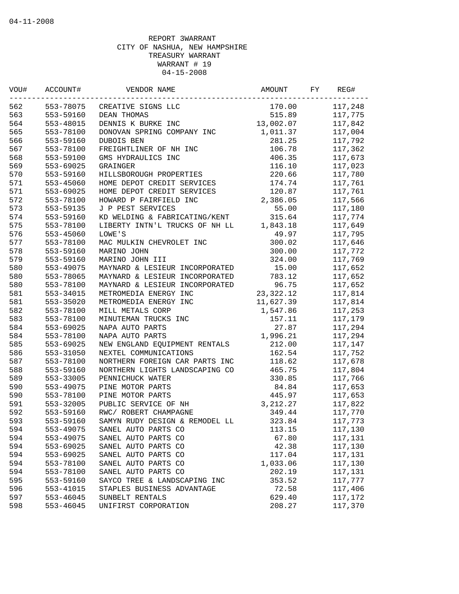| VOU# | ACCOUNT#      | VENDOR NAME                    | AMOUNT      | FY | REG#    |
|------|---------------|--------------------------------|-------------|----|---------|
| 562  | 553-78075     | CREATIVE SIGNS LLC             | 170.00      |    | 117,248 |
| 563  | 553-59160     | DEAN THOMAS                    | 515.89      |    | 117,775 |
| 564  | 553-48015     | DENNIS K BURKE INC             | 13,002.07   |    | 117,842 |
| 565  | 553-78100     | DONOVAN SPRING COMPANY INC     | 1,011.37    |    | 117,004 |
| 566  | 553-59160     | DUBOIS BEN                     | 281.25      |    | 117,792 |
| 567  | 553-78100     | FREIGHTLINER OF NH INC         | 106.78      |    | 117,362 |
| 568  | 553-59100     | GMS HYDRAULICS INC             | 406.35      |    | 117,673 |
| 569  | 553-69025     | GRAINGER                       | 116.10      |    | 117,023 |
| 570  | 553-59160     | HILLSBOROUGH PROPERTIES        | 220.66      |    | 117,780 |
| 571  | 553-45060     | HOME DEPOT CREDIT SERVICES     | 174.74      |    | 117,761 |
| 571  | 553-69025     | HOME DEPOT CREDIT SERVICES     | 120.87      |    | 117,761 |
| 572  | 553-78100     | HOWARD P FAIRFIELD INC         | 2,386.05    |    | 117,566 |
| 573  | 553-59135     | J P PEST SERVICES              | 55.00       |    | 117,180 |
| 574  | 553-59160     | KD WELDING & FABRICATING/KENT  | 315.64      |    | 117,774 |
| 575  | 553-78100     | LIBERTY INTN'L TRUCKS OF NH LL | 1,843.18    |    | 117,649 |
| 576  | 553-45060     | LOWE'S                         | 49.97       |    | 117,795 |
| 577  | 553-78100     | MAC MULKIN CHEVROLET INC       | 300.02      |    | 117,646 |
| 578  | 553-59160     | MARINO JOHN                    | 300.00      |    | 117,772 |
| 579  | 553-59160     | MARINO JOHN III                | 324.00      |    | 117,769 |
| 580  | 553-49075     | MAYNARD & LESIEUR INCORPORATED | 15.00       |    | 117,652 |
| 580  | 553-78065     | MAYNARD & LESIEUR INCORPORATED | 783.12      |    | 117,652 |
| 580  | 553-78100     | MAYNARD & LESIEUR INCORPORATED | 96.75       |    | 117,652 |
| 581  | $553 - 34015$ | METROMEDIA ENERGY INC          | 23, 322. 12 |    | 117,814 |
| 581  | 553-35020     | METROMEDIA ENERGY INC          | 11,627.39   |    | 117,814 |
| 582  | 553-78100     | MILL METALS CORP               | 1,547.86    |    | 117,253 |
| 583  | 553-78100     | MINUTEMAN TRUCKS INC           | 157.11      |    | 117,179 |
| 584  | 553-69025     | NAPA AUTO PARTS                | 27.87       |    | 117,294 |
| 584  | 553-78100     | NAPA AUTO PARTS                | 1,996.21    |    | 117,294 |
| 585  | 553-69025     | NEW ENGLAND EQUIPMENT RENTALS  | 212.00      |    | 117,147 |
| 586  | 553-31050     | NEXTEL COMMUNICATIONS          | 162.54      |    | 117,752 |
| 587  | 553-78100     | NORTHERN FOREIGN CAR PARTS INC | 118.62      |    | 117,678 |
| 588  | 553-59160     | NORTHERN LIGHTS LANDSCAPING CO | 465.75      |    | 117,804 |
| 589  | 553-33005     | PENNICHUCK WATER               | 330.85      |    | 117,766 |
| 590  | 553-49075     | PINE MOTOR PARTS               | 84.84       |    | 117,653 |
| 590  | 553-78100     | PINE MOTOR PARTS               | 445.97      |    | 117,653 |
| 591  | 553-32005     | PUBLIC SERVICE OF NH           | 3, 212. 27  |    | 117,822 |
| 592  | 553-59160     | RWC/ ROBERT CHAMPAGNE          | 349.44      |    | 117,770 |
| 593  | 553-59160     | SAMYN RUDY DESIGN & REMODEL LL | 323.84      |    | 117,773 |
| 594  | 553-49075     | SANEL AUTO PARTS CO            | 113.15      |    | 117,130 |
| 594  | 553-49075     | SANEL AUTO PARTS CO            | 67.80       |    | 117,131 |
| 594  | 553-69025     | SANEL AUTO PARTS CO            | 42.38       |    | 117,130 |
| 594  | 553-69025     | SANEL AUTO PARTS CO            | 117.04      |    | 117,131 |
| 594  | 553-78100     | SANEL AUTO PARTS CO            | 1,033.06    |    | 117,130 |
| 594  |               |                                |             |    |         |
| 595  | 553-78100     | SANEL AUTO PARTS CO            | 202.19      |    | 117,131 |
|      | 553-59160     | SAYCO TREE & LANDSCAPING INC   | 353.52      |    | 117,777 |
| 596  | 553-41015     | STAPLES BUSINESS ADVANTAGE     | 72.58       |    | 117,406 |
| 597  | 553-46045     | SUNBELT RENTALS                | 629.40      |    | 117,172 |
| 598  | 553-46045     | UNIFIRST CORPORATION           | 208.27      |    | 117,370 |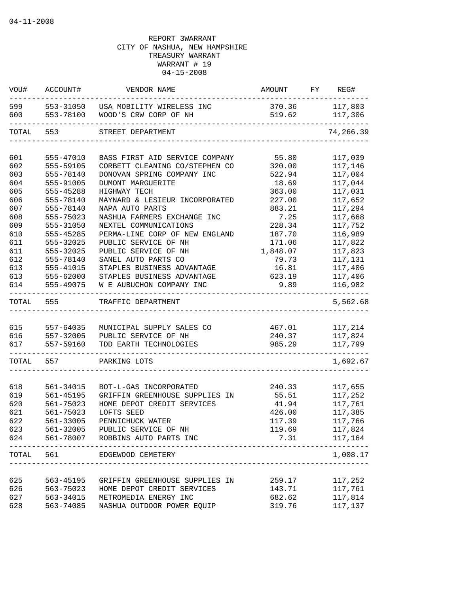| WOU#       | ACCOUNT#               | VENDOR NAME                                                  | AMOUNT           | FY REG#            |
|------------|------------------------|--------------------------------------------------------------|------------------|--------------------|
| 599<br>600 | 553-31050<br>553-78100 | USA MOBILITY WIRELESS INC<br>WOOD'S CRW CORP OF NH           | 370.36<br>519.62 | 117,803<br>117,306 |
| TOTAL      | 553                    | STREET DEPARTMENT                                            |                  | 74,266.39          |
|            |                        |                                                              |                  |                    |
| 601        | 555-47010              | BASS FIRST AID SERVICE COMPANY                               | 55.80            | 117,039            |
| 602        | 555-59105              | CORBETT CLEANING CO/STEPHEN CO                               | 320.00           | 117,146            |
| 603        | 555-78140              | DONOVAN SPRING COMPANY INC                                   | 522.94           | 117,004            |
| 604        | 555-91005              | DUMONT MARGUERITE                                            | 18.69            | 117,044            |
| 605        | 555-45288              | HIGHWAY TECH                                                 | 363.00           | 117,031            |
| 606        | 555-78140              | MAYNARD & LESIEUR INCORPORATED                               | 227.00           | 117,652            |
| 607        | 555-78140              | NAPA AUTO PARTS                                              | 883.21           | 117,294            |
| 608        | 555-75023              | NASHUA FARMERS EXCHANGE INC                                  | 7.25             | 117,668            |
| 609<br>610 | 555-31050<br>555-45285 | NEXTEL COMMUNICATIONS<br>PERMA-LINE CORP OF NEW ENGLAND      | 228.34<br>187.70 | 117,752<br>116,989 |
| 611        | 555-32025              | PUBLIC SERVICE OF NH                                         | 171.06           | 117,822            |
| 611        | 555-32025              | PUBLIC SERVICE OF NH                                         | 1,848.07         | 117,823            |
| 612        | 555-78140              | SANEL AUTO PARTS CO                                          | 79.73            | 117,131            |
| 613        | 555-41015              | STAPLES BUSINESS ADVANTAGE                                   | 16.81            | 117,406            |
| 613        | 555-62000              | STAPLES BUSINESS ADVANTAGE                                   | 623.19           | 117,406            |
| 614        | 555-49075              | W E AUBUCHON COMPANY INC                                     | 9.89             | 116,982            |
| TOTAL      | 555                    | TRAFFIC DEPARTMENT                                           |                  | 5,562.68           |
|            |                        |                                                              |                  |                    |
| 615        | 557-64035              | MUNICIPAL SUPPLY SALES CO                                    | 467.01           | 117,214            |
| 616<br>617 | 557-32005<br>557-59160 | PUBLIC SERVICE OF NH<br>TDD EARTH TECHNOLOGIES               | 240.37<br>985.29 | 117,824<br>117,799 |
| TOTAL      | 557                    | PARKING LOTS                                                 |                  | 1,692.67           |
|            |                        |                                                              |                  |                    |
| 618        | 561-34015              | BOT-L-GAS INCORPORATED                                       | 240.33           | 117,655            |
| 619        | 561-45195              | GRIFFIN GREENHOUSE SUPPLIES IN                               | 55.51            | 117,252            |
| 620        | 561-75023              | HOME DEPOT CREDIT SERVICES                                   | 41.94            | 117,761            |
| 621        | 561-75023              | LOFTS SEED                                                   | 426.00           | 117,385            |
| 622        | 561-33005              | PENNICHUCK WATER                                             | 117.39           | 117,766            |
| 623        |                        | 561-32005 PUBLIC SERVICE OF NH                               | 119.69           | 117,824            |
| 624        |                        | 561-78007 ROBBINS AUTO PARTS INC                             | 7.31             | 117,164            |
| TOTAL      | 561                    | EDGEWOOD CEMETERY<br>____________________                    |                  | 1,008.17           |
|            |                        |                                                              |                  |                    |
| 625        | 563-45195<br>563-75023 | GRIFFIN GREENHOUSE SUPPLIES IN<br>HOME DEPOT CREDIT SERVICES | 259.17<br>143.71 | 117,252<br>117,761 |
| 626<br>627 | 563-34015              | METROMEDIA ENERGY INC                                        | 682.62           | 117,814            |
| 628        | 563-74085              | NASHUA OUTDOOR POWER EQUIP                                   | 319.76           | 117,137            |
|            |                        |                                                              |                  |                    |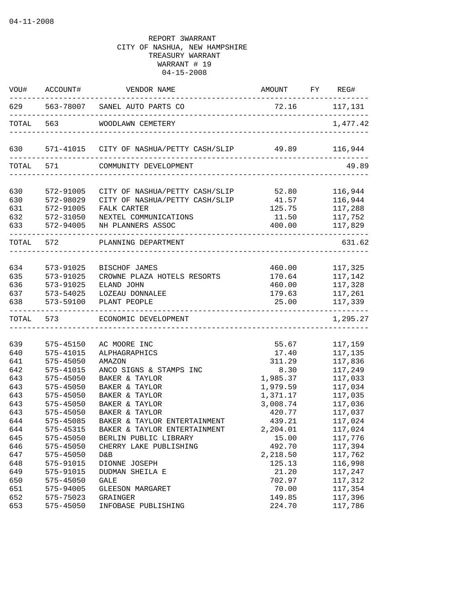| WOU#  | ACCOUNT#  | VENDOR NAME                                                                                                                    | AMOUNT FY REG# |                |
|-------|-----------|--------------------------------------------------------------------------------------------------------------------------------|----------------|----------------|
|       |           | 629 563-78007 SANEL AUTO PARTS CO<br>________________________                                                                  | 72.16 117,131  | -------------- |
| TOTAL |           | 563 WOODLAWN CEMETERY                                                                                                          |                | 1,477.42       |
| 630   |           | 571-41015    CITY OF NASHUA/PETTY CASH/SLIP    49.89    116,944                                                                |                |                |
|       | TOTAL 571 | COMMUNITY DEVELOPMENT                                                                                                          |                | 49.89          |
| 630   | 572-91005 | CITY OF NASHUA/PETTY CASH/SLIP 52.80                                                                                           |                | 116,944        |
| 630   | 572-98029 | CITY OF NASHUA/PETTY CASH/SLIP 41.57                                                                                           |                | 116,944        |
| 631   | 572-91005 | FALK CARTER                                                                                                                    | 125.75         | 117,288        |
| 632   | 572-31050 | NEXTEL COMMUNICATIONS                                                                                                          | 11.50          | 117,752        |
| 633   | 572-94005 | NH PLANNERS ASSOC                                                                                                              | 400.00         | 117,829        |
|       | TOTAL 572 | ----------------------------------<br>PLANNING DEPARTMENT                                                                      |                | 631.62         |
|       |           |                                                                                                                                |                |                |
| 634   | 573-91025 | BISCHOF JAMES                                                                                                                  |                | 460.00 117,325 |
| 635   | 573-91025 | CROWNE PLAZA HOTELS RESORTS                                                                                                    | 170.64         | 117,142        |
| 636   | 573-91025 | ELAND JOHN                                                                                                                     | 460.00         | 117,328        |
| 637   | 573-54025 | LOZEAU DONNALEE                                                                                                                | 179.63         | 117,261        |
| 638   | 573-59100 | PLANT PEOPLE<br>.cooperate at a construction of the construction of the construction of the construction of the construction o | 25.00          | 117,339        |
|       | TOTAL 573 | ECONOMIC DEVELOPMENT                                                                                                           |                | 1,295.27       |
| 639   | 575-45150 | AC MOORE INC                                                                                                                   | 55.67          | 117,159        |
| 640   | 575-41015 | ALPHAGRAPHICS                                                                                                                  | 17.40          | 117,135        |
| 641   | 575-45050 | AMAZON                                                                                                                         | 311.29         | 117,836        |
| 642   | 575-41015 | ANCO SIGNS & STAMPS INC                                                                                                        | 8.30           | 117,249        |
| 643   | 575-45050 | BAKER & TAYLOR                                                                                                                 | 1,985.37       | 117,033        |
| 643   | 575-45050 | BAKER & TAYLOR                                                                                                                 | 1,979.59       | 117,034        |
| 643   | 575-45050 | BAKER & TAYLOR                                                                                                                 | 1,371.17       | 117,035        |
| 643   | 575-45050 | BAKER & TAYLOR                                                                                                                 | 3,008.74       | 117,036        |
| 643   | 575-45050 | BAKER & TAYLOR                                                                                                                 | 420.77         | 117,037        |
| 644   | 575-45085 | BAKER & TAYLOR ENTERTAINMENT                                                                                                   | 439.21         | 117,024        |
| 644   | 575-45315 | BAKER & TAYLOR ENTERTAINMENT                                                                                                   | 2,204.01       | 117,024        |
| 645   | 575-45050 | BERLIN PUBLIC LIBRARY                                                                                                          | 15.00          | 117,776        |
| 646   | 575-45050 | CHERRY LAKE PUBLISHING                                                                                                         | 492.70         | 117,394        |
| 647   | 575-45050 | D&B                                                                                                                            | 2,218.50       | 117,762        |
| 648   | 575-91015 | DIONNE JOSEPH                                                                                                                  | 125.13         | 116,998        |
| 649   | 575-91015 | DUDMAN SHEILA E                                                                                                                | 21.20          | 117,247        |
| 650   | 575-45050 | <b>GALE</b>                                                                                                                    | 702.97         | 117,312        |
| 651   | 575-94005 | GLEESON MARGARET                                                                                                               | 70.00          | 117,354        |
| 652   | 575-75023 | GRAINGER                                                                                                                       | 149.85         | 117,396        |
| 653   | 575-45050 | INFOBASE PUBLISHING                                                                                                            | 224.70         | 117,786        |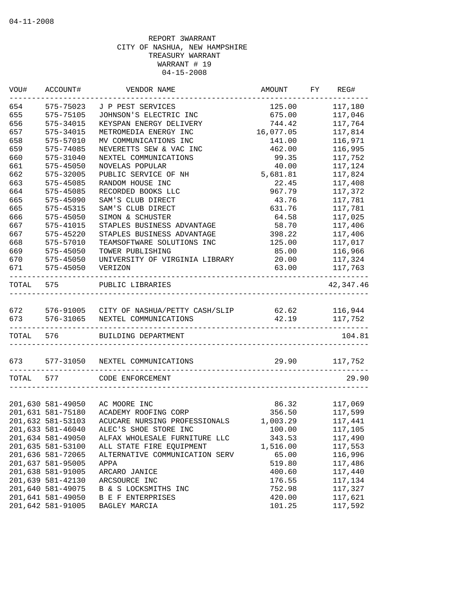| VOU#      | ACCOUNT#          | VENDOR NAME                              | AMOUNT                         | ${\rm FY}$ | REG#      |
|-----------|-------------------|------------------------------------------|--------------------------------|------------|-----------|
| 654       | 575-75023         | J P PEST SERVICES                        | 125.00                         |            | 117,180   |
| 655       | 575-75105         | JOHNSON'S ELECTRIC INC                   | 675.00                         |            | 117,046   |
| 656       | 575-34015         | KEYSPAN ENERGY DELIVERY                  | 744.42                         |            | 117,764   |
| 657       | 575-34015         | METROMEDIA ENERGY INC                    | 16,077.05                      |            | 117,814   |
| 658       | 575-57010         | MV COMMUNICATIONS INC                    | 141.00                         |            | 116,971   |
| 659       | 575-74085         | NEVERETTS SEW & VAC INC                  | 462.00                         |            | 116,995   |
| 660       | 575-31040         | NEXTEL COMMUNICATIONS                    | 99.35                          |            | 117,752   |
| 661       | 575-45050         | NOVELAS POPULAR                          | 40.00                          |            | 117,124   |
| 662       | 575-32005         | PUBLIC SERVICE OF NH                     | 5,681.81                       |            | 117,824   |
| 663       | 575-45085         | RANDOM HOUSE INC                         | 22.45                          |            | 117,408   |
| 664       | 575-45085         | RECORDED BOOKS LLC                       | 967.79                         |            | 117,372   |
| 665       | 575-45090         | SAM'S CLUB DIRECT                        | 43.76                          |            | 117,781   |
| 665       | 575-45315         | SAM'S CLUB DIRECT                        | 631.76                         |            | 117,781   |
| 666       | 575-45050         | SIMON & SCHUSTER                         | 64.58                          |            | 117,025   |
| 667       | 575-41015         | STAPLES BUSINESS ADVANTAGE               | 58.70                          |            | 117,406   |
| 667       | 575-45220         | STAPLES BUSINESS ADVANTAGE               | 398.22                         |            | 117,406   |
| 668       | 575-57010         | TEAMSOFTWARE SOLUTIONS INC               | 125.00                         |            | 117,017   |
| 669       | 575-45050         | TOWER PUBLISHING                         | 85.00                          |            | 116,966   |
| 670       | 575-45050         | UNIVERSITY OF VIRGINIA LIBRARY           | 20.00                          |            | 117,324   |
| 671       | 575-45050         | VERIZON                                  | 63.00                          |            | 117,763   |
| TOTAL     | 575               | PUBLIC LIBRARIES                         |                                |            | 42,347.46 |
| 672       |                   | 576-91005 CITY OF NASHUA/PETTY CASH/SLIP | 62.62                          |            | 116,944   |
| 673       | 576-31065         | NEXTEL COMMUNICATIONS                    | 42.19<br>_____________________ |            | 117,752   |
| TOTAL 576 |                   | BUILDING DEPARTMENT                      |                                |            | 104.81    |
| 673 — 10  | 577-31050         | NEXTEL COMMUNICATIONS                    | 29.90                          |            | 117,752   |
| TOTAL     | 577               | CODE ENFORCEMENT                         |                                |            | 29.90     |
|           |                   |                                          |                                |            |           |
|           | 201,630 581-49050 | AC MOORE INC                             | 86.32                          |            | 117,069   |
|           | 201,631 581-75180 | ACADEMY ROOFING CORP                     | 356.50                         |            | 117,599   |
|           | 201,632 581-53103 | ACUCARE NURSING PROFESSIONALS            | 1,003.29                       |            | 117,441   |
|           | 201,633 581-46040 | ALEC'S SHOE STORE INC                    | 100.00                         |            | 117,105   |
|           | 201,634 581-49050 | ALFAX WHOLESALE FURNITURE LLC            | 343.53                         |            | 117,490   |
|           | 201,635 581-53100 | ALL STATE FIRE EQUIPMENT                 | 1,516.00                       |            | 117,553   |
|           | 201,636 581-72065 | ALTERNATIVE COMMUNICATION SERV           | 65.00                          |            | 116,996   |
|           | 201,637 581-95005 | APPA                                     | 519.80                         |            | 117,486   |
|           | 201,638 581-91005 | ARCARO JANICE                            | 400.60                         |            | 117,440   |
|           | 201,639 581-42130 | ARCSOURCE INC                            | 176.55                         |            | 117,134   |
|           | 201,640 581-49075 | B & S LOCKSMITHS INC                     | 752.98                         |            | 117,327   |
|           | 201,641 581-49050 | <b>B E F ENTERPRISES</b>                 | 420.00                         |            | 117,621   |
|           | 201,642 581-91005 | BAGLEY MARCIA                            | 101.25                         |            | 117,592   |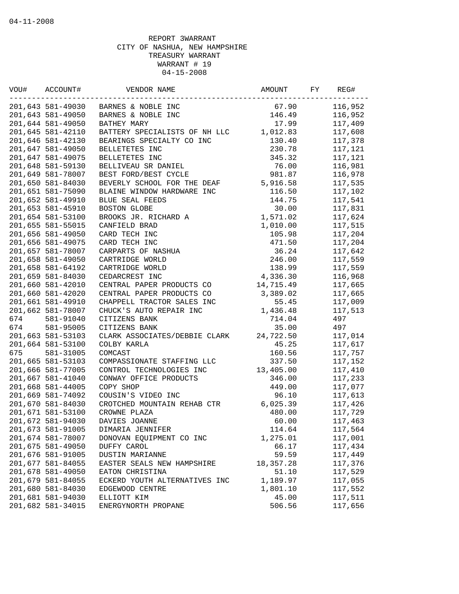| VOU# | ACCOUNT#          | VENDOR NAME                   | AMOUNT      | FY | REG#    |
|------|-------------------|-------------------------------|-------------|----|---------|
|      | 201,643 581-49030 | BARNES & NOBLE INC            | 67.90       |    | 116,952 |
|      | 201,643 581-49050 | BARNES & NOBLE INC            | 146.49      |    | 116,952 |
|      | 201,644 581-49050 | BATHEY MARY                   | 17.99       |    | 117,409 |
|      | 201,645 581-42110 | BATTERY SPECIALISTS OF NH LLC | 1,012.83    |    | 117,608 |
|      | 201,646 581-42130 | BEARINGS SPECIALTY CO INC     | 130.40      |    | 117,378 |
|      | 201,647 581-49050 | BELLETETES INC                | 230.78      |    | 117,121 |
|      | 201,647 581-49075 | BELLETETES INC                | 345.32      |    | 117,121 |
|      | 201,648 581-59130 | BELLIVEAU SR DANIEL           | 76.00       |    | 116,981 |
|      | 201,649 581-78007 | BEST FORD/BEST CYCLE          | 981.87      |    | 116,978 |
|      | 201,650 581-84030 | BEVERLY SCHOOL FOR THE DEAF   | 5,916.58    |    | 117,535 |
|      | 201,651 581-75090 | BLAINE WINDOW HARDWARE INC    | 116.50      |    | 117,102 |
|      | 201,652 581-49910 | BLUE SEAL FEEDS               | 144.75      |    | 117,541 |
|      | 201,653 581-45910 | BOSTON GLOBE                  | 30.00       |    | 117,831 |
|      | 201,654 581-53100 | BROOKS JR. RICHARD A          | 1,571.02    |    | 117,624 |
|      | 201,655 581-55015 | CANFIELD BRAD                 | 1,010.00    |    | 117,515 |
|      | 201,656 581-49050 | CARD TECH INC                 | 105.98      |    | 117,204 |
|      | 201,656 581-49075 | CARD TECH INC                 | 471.50      |    | 117,204 |
|      | 201,657 581-78007 | CARPARTS OF NASHUA            | 36.24       |    | 117,642 |
|      | 201,658 581-49050 | CARTRIDGE WORLD               | 246.00      |    | 117,559 |
|      | 201,658 581-64192 | CARTRIDGE WORLD               | 138.99      |    | 117,559 |
|      | 201,659 581-84030 | CEDARCREST INC                | 4,336.30    |    | 116,968 |
|      | 201,660 581-42010 | CENTRAL PAPER PRODUCTS CO     | 14,715.49   |    | 117,665 |
|      | 201,660 581-42020 | CENTRAL PAPER PRODUCTS CO     | 3,389.02    |    | 117,665 |
|      | 201,661 581-49910 | CHAPPELL TRACTOR SALES INC    | 55.45       |    | 117,009 |
|      | 201,662 581-78007 | CHUCK'S AUTO REPAIR INC       | 1,436.48    |    | 117,513 |
| 674  | 581-91040         | CITIZENS BANK                 | 714.04      |    | 497     |
| 674  | 581-95005         | CITIZENS BANK                 | 35.00       |    | 497     |
|      | 201,663 581-53103 | CLARK ASSOCIATES/DEBBIE CLARK | 24,722.50   |    | 117,014 |
|      | 201,664 581-53100 | COLBY KARLA                   | 45.25       |    | 117,617 |
| 675  | 581-31005         | COMCAST                       | 160.56      |    | 117,757 |
|      | 201,665 581-53103 | COMPASSIONATE STAFFING LLC    | 337.50      |    | 117,152 |
|      | 201,666 581-77005 | CONTROL TECHNOLOGIES INC      | 13,405.00   |    | 117,410 |
|      | 201,667 581-41040 | CONWAY OFFICE PRODUCTS        | 346.00      |    | 117,233 |
|      | 201,668 581-44005 | COPY SHOP                     | 449.00      |    | 117,077 |
|      | 201,669 581-74092 | COUSIN'S VIDEO INC            | 96.10       |    | 117,613 |
|      | 201,670 581-84030 | CROTCHED MOUNTAIN REHAB CTR   | 6,025.39    |    | 117,426 |
|      | 201,671 581-53100 | CROWNE PLAZA                  | 480.00      |    | 117,729 |
|      | 201,672 581-94030 | DAVIES JOANNE                 | 60.00       |    | 117,463 |
|      | 201,673 581-91005 | DIMARIA JENNIFER              | 114.64      |    | 117,564 |
|      | 201,674 581-78007 | DONOVAN EOUIPMENT CO INC      | 1,275.01    |    | 117,001 |
|      | 201,675 581-49050 | DUFFY CAROL                   | 66.17       |    | 117,434 |
|      | 201,676 581-91005 | DUSTIN MARIANNE               | 59.59       |    | 117,449 |
|      | 201,677 581-84055 | EASTER SEALS NEW HAMPSHIRE    | 18, 357. 28 |    | 117,376 |
|      | 201,678 581-49050 | EATON CHRISTINA               | 51.10       |    | 117,529 |
|      | 201,679 581-84055 | ECKERD YOUTH ALTERNATIVES INC | 1,189.97    |    | 117,055 |
|      | 201,680 581-84030 | EDGEWOOD CENTRE               | 1,801.10    |    | 117,552 |
|      | 201,681 581-94030 | ELLIOTT KIM                   | 45.00       |    | 117,511 |
|      | 201,682 581-34015 | ENERGYNORTH PROPANE           | 506.56      |    | 117,656 |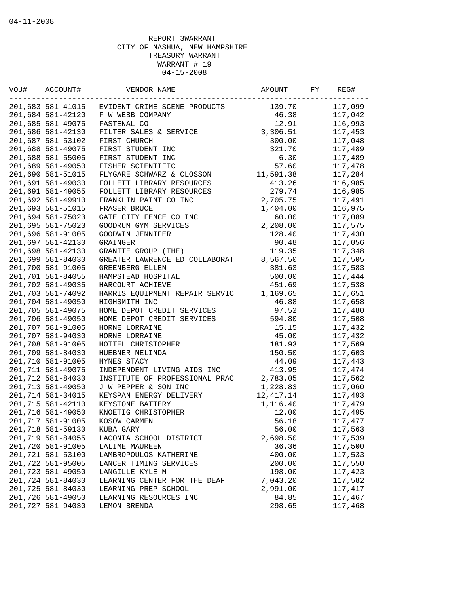| VOU# | ACCOUNT#          | VENDOR NAME                    | AMOUNT     | FY | REG#    |
|------|-------------------|--------------------------------|------------|----|---------|
|      | 201,683 581-41015 | EVIDENT CRIME SCENE PRODUCTS   | 139.70     |    | 117,099 |
|      | 201,684 581-42120 | F W WEBB COMPANY               | 46.38      |    | 117,042 |
|      | 201,685 581-49075 | FASTENAL CO                    | 12.91      |    | 116,993 |
|      | 201,686 581-42130 | FILTER SALES & SERVICE         | 3,306.51   |    | 117,453 |
|      | 201,687 581-53102 | FIRST CHURCH                   | 300.00     |    | 117,048 |
|      | 201,688 581-49075 | FIRST STUDENT INC              | 321.70     |    | 117,489 |
|      | 201,688 581-55005 | FIRST STUDENT INC              | $-6.30$    |    | 117,489 |
|      | 201,689 581-49050 | FISHER SCIENTIFIC              | 57.60      |    | 117,478 |
|      | 201,690 581-51015 | FLYGARE SCHWARZ & CLOSSON      | 11,591.38  |    | 117,284 |
|      | 201,691 581-49030 | FOLLETT LIBRARY RESOURCES      | 413.26     |    | 116,985 |
|      | 201,691 581-49055 | FOLLETT LIBRARY RESOURCES      | 279.74     |    | 116,985 |
|      | 201,692 581-49910 | FRANKLIN PAINT CO INC          | 2,705.75   |    | 117,491 |
|      | 201,693 581-51015 | FRASER BRUCE                   | 1,404.00   |    | 116,975 |
|      | 201,694 581-75023 | GATE CITY FENCE CO INC         | 60.00      |    | 117,089 |
|      | 201,695 581-75023 | GOODRUM GYM SERVICES           | 2,208.00   |    | 117,575 |
|      | 201,696 581-91005 | GOODWIN JENNIFER               | 128.40     |    | 117,430 |
|      | 201,697 581-42130 | <b>GRAINGER</b>                | 90.48      |    | 117,056 |
|      | 201,698 581-42130 | GRANITE GROUP (THE)            | 119.35     |    | 117,348 |
|      | 201,699 581-84030 | GREATER LAWRENCE ED COLLABORAT | 8,567.50   |    | 117,505 |
|      | 201,700 581-91005 | GREENBERG ELLEN                | 381.63     |    | 117,583 |
|      | 201,701 581-84055 | HAMPSTEAD HOSPITAL             | 500.00     |    | 117,444 |
|      | 201,702 581-49035 | HARCOURT ACHIEVE               | 451.69     |    | 117,538 |
|      | 201,703 581-74092 | HARRIS EQUIPMENT REPAIR SERVIC | 1,169.65   |    | 117,651 |
|      | 201,704 581-49050 | HIGHSMITH INC                  | 46.88      |    | 117,658 |
|      | 201,705 581-49075 | HOME DEPOT CREDIT SERVICES     | 97.52      |    | 117,480 |
|      | 201,706 581-49050 | HOME DEPOT CREDIT SERVICES     | 594.80     |    | 117,508 |
|      | 201,707 581-91005 | HORNE LORRAINE                 | 15.15      |    | 117,432 |
|      | 201,707 581-94030 | HORNE LORRAINE                 | 45.00      |    | 117,432 |
|      | 201,708 581-91005 | HOTTEL CHRISTOPHER             | 181.93     |    | 117,569 |
|      | 201,709 581-84030 | HUEBNER MELINDA                | 150.50     |    | 117,603 |
|      | 201,710 581-91005 | HYNES STACY                    | 44.09      |    | 117,443 |
|      | 201,711 581-49075 | INDEPENDENT LIVING AIDS INC    | 413.95     |    | 117,474 |
|      | 201,712 581-84030 | INSTITUTE OF PROFESSIONAL PRAC | 2,783.05   |    | 117,562 |
|      | 201,713 581-49050 | J W PEPPER & SON INC           | 1,228.83   |    | 117,060 |
|      | 201,714 581-34015 | KEYSPAN ENERGY DELIVERY        | 12, 417.14 |    | 117,493 |
|      | 201,715 581-42110 | KEYSTONE BATTERY               | 1,116.40   |    | 117,479 |
|      | 201,716 581-49050 | KNOETIG CHRISTOPHER            | 12.00      |    | 117,495 |
|      | 201,717 581-91005 | KOSOW CARMEN                   | 56.18      |    | 117,477 |
|      | 201,718 581-59130 | KUBA GARY                      | 56.00      |    | 117,563 |
|      | 201,719 581-84055 | LACONIA SCHOOL DISTRICT        | 2,698.50   |    | 117,539 |
|      | 201,720 581-91005 | <b>LALIME MAUREEN</b>          | 36.36      |    | 117,500 |
|      | 201,721 581-53100 | LAMBROPOULOS KATHERINE         | 400.00     |    | 117,533 |
|      | 201,722 581-95005 | LANCER TIMING SERVICES         | 200.00     |    | 117,550 |
|      | 201,723 581-49050 | LANGILLE KYLE M                | 198.00     |    | 117,423 |
|      | 201,724 581-84030 | LEARNING CENTER FOR THE DEAF   | 7,043.20   |    | 117,582 |
|      | 201,725 581-84030 | LEARNING PREP SCHOOL           | 2,991.00   |    | 117,417 |
|      | 201,726 581-49050 | LEARNING RESOURCES INC         | 84.85      |    | 117,467 |
|      | 201,727 581-94030 | LEMON BRENDA                   | 298.65     |    | 117,468 |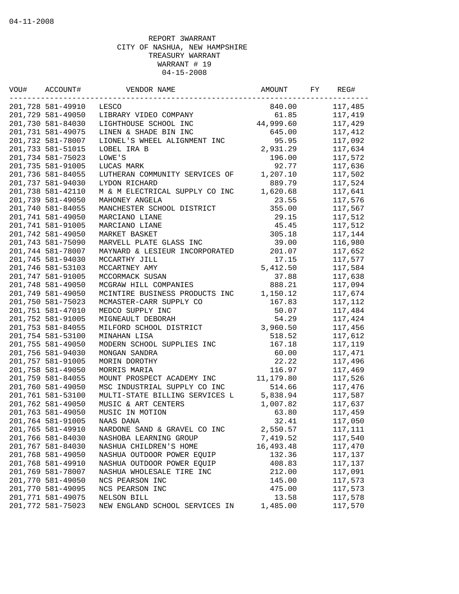| VOU# | ACCOUNT#          | VENDOR NAME                    | AMOUNT    | FY | REG#    |
|------|-------------------|--------------------------------|-----------|----|---------|
|      | 201,728 581-49910 | LESCO                          | 840.00    |    | 117,485 |
|      | 201,729 581-49050 | LIBRARY VIDEO COMPANY          | 61.85     |    | 117,419 |
|      | 201,730 581-84030 | LIGHTHOUSE SCHOOL INC          | 44,999.60 |    | 117,429 |
|      | 201,731 581-49075 | LINEN & SHADE BIN INC          | 645.00    |    | 117,412 |
|      | 201,732 581-78007 | LIONEL'S WHEEL ALIGNMENT INC   | 95.95     |    | 117,092 |
|      | 201,733 581-51015 | LOBEL IRA B                    | 2,931.29  |    | 117,634 |
|      | 201,734 581-75023 | LOWE'S                         | 196.00    |    | 117,572 |
|      | 201,735 581-91005 | LUCAS MARK                     | 92.77     |    | 117,636 |
|      | 201,736 581-84055 | LUTHERAN COMMUNITY SERVICES OF | 1,207.10  |    | 117,502 |
|      | 201,737 581-94030 | LYDON RICHARD                  | 889.79    |    | 117,524 |
|      | 201,738 581-42110 | M & M ELECTRICAL SUPPLY CO INC | 1,620.68  |    | 117,641 |
|      | 201,739 581-49050 | MAHONEY ANGELA                 | 23.55     |    | 117,576 |
|      | 201,740 581-84055 | MANCHESTER SCHOOL DISTRICT     | 355.00    |    | 117,567 |
|      | 201,741 581-49050 | MARCIANO LIANE                 | 29.15     |    | 117,512 |
|      | 201,741 581-91005 | MARCIANO LIANE                 | 45.45     |    | 117,512 |
|      | 201,742 581-49050 | MARKET BASKET                  | 305.18    |    | 117,144 |
|      | 201,743 581-75090 | MARVELL PLATE GLASS INC        | 39.00     |    | 116,980 |
|      | 201,744 581-78007 | MAYNARD & LESIEUR INCORPORATED | 201.07    |    | 117,652 |
|      | 201,745 581-94030 | MCCARTHY JILL                  | 17.15     |    | 117,577 |
|      | 201,746 581-53103 | MCCARTNEY AMY                  | 5,412.50  |    | 117,584 |
|      | 201,747 581-91005 | MCCORMACK SUSAN                | 37.88     |    | 117,638 |
|      | 201,748 581-49050 | MCGRAW HILL COMPANIES          | 888.21    |    | 117,094 |
|      | 201,749 581-49050 | MCINTIRE BUSINESS PRODUCTS INC | 1,150.12  |    | 117,674 |
|      | 201,750 581-75023 | MCMASTER-CARR SUPPLY CO        | 167.83    |    | 117,112 |
|      | 201,751 581-47010 | MEDCO SUPPLY INC               | 50.07     |    | 117,484 |
|      | 201,752 581-91005 | MIGNEAULT DEBORAH              | 54.29     |    | 117,424 |
|      | 201,753 581-84055 | MILFORD SCHOOL DISTRICT        | 3,960.50  |    | 117,456 |
|      | 201,754 581-53100 | MINAHAN LISA                   | 518.52    |    | 117,612 |
|      | 201,755 581-49050 | MODERN SCHOOL SUPPLIES INC     | 167.18    |    | 117,119 |
|      | 201,756 581-94030 | MONGAN SANDRA                  | 60.00     |    | 117,471 |
|      | 201,757 581-91005 | MORIN DOROTHY                  | 22.22     |    | 117,496 |
|      | 201,758 581-49050 | MORRIS MARIA                   | 116.97    |    | 117,469 |
|      | 201,759 581-84055 | MOUNT PROSPECT ACADEMY INC     | 11,179.80 |    | 117,526 |
|      | 201,760 581-49050 | MSC INDUSTRIAL SUPPLY CO INC   | 514.66    |    | 117,476 |
|      | 201,761 581-53100 | MULTI-STATE BILLING SERVICES L | 5,838.94  |    | 117,587 |
|      | 201,762 581-49050 | MUSIC & ART CENTERS            | 1,007.82  |    | 117,637 |
|      | 201,763 581-49050 | MUSIC IN MOTION                | 63.80     |    | 117,459 |
|      | 201,764 581-91005 | NAAS DANA                      | 32.41     |    | 117,050 |
|      | 201,765 581-49910 | NARDONE SAND & GRAVEL CO INC   | 2,550.57  |    | 117,111 |
|      | 201,766 581-84030 | NASHOBA LEARNING GROUP         | 7,419.52  |    | 117,540 |
|      | 201,767 581-84030 | NASHUA CHILDREN'S HOME         | 16,493.48 |    | 117,470 |
|      | 201,768 581-49050 | NASHUA OUTDOOR POWER EQUIP     | 132.36    |    | 117,137 |
|      | 201,768 581-49910 | NASHUA OUTDOOR POWER EQUIP     | 408.83    |    | 117,137 |
|      | 201,769 581-78007 | NASHUA WHOLESALE TIRE INC      | 212.00    |    | 117,091 |
|      | 201,770 581-49050 | NCS PEARSON INC                | 145.00    |    | 117,573 |
|      | 201,770 581-49095 | NCS PEARSON INC                | 475.00    |    | 117,573 |
|      | 201,771 581-49075 | NELSON BILL                    | 13.58     |    |         |
|      |                   |                                |           |    | 117,578 |
|      | 201,772 581-75023 | NEW ENGLAND SCHOOL SERVICES IN | 1,485.00  |    | 117,570 |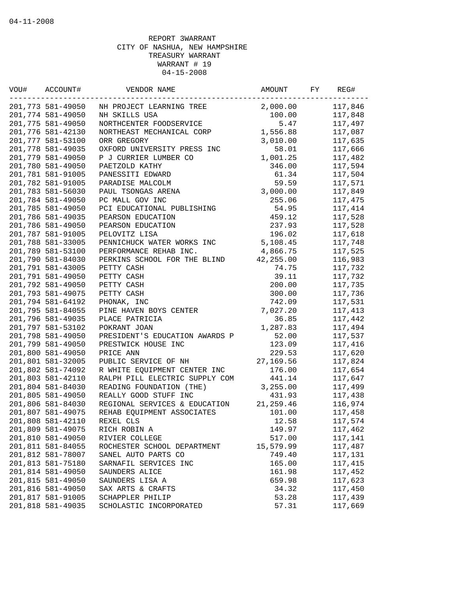| VOU# | ACCOUNT#          | VENDOR NAME                    | AMOUNT     | FY | REG#    |
|------|-------------------|--------------------------------|------------|----|---------|
|      | 201,773 581-49050 | NH PROJECT LEARNING TREE       | 2,000.00   |    | 117,846 |
|      | 201,774 581-49050 | NH SKILLS USA                  | 100.00     |    | 117,848 |
|      | 201,775 581-49050 | NORTHCENTER FOODSERVICE        | 5.47       |    | 117,497 |
|      | 201,776 581-42130 | NORTHEAST MECHANICAL CORP      | 1,556.88   |    | 117,087 |
|      | 201,777 581-53100 | ORR GREGORY                    | 3,010.00   |    | 117,635 |
|      | 201,778 581-49035 | OXFORD UNIVERSITY PRESS INC    | 58.01      |    | 117,666 |
|      | 201,779 581-49050 | P J CURRIER LUMBER CO          | 1,001.25   |    | 117,482 |
|      | 201,780 581-49050 | PAETZOLD KATHY                 | 346.00     |    | 117,594 |
|      | 201,781 581-91005 | PANESSITI EDWARD               | 61.34      |    | 117,504 |
|      | 201,782 581-91005 | PARADISE MALCOLM               | 59.59      |    | 117,571 |
|      | 201,783 581-56030 | PAUL TSONGAS ARENA             | 3,000.00   |    | 117,849 |
|      | 201,784 581-49050 | PC MALL GOV INC                | 255.06     |    | 117,475 |
|      | 201,785 581-49050 | PCI EDUCATIONAL PUBLISHING     | 54.95      |    | 117,414 |
|      | 201,786 581-49035 | PEARSON EDUCATION              | 459.12     |    | 117,528 |
|      | 201,786 581-49050 | PEARSON EDUCATION              | 237.93     |    | 117,528 |
|      | 201,787 581-91005 | PELOVITZ LISA                  | 196.02     |    | 117,618 |
|      | 201,788 581-33005 | PENNICHUCK WATER WORKS INC     | 5,108.45   |    | 117,748 |
|      | 201,789 581-53100 | PERFORMANCE REHAB INC.         | 4,866.75   |    | 117,525 |
|      | 201,790 581-84030 | PERKINS SCHOOL FOR THE BLIND   | 42,255.00  |    | 116,983 |
|      | 201,791 581-43005 | PETTY CASH                     | 74.75      |    | 117,732 |
|      | 201,791 581-49050 | PETTY CASH                     | 39.11      |    | 117,732 |
|      | 201,792 581-49050 | PETTY CASH                     | 200.00     |    | 117,735 |
|      | 201,793 581-49075 | PETTY CASH                     | 300.00     |    | 117,736 |
|      | 201,794 581-64192 | PHONAK, INC                    | 742.09     |    | 117,531 |
|      | 201,795 581-84055 | PINE HAVEN BOYS CENTER         | 7,027.20   |    | 117,413 |
|      | 201,796 581-49035 | PLACE PATRICIA                 | 36.85      |    | 117,442 |
|      | 201,797 581-53102 | POKRANT JOAN                   | 1,287.83   |    | 117,494 |
|      | 201,798 581-49050 | PRESIDENT'S EDUCATION AWARDS P | 52.00      |    | 117,537 |
|      | 201,799 581-49050 | PRESTWICK HOUSE INC            | 123.09     |    | 117,416 |
|      | 201,800 581-49050 | PRICE ANN                      | 229.53     |    | 117,620 |
|      | 201,801 581-32005 | PUBLIC SERVICE OF NH           | 27,169.56  |    | 117,824 |
|      | 201,802 581-74092 | R WHITE EQUIPMENT CENTER INC   | 176.00     |    | 117,654 |
|      | 201,803 581-42110 | RALPH PILL ELECTRIC SUPPLY COM | 441.14     |    | 117,647 |
|      | 201,804 581-84030 | READING FOUNDATION (THE)       | 3,255.00   |    | 117,499 |
|      | 201,805 581-49050 | REALLY GOOD STUFF INC          | 431.93     |    | 117,438 |
|      | 201,806 581-84030 | REGIONAL SERVICES & EDUCATION  | 21, 259.46 |    | 116,974 |
|      | 201,807 581-49075 | REHAB EQUIPMENT ASSOCIATES     | 101.00     |    | 117,458 |
|      | 201,808 581-42110 | REXEL CLS                      | 12.58      |    | 117,574 |
|      | 201,809 581-49075 | RICH ROBIN A                   | 149.97     |    | 117,462 |
|      | 201,810 581-49050 | RIVIER COLLEGE                 | 517.00     |    | 117,141 |
|      | 201,811 581-84055 | ROCHESTER SCHOOL DEPARTMENT    | 15,579.99  |    | 117,487 |
|      | 201,812 581-78007 | SANEL AUTO PARTS CO            | 749.40     |    | 117,131 |
|      | 201,813 581-75180 | SARNAFIL SERVICES INC          | 165.00     |    | 117,415 |
|      | 201,814 581-49050 | SAUNDERS ALICE                 | 161.98     |    | 117,452 |
|      | 201,815 581-49050 | SAUNDERS LISA A                | 659.98     |    | 117,623 |
|      | 201,816 581-49050 | SAX ARTS & CRAFTS              | 34.32      |    | 117,450 |
|      | 201,817 581-91005 | SCHAPPLER PHILIP               | 53.28      |    | 117,439 |
|      | 201,818 581-49035 | SCHOLASTIC INCORPORATED        | 57.31      |    | 117,669 |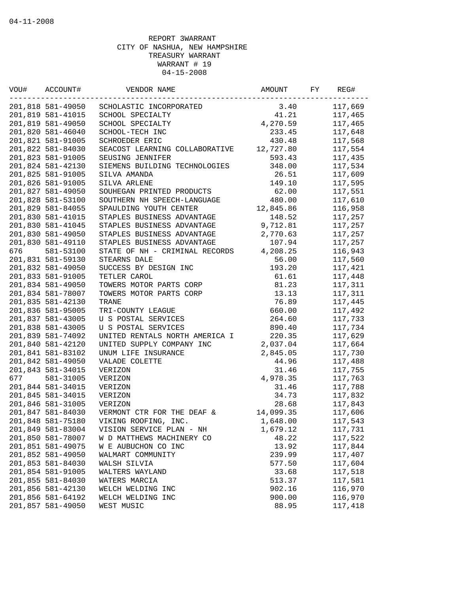| VOU# | ACCOUNT#          | VENDOR NAME                    | AMOUNT    | FY | REG#    |
|------|-------------------|--------------------------------|-----------|----|---------|
|      | 201,818 581-49050 | SCHOLASTIC INCORPORATED        | 3.40      |    | 117,669 |
|      | 201,819 581-41015 | SCHOOL SPECIALTY               | 41.21     |    | 117,465 |
|      | 201,819 581-49050 | SCHOOL SPECIALTY               | 4,270.59  |    | 117,465 |
|      | 201,820 581-46040 | SCHOOL-TECH INC                | 233.45    |    | 117,648 |
|      | 201,821 581-91005 | SCHROEDER ERIC                 | 430.48    |    | 117,568 |
|      | 201,822 581-84030 | SEACOST LEARNING COLLABORATIVE | 12,727.80 |    | 117,554 |
|      | 201,823 581-91005 | SEUSING JENNIFER               | 593.43    |    | 117,435 |
|      | 201,824 581-42130 | SIEMENS BUILDING TECHNOLOGIES  | 348.00    |    | 117,534 |
|      | 201,825 581-91005 | SILVA AMANDA                   | 26.51     |    | 117,609 |
|      | 201,826 581-91005 | SILVA ARLENE                   | 149.10    |    | 117,595 |
|      | 201,827 581-49050 | SOUHEGAN PRINTED PRODUCTS      | 62.00     |    | 117,551 |
|      | 201,828 581-53100 | SOUTHERN NH SPEECH-LANGUAGE    | 480.00    |    | 117,610 |
|      | 201,829 581-84055 | SPAULDING YOUTH CENTER         | 12,845.86 |    | 116,958 |
|      | 201,830 581-41015 | STAPLES BUSINESS ADVANTAGE     | 148.52    |    | 117,257 |
|      | 201,830 581-41045 | STAPLES BUSINESS ADVANTAGE     | 9,712.81  |    | 117,257 |
|      | 201,830 581-49050 | STAPLES BUSINESS ADVANTAGE     | 2,770.63  |    | 117,257 |
|      | 201,830 581-49110 | STAPLES BUSINESS ADVANTAGE     | 107.94    |    | 117,257 |
| 676  | 581-53100         | STATE OF NH - CRIMINAL RECORDS | 4,208.25  |    | 116,943 |
|      | 201,831 581-59130 | STEARNS DALE                   | 56.00     |    | 117,560 |
|      | 201,832 581-49050 | SUCCESS BY DESIGN INC          | 193.20    |    | 117,421 |
|      | 201,833 581-91005 | TETLER CAROL                   | 61.61     |    | 117,448 |
|      | 201,834 581-49050 | TOWERS MOTOR PARTS CORP        | 81.23     |    | 117,311 |
|      | 201,834 581-78007 | TOWERS MOTOR PARTS CORP        | 13.13     |    | 117,311 |
|      | 201,835 581-42130 | TRANE                          | 76.89     |    | 117,445 |
|      | 201,836 581-95005 | TRI-COUNTY LEAGUE              | 660.00    |    | 117,492 |
|      | 201,837 581-43005 | U S POSTAL SERVICES            | 264.60    |    | 117,733 |
|      | 201,838 581-43005 | U S POSTAL SERVICES            | 890.40    |    | 117,734 |
|      | 201,839 581-74092 | UNITED RENTALS NORTH AMERICA I | 220.35    |    | 117,629 |
|      | 201,840 581-42120 | UNITED SUPPLY COMPANY INC      | 2,037.04  |    | 117,664 |
|      | 201,841 581-83102 | UNUM LIFE INSURANCE            | 2,845.05  |    | 117,730 |
|      | 201,842 581-49050 | VALADE COLETTE                 | 44.96     |    | 117,488 |
|      | 201,843 581-34015 | VERIZON                        | 31.46     |    | 117,755 |
| 677  | 581-31005         | VERIZON                        | 4,978.35  |    | 117,763 |
|      | 201,844 581-34015 | VERIZON                        | 31.46     |    | 117,788 |
|      | 201,845 581-34015 | VERIZON                        | 34.73     |    | 117,832 |
|      | 201,846 581-31005 | VERIZON                        | 28.68     |    | 117,843 |
|      | 201,847 581-84030 | VERMONT CTR FOR THE DEAF &     | 14,099.35 |    | 117,606 |
|      | 201,848 581-75180 | VIKING ROOFING, INC.           | 1,648.00  |    | 117,543 |
|      | 201,849 581-83004 | VISION SERVICE PLAN - NH       | 1,679.12  |    | 117,731 |
|      | 201,850 581-78007 | W D MATTHEWS MACHINERY CO      | 48.22     |    | 117,522 |
|      | 201,851 581-49075 | W E AUBUCHON CO INC            | 13.92     |    | 117,844 |
|      | 201,852 581-49050 | WALMART COMMUNITY              | 239.99    |    | 117,407 |
|      | 201,853 581-84030 | WALSH SILVIA                   | 577.50    |    | 117,604 |
|      | 201,854 581-91005 | WALTERS WAYLAND                | 33.68     |    | 117,518 |
|      | 201,855 581-84030 | WATERS MARCIA                  | 513.37    |    | 117,581 |
|      | 201,856 581-42130 | WELCH WELDING INC              | 902.16    |    | 116,970 |
|      | 201,856 581-64192 | WELCH WELDING INC              | 900.00    |    | 116,970 |
|      | 201,857 581-49050 | WEST MUSIC                     | 88.95     |    | 117,418 |
|      |                   |                                |           |    |         |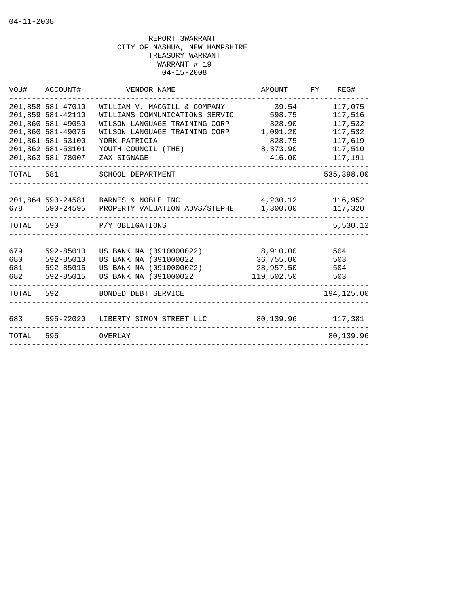| VOU#                     | ACCOUNT#                                                    | VENDOR NAME                                                                                          | AMOUNT                                           | REG#<br>FY                    |
|--------------------------|-------------------------------------------------------------|------------------------------------------------------------------------------------------------------|--------------------------------------------------|-------------------------------|
|                          | 201,858 581-47010<br>201,859 581-42110<br>201,860 581-49050 | WILLIAM V. MACGILL & COMPANY<br>WILLIAMS COMMUNICATIONS SERVIC<br>WILSON LANGUAGE TRAINING CORP      | 39.54<br>598.75<br>328.90                        | 117,075<br>117,516<br>117,532 |
|                          | 201,860 581-49075<br>201,861 581-53100                      | WILSON LANGUAGE TRAINING CORP<br>YORK PATRICIA                                                       | 1,091.20<br>828.75                               | 117,532<br>117,619            |
|                          | 201,862 581-53101<br>201,863 581-78007                      | YOUTH COUNCIL (THE)<br>ZAX SIGNAGE                                                                   | 8,373.90<br>416.00                               | 117,510<br>117,191            |
| TOTAL 581                |                                                             | SCHOOL DEPARTMENT                                                                                    |                                                  | 535,398.00                    |
|                          | 201,864 590-24581<br>678 590-24595                          | BARNES & NOBLE INC<br>PROPERTY VALUATION ADVS/STEPHE                                                 | 4,230.12<br>1,300.00                             | 116,952<br>117,320            |
| TOTAL                    | 590                                                         | P/Y OBLIGATIONS                                                                                      |                                                  | 5,530.12                      |
| 679<br>680<br>681<br>682 | 592-85010<br>592-85010<br>592-85015<br>592-85015            | US BANK NA (0910000022)<br>US BANK NA (091000022<br>US BANK NA (0910000022)<br>US BANK NA (091000022 | 8,910.00<br>36,755.00<br>28,957.50<br>119,502.50 | 504<br>503<br>504<br>503      |
| TOTAL                    | 592                                                         | BONDED DEBT SERVICE                                                                                  |                                                  | 194,125.00                    |
| 683                      | 595-22020                                                   | LIBERTY SIMON STREET LLC                                                                             | 80,139.96                                        | 117,381                       |
| TOTAL                    | 595                                                         | OVERLAY                                                                                              |                                                  | 80,139.96                     |
|                          |                                                             |                                                                                                      |                                                  |                               |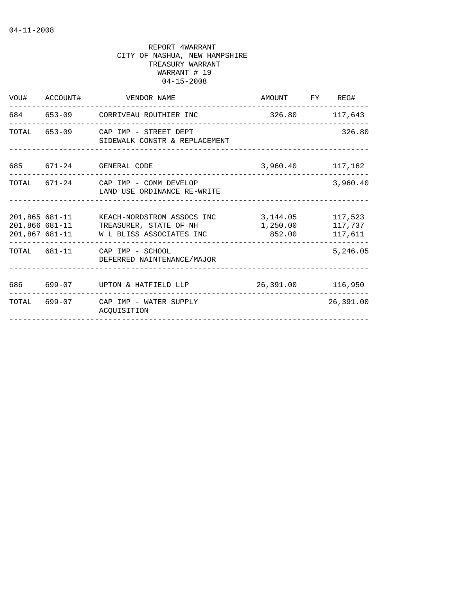|     | VOU# ACCOUNT# | VENDOR NAME                                                                                                                   | AMOUNT FY REG#                                           |                |
|-----|---------------|-------------------------------------------------------------------------------------------------------------------------------|----------------------------------------------------------|----------------|
|     |               | 684 653-09 CORRIVEAU ROUTHIER INC<br>------------------------------------                                                     |                                                          | 326.80 117,643 |
|     |               | TOTAL 653-09 CAP IMP - STREET DEPT<br>SIDEWALK CONSTR & REPLACEMENT                                                           |                                                          | 326.80         |
|     |               | 685 671-24 GENERAL CODE                                                                                                       | 3,960.40 117,162                                         |                |
|     |               | TOTAL 671-24 CAP IMP - COMM DEVELOP<br>LAND USE ORDINANCE RE-WRITE                                                            |                                                          | 3,960.40       |
|     |               | 201,865 681-11 KEACH-NORDSTROM ASSOCS INC<br>201,866 681-11 TREASURER, STATE OF NH<br>201,867 681-11 W L BLISS ASSOCIATES INC | 3, 144.05 117, 523<br>1,250.00 117,737<br>852.00 117,611 |                |
|     |               | TOTAL 681-11 CAP IMP - SCHOOL<br>DEFERRED NAINTENANCE/MAJOR                                                                   |                                                          | 5,246.05       |
| 686 |               | 699-07 UPTON & HATFIELD LLP                                                                                                   | 26,391.00 116,950                                        |                |
|     |               | TOTAL 699-07 CAP IMP - WATER SUPPLY<br>ACOUISITION                                                                            |                                                          | 26,391.00      |
|     |               |                                                                                                                               |                                                          |                |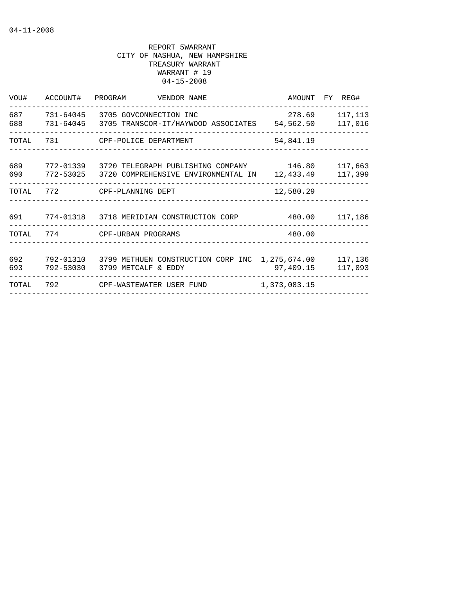| VOU#       | ACCOUNT# PROGRAM | VENDOR NAME                                                                                                   |                           | AMOUNT FY REG#     |
|------------|------------------|---------------------------------------------------------------------------------------------------------------|---------------------------|--------------------|
| 687<br>688 | 731-64045        | 3705 GOVCONNECTION INC<br>731-64045 3705 TRANSCOR-IT/HAYWOOD ASSOCIATES 54,562.50                             | 278.69                    | 117,113<br>117,016 |
| TOTAL      | 731              | CPF-POLICE DEPARTMENT                                                                                         | 54,841.19                 |                    |
| 689<br>690 |                  | 772-01339 3720 TELEGRAPH PUBLISHING COMPANY 146.80<br>772-53025 3720 COMPREHENSIVE ENVIRONMENTAL IN 12,433.49 |                           | 117,663<br>117,399 |
| TOTAL      |                  | 772 CPF-PLANNING DEPT                                                                                         | 12,580.29                 |                    |
|            |                  | 691  774-01318  3718 MERIDIAN CONSTRUCTION CORP  480.00  117,186                                              |                           |                    |
|            |                  | TOTAL 774 CPF-URBAN PROGRAMS                                                                                  | 480.00                    |                    |
| 692<br>693 | 792-53030        | 792-01310 3799 METHUEN CONSTRUCTION CORP INC<br>3799 METCALF & EDDY                                           | 1,275,674.00<br>97,409.15 | 117,136<br>117,093 |
| TOTAL      | 792              | CPF-WASTEWATER USER FUND                                                                                      | 1,373,083.15              |                    |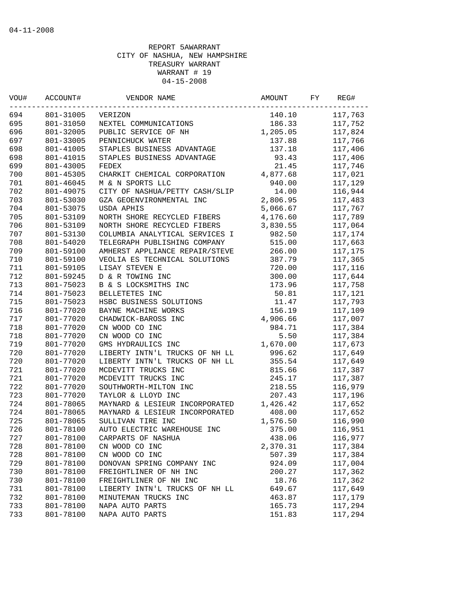| VOU#<br>ACCOUNT#<br>694<br>801-31005 |           | VENDOR NAME                    | AMOUNT   | FΥ | REG#    |
|--------------------------------------|-----------|--------------------------------|----------|----|---------|
|                                      |           | VERIZON                        | 140.10   |    | 117,763 |
| 695                                  | 801-31050 | NEXTEL COMMUNICATIONS          | 186.33   |    | 117,752 |
| 696                                  | 801-32005 | PUBLIC SERVICE OF NH           | 1,205.05 |    | 117,824 |
| 697                                  | 801-33005 | PENNICHUCK WATER               | 137.88   |    | 117,766 |
| 698                                  | 801-41005 | STAPLES BUSINESS ADVANTAGE     | 137.18   |    | 117,406 |
| 698                                  | 801-41015 | STAPLES BUSINESS ADVANTAGE     | 93.43    |    | 117,406 |
| 699                                  | 801-43005 | FEDEX                          | 21.45    |    | 117,746 |
| 700                                  | 801-45305 | CHARKIT CHEMICAL CORPORATION   | 4,877.68 |    | 117,021 |
| 701                                  | 801-46045 | M & N SPORTS LLC               | 940.00   |    | 117,129 |
| 702                                  | 801-49075 | CITY OF NASHUA/PETTY CASH/SLIP | 14.00    |    | 116,944 |
| 703                                  | 801-53030 | GZA GEOENVIRONMENTAL INC       | 2,806.95 |    | 117,483 |
| 704                                  | 801-53075 | USDA APHIS                     | 5,066.67 |    | 117,767 |
| 705                                  | 801-53109 | NORTH SHORE RECYCLED FIBERS    | 4,176.60 |    | 117,789 |
| 706                                  | 801-53109 | NORTH SHORE RECYCLED FIBERS    | 3,830.55 |    | 117,064 |
| 707                                  | 801-53130 | COLUMBIA ANALYTICAL SERVICES I | 982.50   |    | 117,174 |
| 708                                  | 801-54020 | TELEGRAPH PUBLISHING COMPANY   | 515.00   |    | 117,663 |
| 709                                  | 801-59100 | AMHERST APPLIANCE REPAIR/STEVE | 266.00   |    | 117,175 |
| 710                                  | 801-59100 | VEOLIA ES TECHNICAL SOLUTIONS  | 387.79   |    | 117,365 |
| 711                                  | 801-59105 | LISAY STEVEN E                 | 720.00   |    | 117,116 |
| 712                                  | 801-59245 | D & R TOWING INC               | 300.00   |    | 117,644 |
| 713                                  | 801-75023 | B & S LOCKSMITHS INC           | 173.96   |    | 117,758 |
| 714                                  | 801-75023 | BELLETETES INC                 | 50.81    |    | 117,121 |
| 715                                  | 801-75023 | HSBC BUSINESS SOLUTIONS        | 11.47    |    | 117,793 |
| 716                                  | 801-77020 | BAYNE MACHINE WORKS            | 156.19   |    | 117,109 |
| 717                                  | 801-77020 | CHADWICK-BAROSS INC            | 4,906.66 |    | 117,007 |
| 718                                  | 801-77020 | CN WOOD CO INC                 | 984.71   |    | 117,384 |
| 718                                  | 801-77020 | CN WOOD CO INC                 | 5.50     |    | 117,384 |
| 719                                  | 801-77020 | GMS HYDRAULICS INC             | 1,670.00 |    | 117,673 |
| 720                                  | 801-77020 | LIBERTY INTN'L TRUCKS OF NH LL | 996.62   |    | 117,649 |
| 720                                  | 801-77020 | LIBERTY INTN'L TRUCKS OF NH LL | 355.54   |    | 117,649 |
| 721                                  | 801-77020 | MCDEVITT TRUCKS INC            | 815.66   |    | 117,387 |
| 721                                  | 801-77020 | MCDEVITT TRUCKS INC            | 245.17   |    | 117,387 |
| 722                                  | 801-77020 |                                |          |    |         |
|                                      |           | SOUTHWORTH-MILTON INC          | 218.55   |    | 116,979 |
| 723                                  | 801-77020 | TAYLOR & LLOYD INC             | 207.43   |    | 117,196 |
| 724                                  | 801-78065 | MAYNARD & LESIEUR INCORPORATED | 1,426.42 |    | 117,652 |
| 724                                  | 801-78065 | MAYNARD & LESIEUR INCORPORATED | 408.00   |    | 117,652 |
| 725                                  | 801-78065 | SULLIVAN TIRE INC              | 1,576.50 |    | 116,990 |
| 726                                  | 801-78100 | AUTO ELECTRIC WAREHOUSE INC    | 375.00   |    | 116,951 |
| 727                                  | 801-78100 | CARPARTS OF NASHUA             | 438.06   |    | 116,977 |
| 728                                  | 801-78100 | CN WOOD CO INC                 | 2,370.31 |    | 117,384 |
| 728                                  | 801-78100 | CN WOOD CO INC                 | 507.39   |    | 117,384 |
| 729                                  | 801-78100 | DONOVAN SPRING COMPANY INC     | 924.09   |    | 117,004 |
| 730                                  | 801-78100 | FREIGHTLINER OF NH INC         | 200.27   |    | 117,362 |
| 730                                  | 801-78100 | FREIGHTLINER OF NH INC         | 18.76    |    | 117,362 |
| 731                                  | 801-78100 | LIBERTY INTN'L TRUCKS OF NH LL | 649.67   |    | 117,649 |
| 732                                  | 801-78100 | MINUTEMAN TRUCKS INC           | 463.87   |    | 117,179 |
| 733                                  | 801-78100 | NAPA AUTO PARTS                | 165.73   |    | 117,294 |
| 733                                  | 801-78100 | NAPA AUTO PARTS                | 151.83   |    | 117,294 |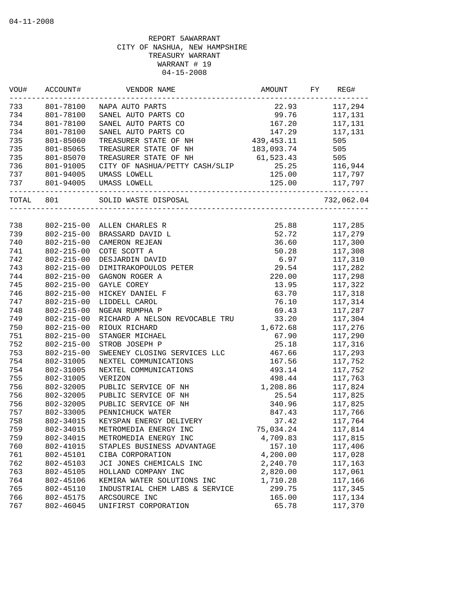| VOU#  | ACCOUNT#         | VENDOR NAME                                 | AMOUNT                         | FY | REG#           |
|-------|------------------|---------------------------------------------|--------------------------------|----|----------------|
| 733   | 801-78100        | NAPA AUTO PARTS                             | 22.93                          |    | 117,294        |
| 734   | 801-78100        | SANEL AUTO PARTS CO                         | 99.76                          |    | 117,131        |
| 734   | 801-78100        | SANEL AUTO PARTS CO                         | 167.20                         |    | 117,131        |
| 734   | 801-78100        | SANEL AUTO PARTS CO                         | 147.29                         |    | 117,131        |
| 735   | 801-85060        | TREASURER STATE OF NH                       | 439,453.11                     |    | 505            |
| 735   | 801-85065        | TREASURER STATE OF NH                       | 183,093.74                     |    | 505            |
| 735   | 801-85070        | TREASURER STATE OF NH                       | 61,523.43                      |    | 505            |
| 736   | 801-91005        | CITY OF NASHUA/PETTY CASH/SLIP              | 25.25                          |    | 116,944        |
| 737   | 801-94005        | UMASS LOWELL                                | 125.00                         |    | 117,797        |
| 737   | 801-94005        | UMASS LOWELL                                | ------------------------------ |    | 125.00 117,797 |
| TOTAL | 801              | SOLID WASTE DISPOSAL<br>___________________ |                                |    | 732,062.04     |
|       |                  |                                             |                                |    |                |
| 738   | $802 - 215 - 00$ | ALLEN CHARLES R                             | 25.88                          |    | 117,285        |
| 739   | $802 - 215 - 00$ | BRASSARD DAVID L                            | 52.72                          |    | 117,279        |
| 740   | $802 - 215 - 00$ | CAMERON REJEAN                              | 36.60                          |    | 117,300        |
| 741   | $802 - 215 - 00$ | COTE SCOTT A                                | 50.28                          |    | 117,308        |
| 742   | $802 - 215 - 00$ | DESJARDIN DAVID                             | 6.97                           |    | 117,310        |
| 743   | $802 - 215 - 00$ | DIMITRAKOPOULOS PETER                       | 29.54                          |    | 117,282        |
| 744   | $802 - 215 - 00$ | GAGNON ROGER A                              | 220.00                         |    | 117,298        |
| 745   | $802 - 215 - 00$ | GAYLE COREY                                 | 13.95                          |    | 117,322        |
| 746   | $802 - 215 - 00$ | HICKEY DANIEL F                             | 63.70                          |    | 117,318        |
| 747   | $802 - 215 - 00$ | LIDDELL CAROL                               | 76.10                          |    | 117,314        |
| 748   | $802 - 215 - 00$ | NGEAN RUMPHA P                              | 69.43                          |    | 117,287        |
| 749   | $802 - 215 - 00$ | RICHARD A NELSON REVOCABLE TRU              | 33.20                          |    | 117,304        |
| 750   | $802 - 215 - 00$ | RIOUX RICHARD                               | 1,672.68                       |    | 117,276        |
| 751   | $802 - 215 - 00$ | STANGER MICHAEL                             | 67.90                          |    | 117,290        |
| 752   | $802 - 215 - 00$ | STROB JOSEPH P                              | 25.18                          |    | 117,316        |
| 753   | $802 - 215 - 00$ | SWEENEY CLOSING SERVICES LLC                | 467.66                         |    | 117,293        |
| 754   | 802-31005        | NEXTEL COMMUNICATIONS                       | 167.56                         |    | 117,752        |
| 754   | 802-31005        | NEXTEL COMMUNICATIONS                       | 493.14                         |    | 117,752        |
| 755   | 802-31005        | VERIZON                                     | 498.44                         |    | 117,763        |
| 756   | 802-32005        | PUBLIC SERVICE OF NH                        | 1,208.86                       |    | 117,824        |
| 756   | 802-32005        | PUBLIC SERVICE OF NH                        | 25.54                          |    | 117,825        |
| 756   | 802-32005        | PUBLIC SERVICE OF NH                        | 340.96                         |    | 117,825        |
| 757   | 802-33005        | PENNICHUCK WATER                            | 847.43                         |    | 117,766        |
| 758   | 802-34015        | KEYSPAN ENERGY DELIVERY                     | 37.42                          |    | 117,764        |
| 759   | 802-34015        | METROMEDIA ENERGY INC                       | 75,034.24                      |    | 117,814        |
| 759   | 802-34015        | METROMEDIA ENERGY INC                       | 4,709.83                       |    | 117,815        |
| 760   | 802-41015        | STAPLES BUSINESS ADVANTAGE                  | 157.10                         |    | 117,406        |
| 761   | 802-45101        | CIBA CORPORATION                            | 4,200.00                       |    | 117,028        |
| 762   | 802-45103        | JCI JONES CHEMICALS INC                     | 2,240.70                       |    | 117,163        |
| 763   | 802-45105        | HOLLAND COMPANY INC                         | 2,820.00                       |    | 117,061        |
| 764   | 802-45106        | KEMIRA WATER SOLUTIONS INC                  | 1,710.28                       |    | 117,166        |
| 765   | 802-45110        | INDUSTRIAL CHEM LABS & SERVICE              | 299.75                         |    | 117,345        |
| 766   | 802-45175        | ARCSOURCE INC                               | 165.00                         |    | 117,134        |
| 767   | 802-46045        | UNIFIRST CORPORATION                        | 65.78                          |    | 117,370        |
|       |                  |                                             |                                |    |                |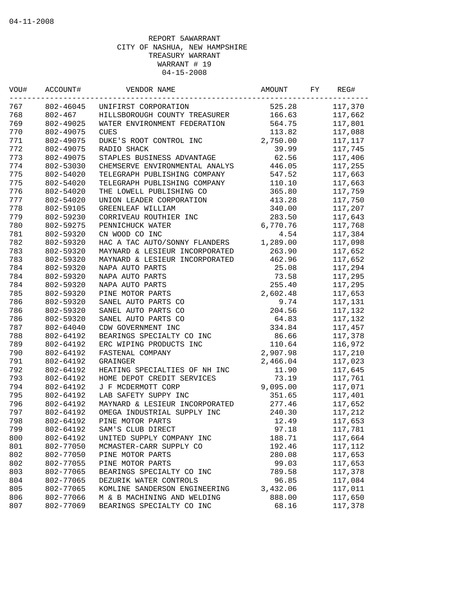| ACCOUNT#    | VENDOR NAME                                                                | AMOUNT                                                                                | FY                                                                                                                               | REG#    |
|-------------|----------------------------------------------------------------------------|---------------------------------------------------------------------------------------|----------------------------------------------------------------------------------------------------------------------------------|---------|
|             | UNIFIRST CORPORATION                                                       | 525.28                                                                                |                                                                                                                                  | 117,370 |
| $802 - 467$ | HILLSBOROUGH COUNTY TREASURER                                              | 166.63                                                                                |                                                                                                                                  | 117,662 |
| 802-49025   | WATER ENVIRONMENT FEDERATION                                               |                                                                                       |                                                                                                                                  | 117,801 |
| 802-49075   | <b>CUES</b>                                                                | 113.82                                                                                |                                                                                                                                  | 117,088 |
| 802-49075   | DUKE'S ROOT CONTROL INC                                                    |                                                                                       |                                                                                                                                  | 117,117 |
| 802-49075   | RADIO SHACK                                                                | 39.99                                                                                 |                                                                                                                                  | 117,745 |
| 802-49075   | STAPLES BUSINESS ADVANTAGE                                                 | 62.56                                                                                 |                                                                                                                                  | 117,406 |
| 802-53030   | CHEMSERVE ENVIRONMENTAL ANALYS                                             | 446.05                                                                                |                                                                                                                                  | 117,255 |
|             |                                                                            | 547.52                                                                                |                                                                                                                                  | 117,663 |
| 802-54020   | TELEGRAPH PUBLISHING COMPANY                                               | 110.10                                                                                |                                                                                                                                  | 117,663 |
| 802-54020   | THE LOWELL PUBLISHING CO                                                   |                                                                                       |                                                                                                                                  | 117,759 |
| 802-54020   | UNION LEADER CORPORATION                                                   | 413.28                                                                                |                                                                                                                                  | 117,750 |
| 802-59105   | GREENLEAF WILLIAM                                                          | 340.00                                                                                |                                                                                                                                  | 117,207 |
| 802-59230   | CORRIVEAU ROUTHIER INC                                                     |                                                                                       |                                                                                                                                  | 117,643 |
| 802-59275   | PENNICHUCK WATER                                                           | 6,770.76                                                                              |                                                                                                                                  | 117,768 |
| 802-59320   | CN WOOD CO INC                                                             | 4.54                                                                                  |                                                                                                                                  | 117,384 |
| 802-59320   | HAC A TAC AUTO/SONNY FLANDERS                                              | 1,289.00                                                                              |                                                                                                                                  | 117,098 |
| 802-59320   | MAYNARD & LESIEUR INCORPORATED                                             |                                                                                       |                                                                                                                                  | 117,652 |
| 802-59320   | MAYNARD & LESIEUR INCORPORATED                                             | 462.96                                                                                |                                                                                                                                  | 117,652 |
| 802-59320   | NAPA AUTO PARTS                                                            | 25.08                                                                                 |                                                                                                                                  | 117,294 |
| 802-59320   | NAPA AUTO PARTS                                                            | 73.58                                                                                 |                                                                                                                                  | 117,295 |
| 802-59320   | NAPA AUTO PARTS                                                            |                                                                                       |                                                                                                                                  | 117,295 |
| 802-59320   | PINE MOTOR PARTS                                                           | 2,602.48                                                                              |                                                                                                                                  | 117,653 |
| 802-59320   | SANEL AUTO PARTS CO                                                        | 9.74                                                                                  |                                                                                                                                  | 117,131 |
| 802-59320   | SANEL AUTO PARTS CO                                                        | 204.56                                                                                |                                                                                                                                  | 117,132 |
| 802-59320   | SANEL AUTO PARTS CO                                                        | 64.83                                                                                 |                                                                                                                                  | 117,132 |
| 802-64040   | CDW GOVERNMENT INC                                                         | 334.84                                                                                |                                                                                                                                  | 117,457 |
| 802-64192   | BEARINGS SPECIALTY CO INC                                                  | 86.66                                                                                 |                                                                                                                                  | 117,378 |
| 802-64192   | ERC WIPING PRODUCTS INC                                                    | 110.64                                                                                |                                                                                                                                  | 116,972 |
| 802-64192   | FASTENAL COMPANY                                                           |                                                                                       |                                                                                                                                  | 117,210 |
| 802-64192   | GRAINGER                                                                   | 2,466.04                                                                              |                                                                                                                                  | 117,023 |
|             | HEATING SPECIALTIES OF NH INC                                              |                                                                                       |                                                                                                                                  | 117,645 |
| 802-64192   | HOME DEPOT CREDIT SERVICES                                                 |                                                                                       |                                                                                                                                  | 117,761 |
|             | J F MCDERMOTT CORP                                                         |                                                                                       |                                                                                                                                  | 117,071 |
|             |                                                                            |                                                                                       |                                                                                                                                  | 117,401 |
| 802-64192   | MAYNARD & LESIEUR INCORPORATED                                             | 277.46                                                                                |                                                                                                                                  | 117,652 |
| 802-64192   | OMEGA INDUSTRIAL SUPPLY INC                                                | 240.30                                                                                |                                                                                                                                  | 117,212 |
|             |                                                                            |                                                                                       |                                                                                                                                  | 117,653 |
| 802-64192   | SAM'S CLUB DIRECT                                                          |                                                                                       |                                                                                                                                  | 117,781 |
| 802-64192   | UNITED SUPPLY COMPANY INC                                                  | 188.71                                                                                |                                                                                                                                  | 117,664 |
|             | MCMASTER-CARR SUPPLY CO                                                    | 192.46                                                                                |                                                                                                                                  | 117,112 |
| 802-77050   | PINE MOTOR PARTS                                                           | 280.08                                                                                |                                                                                                                                  | 117,653 |
| 802-77055   | PINE MOTOR PARTS                                                           | 99.03                                                                                 |                                                                                                                                  | 117,653 |
| 802-77065   | BEARINGS SPECIALTY CO INC                                                  | 789.58                                                                                |                                                                                                                                  | 117,378 |
| 802-77065   | DEZURIK WATER CONTROLS                                                     | 96.85                                                                                 |                                                                                                                                  | 117,084 |
| 802-77065   | KOMLINE SANDERSON ENGINEERING                                              | 3,432.06                                                                              |                                                                                                                                  | 117,011 |
| 802-77066   | M & B MACHINING AND WELDING                                                | 888.00                                                                                |                                                                                                                                  | 117,650 |
| 802-77069   | BEARINGS SPECIALTY CO INC                                                  | 68.16                                                                                 |                                                                                                                                  | 117,378 |
|             | 802-54020<br>802-64192<br>802-64192<br>802-64192<br>802-64192<br>802-77050 | 802-46045<br>TELEGRAPH PUBLISHING COMPANY<br>LAB SAFETY SUPPY INC<br>PINE MOTOR PARTS | 564.75<br>2,750.00<br>365.80<br>283.50<br>263.90<br>255.40<br>2,907.98<br>11.90<br>73.19<br>9,095.00<br>351.65<br>12.49<br>97.18 |         |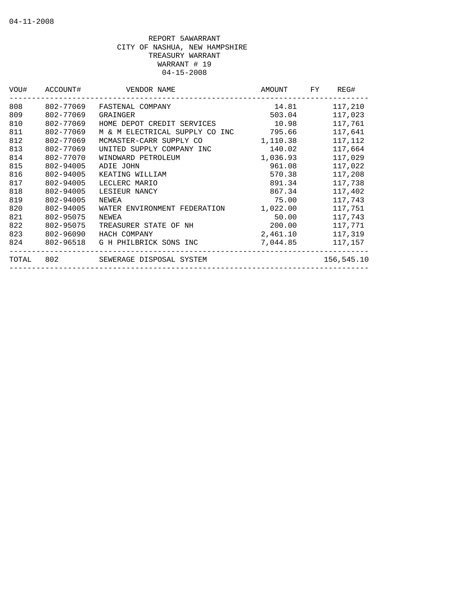| VOU#  | ACCOUNT#  | VENDOR NAME                    | AMOUNT   | FY | REG#       |
|-------|-----------|--------------------------------|----------|----|------------|
| 808   | 802-77069 | FASTENAL COMPANY               | 14.81    |    | 117,210    |
| 809   | 802-77069 | GRAINGER                       | 503.04   |    | 117,023    |
| 810   | 802-77069 | HOME DEPOT CREDIT SERVICES     | 10.98    |    | 117,761    |
| 811   | 802-77069 | M & M ELECTRICAL SUPPLY CO INC | 795.66   |    | 117,641    |
| 812   | 802-77069 | MCMASTER-CARR SUPPLY CO        | 1,110.38 |    | 117,112    |
| 813   | 802-77069 | UNITED SUPPLY COMPANY INC      | 140.02   |    | 117,664    |
| 814   | 802-77070 | WINDWARD PETROLEUM             | 1,036.93 |    | 117,029    |
| 815   | 802-94005 | ADIE JOHN                      | 961.08   |    | 117,022    |
| 816   | 802-94005 | KEATING WILLIAM                | 570.38   |    | 117,208    |
| 817   | 802-94005 | LECLERC MARIO                  | 891.34   |    | 117,738    |
| 818   | 802-94005 | LESIEUR NANCY                  | 867.34   |    | 117,402    |
| 819   | 802-94005 | NEWEA                          | 75.00    |    | 117,743    |
| 820   | 802-94005 | WATER ENVIRONMENT FEDERATION   | 1,022.00 |    | 117,751    |
| 821   | 802-95075 | NEWEA                          | 50.00    |    | 117,743    |
| 822   | 802-95075 | TREASURER STATE OF NH          | 200.00   |    | 117,771    |
| 823   | 802-96090 | HACH COMPANY                   | 2,461.10 |    | 117,319    |
| 824   | 802-96518 | G H PHILBRICK SONS INC         | 7,044.85 |    | 117,157    |
| TOTAL |           | 802 SEWERAGE DISPOSAL SYSTEM   |          |    | 156,545.10 |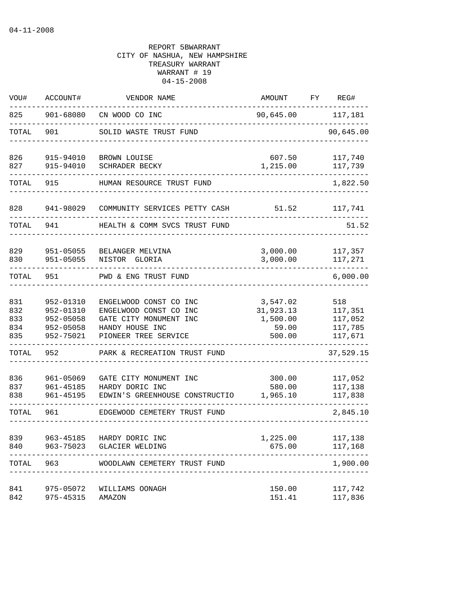| WOU#                            | ACCOUNT#                                                      | VENDOR NAME                                                                                                           | AMOUNT                                               | ${\rm FY}$ | REG#                                            |
|---------------------------------|---------------------------------------------------------------|-----------------------------------------------------------------------------------------------------------------------|------------------------------------------------------|------------|-------------------------------------------------|
| 825                             | 901-68080                                                     | CN WOOD CO INC                                                                                                        | 90,645.00 117,181                                    |            |                                                 |
| TOTAL                           | 901                                                           | SOLID WASTE TRUST FUND                                                                                                |                                                      |            | 90,645.00                                       |
| 826<br>827                      | 915-94010<br>915-94010                                        | BROWN LOUISE<br>SCHRADER BECKY                                                                                        | 607.50<br>1,215.00                                   |            | 117,740<br>117,739                              |
| TOTAL                           | 915                                                           | HUMAN RESOURCE TRUST FUND                                                                                             |                                                      |            | 1,822.50                                        |
|                                 |                                                               |                                                                                                                       |                                                      |            |                                                 |
| 828                             | 941-98029                                                     | COMMUNITY SERVICES PETTY CASH                                                                                         | 51.52                                                |            | 117,741                                         |
| TOTAL                           | 941                                                           | HEALTH & COMM SVCS TRUST FUND                                                                                         |                                                      |            | 51.52                                           |
| 829<br>830                      | 951-05055<br>951-05055                                        | BELANGER MELVINA<br>NISTOR GLORIA                                                                                     | 3,000.00<br>3,000.00                                 |            | 117,357<br>117,271                              |
| TOTAL                           | 951                                                           | PWD & ENG TRUST FUND                                                                                                  |                                                      |            | 6,000.00                                        |
| 831<br>832<br>833<br>834<br>835 | 952-01310<br>952-01310<br>952-05058<br>952-05058<br>952-75021 | ENGELWOOD CONST CO INC<br>ENGELWOOD CONST CO INC<br>GATE CITY MONUMENT INC<br>HANDY HOUSE INC<br>PIONEER TREE SERVICE | 3,547.02<br>31,923.13<br>1,500.00<br>59.00<br>500.00 |            | 518<br>117,351<br>117,052<br>117,785<br>117,671 |
| TOTAL                           | 952                                                           | PARK & RECREATION TRUST FUND                                                                                          |                                                      |            | 37,529.15                                       |
| 836<br>837<br>838               | 961-05069<br>961-45185<br>961-45195                           | GATE CITY MONUMENT INC<br>HARDY DORIC INC<br>EDWIN'S GREENHOUSE CONSTRUCTIO                                           | 300.00<br>580.00<br>1,965.10                         |            | 117,052<br>117,138<br>117,838                   |
| TOTAL                           | 961                                                           | EDGEWOOD CEMETERY TRUST FUND                                                                                          |                                                      |            | 2,845.10                                        |
| 839<br>840                      | 963-45185<br>963-75023                                        | HARDY DORIC INC<br><b>GLACIER WELDING</b>                                                                             | 1,225.00<br>675.00                                   |            | 117,138<br>117,168                              |
| TOTAL                           | 963                                                           | WOODLAWN CEMETERY TRUST FUND                                                                                          |                                                      |            | 1,900.00                                        |
| 841<br>842                      | 975-05072<br>975-45315                                        | WILLIAMS OONAGH<br>AMAZON                                                                                             | 150.00<br>151.41                                     |            | 117,742<br>117,836                              |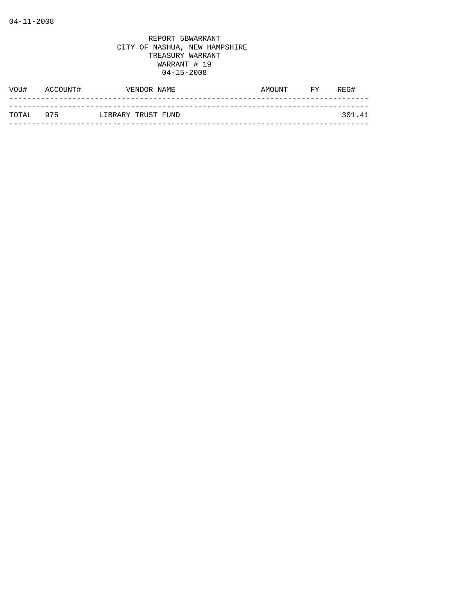| WOU#      | ACCOUNT# | VENDOR NAME        | AMOUNT | FY | REG#   |
|-----------|----------|--------------------|--------|----|--------|
|           |          |                    |        |    |        |
| TOTAL 975 |          | LIBRARY TRUST FUND |        |    | 301.41 |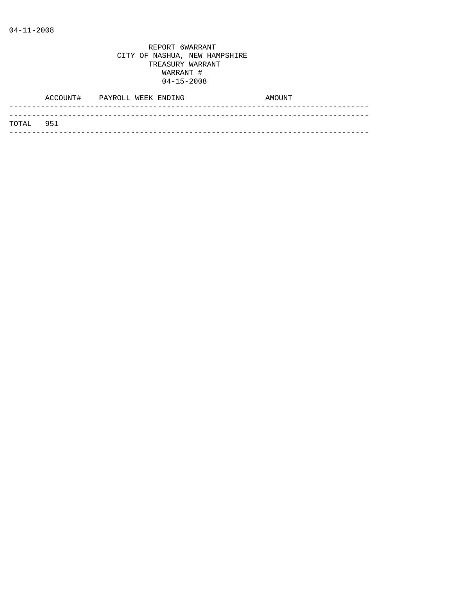|            | ACCOUNT# PAYROLL WEEK ENDING |  | AMOUNT |
|------------|------------------------------|--|--------|
| ТОТАІ. 951 |                              |  |        |
|            |                              |  |        |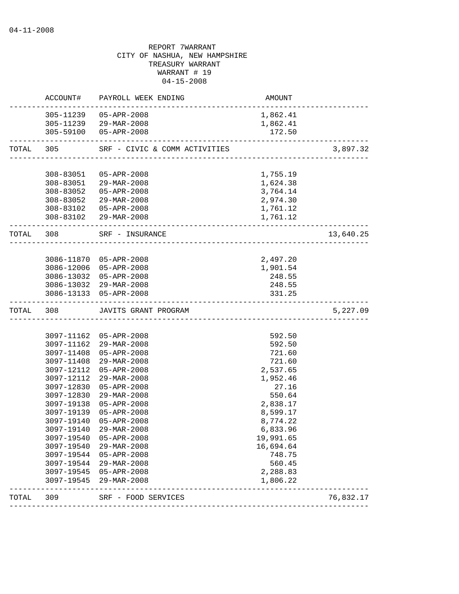|           |                          | ACCOUNT# PAYROLL WEEK ENDING                     | AMOUNT               |           |
|-----------|--------------------------|--------------------------------------------------|----------------------|-----------|
|           |                          | 305-11239  05-APR-2008                           | 1,862.41             |           |
|           |                          | 305-11239 29-MAR-2008                            | 1,862.41             |           |
|           |                          | 305-59100 05-APR-2008                            | 172.50               |           |
| TOTAL 305 |                          | SRF - CIVIC & COMM ACTIVITIES                    |                      | 3,897.32  |
|           |                          |                                                  |                      |           |
|           | 308-83051                | 05-APR-2008                                      | 1,755.19             |           |
|           |                          | 308-83051 29-MAR-2008                            | 1,624.38             |           |
|           |                          | 308-83052 05-APR-2008                            | 3,764.14             |           |
|           |                          | 308-83052 29-MAR-2008                            | 2,974.30             |           |
|           |                          | 308-83102  05-APR-2008<br>308-83102 29-MAR-2008  | 1,761.12<br>1,761.12 |           |
|           | ________________________ | -----------------------------                    |                      |           |
|           |                          | TOTAL 308 SRF - INSURANCE                        |                      | 13,640.25 |
|           |                          |                                                  |                      |           |
|           |                          | 3086-11870 05-APR-2008                           | 2,497.20             |           |
|           |                          | 3086-12006 05-APR-2008                           | 1,901.54<br>248.55   |           |
|           |                          | 3086-13032 05-APR-2008<br>3086-13032 29-MAR-2008 | 248.55               |           |
|           |                          | 3086-13133 05-APR-2008                           | 331.25               |           |
|           |                          | _____________________                            |                      |           |
|           |                          |                                                  |                      |           |
| TOTAL 308 |                          | JAVITS GRANT PROGRAM                             |                      | 5,227.09  |
|           |                          |                                                  |                      |           |
|           |                          | 3097-11162 05-APR-2008                           | 592.50               |           |
|           |                          | 3097-11162 29-MAR-2008                           | 592.50               |           |
|           | 3097-11408               | 05-APR-2008                                      | 721.60               |           |
|           | 3097-11408               | 29-MAR-2008                                      | 721.60               |           |
|           | 3097-12112               | 05-APR-2008                                      | 2,537.65             |           |
|           | 3097-12112               | 29-MAR-2008                                      | 1,952.46             |           |
|           |                          | 3097-12830 05-APR-2008                           | 27.16                |           |
|           | 3097-12830               | 29-MAR-2008                                      | 550.64               |           |
|           | 3097-19138               | 05-APR-2008                                      | 2,838.17             |           |
|           | 3097-19139               | 05-APR-2008                                      | 8,599.17             |           |
|           | 3097-19140               | 05-APR-2008                                      | 8,774.22             |           |
|           |                          | 3097-19140 29-MAR-2008                           | 6,833.96             |           |
|           | 3097-19540               | 05-APR-2008                                      | 19,991.65            |           |
|           | 3097-19540               | 29-MAR-2008                                      | 16,694.64            |           |
|           | 3097-19544               | 05-APR-2008                                      | 748.75               |           |
|           | 3097-19544               | 29-MAR-2008                                      | 560.45               |           |
|           | 3097-19545               | 05-APR-2008                                      | 2,288.83             |           |
| TOTAL     | 3097-19545<br>309        | 29-MAR-2008<br>---------------------------       | 1,806.22             | 76,832.17 |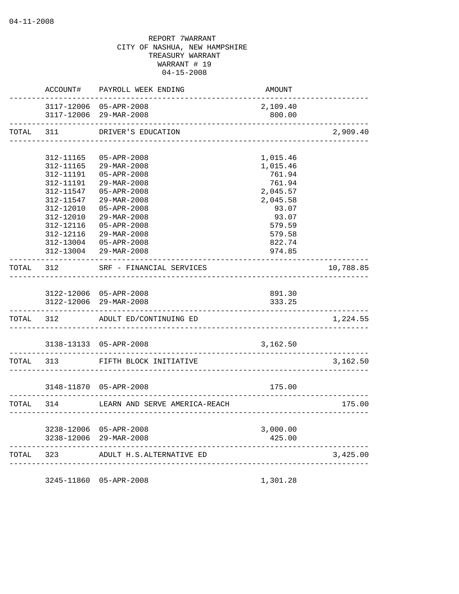|       | ACCOUNT#               | PAYROLL WEEK ENDING                              | AMOUNT                  |           |
|-------|------------------------|--------------------------------------------------|-------------------------|-----------|
|       |                        | 3117-12006 05-APR-2008<br>3117-12006 29-MAR-2008 | 2,109.40<br>800.00      |           |
| TOTAL | 311                    | DRIVER'S EDUCATION<br>_________________          |                         | 2,909.40  |
|       |                        |                                                  |                         |           |
|       | 312-11165              | $05 - APR - 2008$                                | 1,015.46                |           |
|       | 312-11165              | 29-MAR-2008                                      | 1,015.46                |           |
|       | 312-11191              | $05 - APR - 2008$                                | 761.94                  |           |
|       | 312-11191              | 29-MAR-2008                                      | 761.94                  |           |
|       | 312-11547<br>312-11547 | $05 - APR - 2008$<br>29-MAR-2008                 | 2,045.57<br>2,045.58    |           |
|       | 312-12010              | $05 - APR - 2008$                                | 93.07                   |           |
|       | 312-12010              | 29-MAR-2008                                      | 93.07                   |           |
|       | 312-12116              | $05 - APR - 2008$                                | 579.59                  |           |
|       | 312-12116              | 29-MAR-2008                                      | 579.58                  |           |
|       | 312-13004              | $05 - APR - 2008$                                | 822.74                  |           |
|       | 312-13004              | 29-MAR-2008                                      | 974.85                  |           |
|       |                        |                                                  |                         |           |
| TOTAL | 312                    | SRF - FINANCIAL SERVICES                         |                         | 10,788.85 |
|       |                        |                                                  |                         |           |
|       |                        | 3122-12006 05-APR-2008                           | 891.30                  |           |
|       |                        | 3122-12006 29-MAR-2008                           | 333.25                  |           |
|       | _______________        |                                                  | _______________________ |           |
| TOTAL | 312                    | ADULT ED/CONTINUING ED                           |                         | 1,224.55  |
|       |                        |                                                  |                         |           |
|       |                        | 3138-13133 05-APR-2008                           | 3,162.50                |           |
| TOTAL | 313                    | FIFTH BLOCK INITIATIVE                           |                         | 3,162.50  |
|       |                        |                                                  |                         |           |
|       |                        | 3148-11870 05-APR-2008                           | 175.00                  |           |
| TOTAL | 314                    | LEARN AND SERVE AMERICA-REACH                    |                         | 175.00    |
|       |                        |                                                  |                         |           |
|       |                        | 3238-12006 05-APR-2008                           | 3,000.00                |           |
|       | 3238-12006             | $29 - \text{MAR} - 2008$                         | 425.00                  |           |
|       |                        |                                                  |                         |           |
| TOTAL | 323                    | ADULT H.S.ALTERNATIVE ED                         |                         | 3,425.00  |
|       |                        |                                                  |                         |           |

3245-11860 05-APR-2008 1,301.28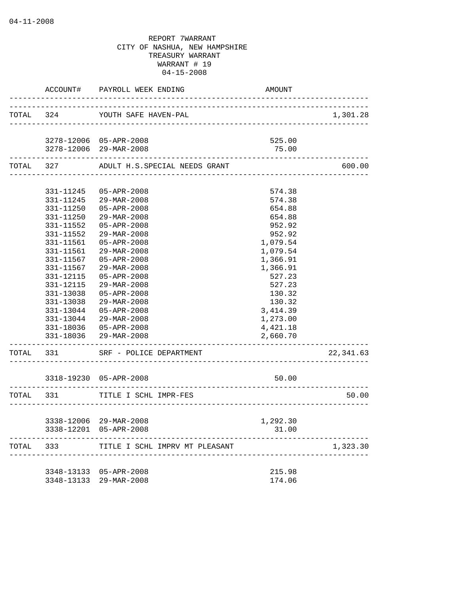|                        | ACCOUNT# PAYROLL WEEK ENDING            | <b>AMOUNT</b>                       |           |
|------------------------|-----------------------------------------|-------------------------------------|-----------|
|                        | TOTAL 324 YOUTH SAFE HAVEN-PAL          |                                     | 1,301.28  |
|                        |                                         |                                     |           |
|                        | 3278-12006 05-APR-2008                  | 525.00                              |           |
|                        | 3278-12006 29-MAR-2008                  | 75.00                               |           |
|                        | TOTAL 327 ADULT H.S.SPECIAL NEEDS GRANT |                                     | 600.00    |
|                        |                                         |                                     |           |
|                        | 331-11245 05-APR-2008                   | 574.38                              |           |
|                        | 331-11245 29-MAR-2008                   | 574.38                              |           |
| 331-11250              | 05-APR-2008                             | 654.88                              |           |
| 331-11250              | 29-MAR-2008                             | 654.88                              |           |
| 331-11552<br>331-11552 | 05-APR-2008<br>29-MAR-2008              | 952.92<br>952.92                    |           |
| 331-11561              | 05-APR-2008                             | 1,079.54                            |           |
| 331-11561              | 29-MAR-2008                             | 1,079.54                            |           |
| 331-11567              | 05-APR-2008                             | 1,366.91                            |           |
| 331-11567              | $29 - \text{MAR} - 2008$                | 1,366.91                            |           |
| 331-12115              | 05-APR-2008                             | 527.23                              |           |
| 331-12115              | 29-MAR-2008                             | 527.23                              |           |
| 331-13038              | 05-APR-2008                             | 130.32                              |           |
| 331-13038              | 29-MAR-2008                             | 130.32                              |           |
| 331-13044              | 05-APR-2008                             | 3, 414.39                           |           |
|                        | 331-13044 29-MAR-2008                   | 1,273.00                            |           |
|                        | 331-18036  05-APR-2008                  | 4,421.18                            |           |
|                        | 331-18036 29-MAR-2008                   | 2,660.70                            |           |
|                        | TOTAL 331 SRF - POLICE DEPARTMENT       |                                     | 22,341.63 |
|                        | 3318-19230 05-APR-2008                  | 50.00                               |           |
|                        | TOTAL 331 TITLE I SCHL IMPR-FES         |                                     | 50.00     |
|                        |                                         | ___________________________________ |           |
|                        | 3338-12006 29-MAR-2008                  | 1,292.30                            |           |
|                        | 3338-12201 05-APR-2008                  | 31.00                               |           |
| TOTAL 333              | TITLE I SCHL IMPRV MT PLEASANT          |                                     | 1,323.30  |
|                        | 3348-13133 05-APR-2008                  | 215.98                              |           |
|                        | 3348-13133 29-MAR-2008                  | 174.06                              |           |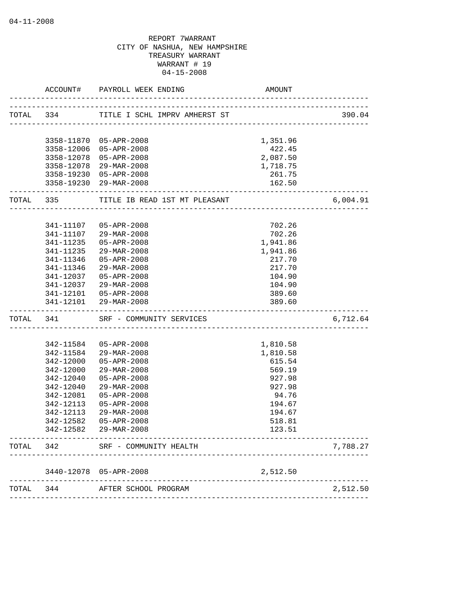|           | ACCOUNT#            | PAYROLL WEEK ENDING<br>__________________  | AMOUNT                                |          |
|-----------|---------------------|--------------------------------------------|---------------------------------------|----------|
| TOTAL 334 |                     | TITLE I SCHL IMPRV AMHERST ST              | _____________________________________ | 390.04   |
|           |                     |                                            |                                       |          |
|           |                     | 3358-11870 05-APR-2008                     | 1,351.96                              |          |
|           |                     | 3358-12006 05-APR-2008                     | 422.45                                |          |
|           | 3358-12078          | 05-APR-2008                                | 2,087.50                              |          |
|           |                     | 3358-12078 29-MAR-2008                     | 1,718.75                              |          |
|           |                     | 3358-19230 05-APR-2008                     | 261.75                                |          |
|           |                     | 3358-19230 29-MAR-2008                     | 162.50<br>_________________           |          |
| TOTAL 335 |                     | TITLE IB READ 1ST MT PLEASANT              |                                       | 6,004.91 |
|           | 341-11107           | 05-APR-2008                                | 702.26                                |          |
|           | 341-11107           | 29-MAR-2008                                | 702.26                                |          |
|           | 341-11235           | 05-APR-2008                                | 1,941.86                              |          |
|           | 341-11235           | 29-MAR-2008                                | 1,941.86                              |          |
|           | 341-11346           | 05-APR-2008                                | 217.70                                |          |
|           | 341-11346           | 29-MAR-2008                                | 217.70                                |          |
|           | 341-12037           | 05-APR-2008                                | 104.90                                |          |
|           | 341-12037           | 29-MAR-2008                                | 104.90                                |          |
|           |                     | 341-12101  05-APR-2008                     | 389.60                                |          |
|           |                     | 341-12101 29-MAR-2008                      | 389.60                                |          |
| TOTAL 341 | ------------------- | SRF - COMMUNITY SERVICES                   | ----------------------------          | 6,712.64 |
|           |                     |                                            |                                       |          |
|           | 342-11584           | 05-APR-2008                                | 1,810.58                              |          |
|           | 342-11584           | 29-MAR-2008                                | 1,810.58                              |          |
|           | 342-12000           | $05 - APR - 2008$                          | 615.54                                |          |
|           | 342-12000           | 29-MAR-2008                                | 569.19                                |          |
|           | 342-12040           | $05 - APR - 2008$                          | 927.98                                |          |
|           | 342-12040           | $29 - \text{MAR} - 2008$                   | 927.98                                |          |
|           | 342-12081           | 05-APR-2008                                | 94.76                                 |          |
|           | 342-12113           | 05-APR-2008                                | 194.67                                |          |
|           | 342-12113           | 29-MAR-2008                                | 194.67                                |          |
|           | 342-12582           | $05 - APR - 2008$<br>342-12582 29-MAR-2008 | 518.81<br>123.51                      |          |
| TOTAL     | 342                 | SRF - COMMUNITY HEALTH                     |                                       | 7,788.27 |
|           |                     |                                            |                                       |          |
|           | 3440-12078          | 05-APR-2008<br>------------------          | 2,512.50                              |          |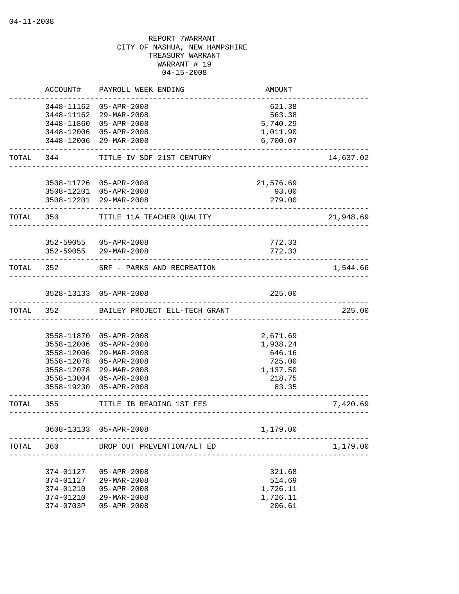|           | ACCOUNT#   | PAYROLL WEEK ENDING                     | AMOUNT                             |           |
|-----------|------------|-----------------------------------------|------------------------------------|-----------|
|           |            | 3448-11162 05-APR-2008                  | 621.38                             |           |
|           | 3448-11162 | 29-MAR-2008                             | 563.38                             |           |
|           |            | 3448-11860 05-APR-2008                  | 5,740.29                           |           |
|           |            | 3448-12006 05-APR-2008                  | 1,011.90                           |           |
|           |            | 3448-12006 29-MAR-2008                  | 6,700.07                           |           |
| TOTAL     | 344 \      | TITLE IV SDF 21ST CENTURY               |                                    | 14,637.02 |
|           |            |                                         |                                    |           |
|           |            | 3508-11726 05-APR-2008                  | 21,576.69                          |           |
|           |            | 3508-12201 05-APR-2008                  | 93.00                              |           |
|           |            | 3508-12201 29-MAR-2008                  | 279.00<br>____________________     |           |
|           | TOTAL 350  | TITLE 11A TEACHER QUALITY               |                                    | 21,948.69 |
|           |            | 352-59055 05-APR-2008                   | 772.33                             |           |
|           |            | 352-59055 29-MAR-2008                   | 772.33                             |           |
|           |            | TOTAL 352 SRF - PARKS AND RECREATION    |                                    | 1,544.66  |
|           |            | 3528-13133 05-APR-2008                  | 225.00                             |           |
|           |            | TOTAL 352 BAILEY PROJECT ELL-TECH GRANT |                                    | 225.00    |
|           |            |                                         |                                    |           |
|           |            | 3558-11870 05-APR-2008                  | 2,671.69                           |           |
|           | 3558-12006 | 05-APR-2008                             | 1,938.24                           |           |
|           | 3558-12006 | 29-MAR-2008                             | 646.16                             |           |
|           | 3558-12078 | 05-APR-2008                             | 725.00                             |           |
|           | 3558-12078 | 29-MAR-2008                             | 1,137.50                           |           |
|           |            | 3558-13004 05-APR-2008                  | 218.75                             |           |
|           |            | 3558-19230 05-APR-2008                  | 83.35                              |           |
| TOTAL 355 |            | TITLE IB READING 1ST FES                | __________________________________ | 7,420.69  |
|           |            | 3608-13133 05-APR-2008                  | 1,179.00                           |           |
| TOTAL     | 360        | DROP OUT PREVENTION/ALT ED              |                                    | 1,179.00  |
|           |            |                                         |                                    |           |
|           | 374-01127  | 05-APR-2008                             | 321.68                             |           |
|           | 374-01127  | 29-MAR-2008                             | 514.69                             |           |
|           | 374-01210  | $05 - APR - 2008$                       | 1,726.11                           |           |
|           | 374-01210  | 29-MAR-2008                             | 1,726.11                           |           |
|           | 374-0703P  | $05 - APR - 2008$                       | 206.61                             |           |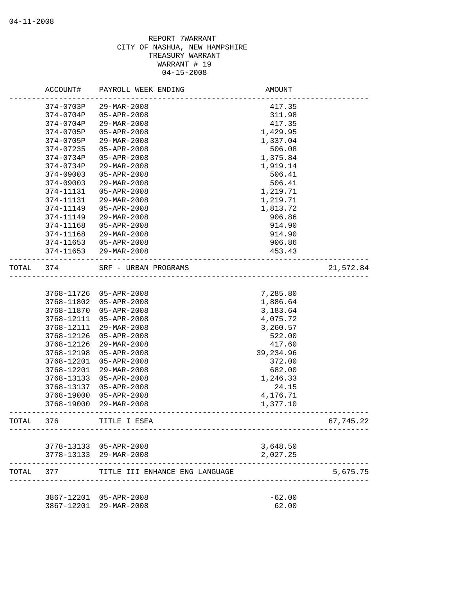|       | ACCOUNT#   | PAYROLL WEEK ENDING                              | AMOUNT                            |           |
|-------|------------|--------------------------------------------------|-----------------------------------|-----------|
|       | 374-0703P  | 29-MAR-2008                                      | 417.35                            |           |
|       | 374-0704P  | $05 - APR - 2008$                                | 311.98                            |           |
|       | 374-0704P  | 29-MAR-2008                                      | 417.35                            |           |
|       | 374-0705P  | 05-APR-2008                                      | 1,429.95                          |           |
|       | 374-0705P  | 29-MAR-2008                                      | 1,337.04                          |           |
|       | 374-07235  | 05-APR-2008                                      | 506.08                            |           |
|       | 374-0734P  | 05-APR-2008                                      | 1,375.84                          |           |
|       | 374-0734P  | 29-MAR-2008                                      | 1,919.14                          |           |
|       | 374-09003  | 05-APR-2008                                      | 506.41                            |           |
|       | 374-09003  | 29-MAR-2008                                      | 506.41                            |           |
|       | 374-11131  | 05-APR-2008                                      | 1,219.71                          |           |
|       | 374-11131  | 29-MAR-2008                                      | 1,219.71                          |           |
|       | 374-11149  | 05-APR-2008                                      | 1,813.72                          |           |
|       | 374-11149  | 29-MAR-2008                                      | 906.86                            |           |
|       | 374-11168  | 05-APR-2008                                      | 914.90                            |           |
|       | 374-11168  | 29-MAR-2008                                      | 914.90                            |           |
|       | 374-11653  | 05-APR-2008                                      | 906.86                            |           |
|       | 374-11653  | 29-MAR-2008                                      | 453.43                            |           |
| TOTAL | 374        | SRF - URBAN PROGRAMS                             | _________________________________ | 21,572.84 |
|       |            |                                                  |                                   |           |
|       | 3768-11726 | 05-APR-2008                                      | 7,285.80                          |           |
|       | 3768-11802 | 05-APR-2008                                      | 1,886.64                          |           |
|       | 3768-11870 | 05-APR-2008                                      | 3,183.64                          |           |
|       | 3768-12111 | 05-APR-2008                                      | 4,075.72                          |           |
|       | 3768-12111 | 29-MAR-2008                                      | 3,260.57                          |           |
|       | 3768-12126 | 05-APR-2008                                      | 522.00                            |           |
|       | 3768-12126 | 29-MAR-2008                                      | 417.60                            |           |
|       | 3768-12198 | 05-APR-2008                                      | 39,234.96                         |           |
|       | 3768-12201 | 05-APR-2008                                      | 372.00                            |           |
|       | 3768-12201 | 29-MAR-2008                                      | 682.00                            |           |
|       | 3768-13133 | 05-APR-2008                                      | 1,246.33                          |           |
|       | 3768-13137 | 05-APR-2008                                      | 24.15                             |           |
|       | 3768-19000 | $05 - APR - 2008$                                | 4,176.71                          |           |
|       | 3768-19000 | 29-MAR-2008                                      | 1,377.10                          |           |
| TOTAL | 376        | TITLE I ESEA                                     |                                   | 67,745.22 |
|       |            |                                                  |                                   |           |
|       |            | 3778-13133 05-APR-2008<br>3778-13133 29-MAR-2008 | 3,648.50<br>2,027.25              |           |
| TOTAL | 377        | TITLE III ENHANCE ENG LANGUAGE                   |                                   | 5,675.75  |
|       |            |                                                  |                                   |           |
|       |            | 3867-12201 05-APR-2008                           | $-62.00$                          |           |
|       | 3867-12201 | 29-MAR-2008                                      | 62.00                             |           |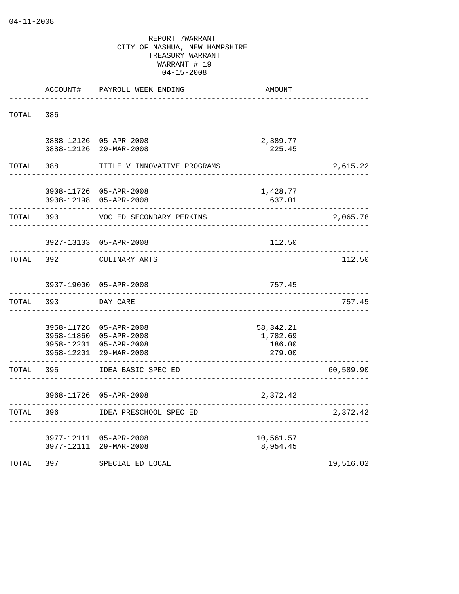|       | ACCOUNT#                                             | PAYROLL WEEK ENDING                                                  | <b>AMOUNT</b>                               |           |
|-------|------------------------------------------------------|----------------------------------------------------------------------|---------------------------------------------|-----------|
| TOTAL | 386                                                  |                                                                      |                                             |           |
|       | 3888-12126<br>3888-12126<br>--------                 | 05-APR-2008<br>29-MAR-2008                                           | 2,389.77<br>225.45                          |           |
| TOTAL | 388                                                  | TITLE V INNOVATIVE PROGRAMS                                          |                                             | 2,615.22  |
|       | 3908-11726<br>3908-12198<br>-----                    | 05-APR-2008<br>05-APR-2008                                           | 1,428.77<br>637.01                          |           |
| TOTAL | 390                                                  | VOC ED SECONDARY PERKINS                                             |                                             | 2,065.78  |
|       | 3927-13133                                           | 05-APR-2008                                                          | 112.50                                      |           |
| TOTAL | 392                                                  | CULINARY ARTS                                                        |                                             | 112.50    |
|       | 3937-19000                                           | 05-APR-2008                                                          | 757.45                                      |           |
| TOTAL | 393                                                  | DAY CARE                                                             |                                             | 757.45    |
|       | 3958-11726<br>3958-11860<br>3958-12201<br>3958-12201 | $05 - APR - 2008$<br>05-APR-2008<br>$05 - APR - 2008$<br>29-MAR-2008 | 58, 342. 21<br>1,782.69<br>186.00<br>279.00 |           |
| TOTAL | 395                                                  | IDEA BASIC SPEC ED                                                   |                                             | 60,589.90 |
|       | 3968-11726                                           | $05 - APR - 2008$                                                    | 2,372.42                                    |           |
| TOTAL | 396                                                  | IDEA PRESCHOOL SPEC ED                                               |                                             | 2,372.42  |
|       | 3977-12111<br>3977-12111                             | $05 - APR - 2008$<br>29-MAR-2008<br>----------                       | 10,561.57<br>8,954.45                       |           |
| TOTAL | 397                                                  | SPECIAL ED LOCAL<br>.                                                |                                             | 19,516.02 |
|       |                                                      |                                                                      |                                             |           |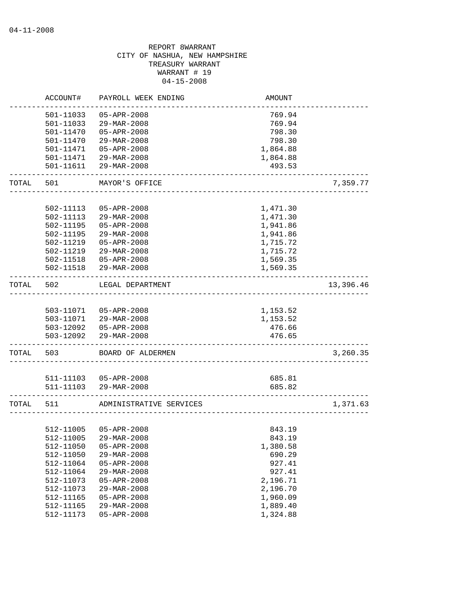|           | ACCOUNT#  | PAYROLL WEEK ENDING                  | <b>AMOUNT</b>         |           |
|-----------|-----------|--------------------------------------|-----------------------|-----------|
|           | 501-11033 | $05 - APR - 2008$                    | 769.94                |           |
|           | 501-11033 | 29-MAR-2008                          | 769.94                |           |
|           | 501-11470 | 05-APR-2008                          | 798.30                |           |
|           | 501-11470 | $29 - MAR - 2008$                    | 798.30                |           |
|           | 501-11471 | $05 - APR - 2008$                    | 1,864.88              |           |
|           |           | 501-11471 29-MAR-2008                | 1,864.88              |           |
|           | 501-11611 | 29-MAR-2008                          | 493.53                |           |
| TOTAL     | 501       | MAYOR'S OFFICE                       |                       | 7,359.77  |
|           |           |                                      |                       |           |
|           | 502-11113 | 05-APR-2008                          | 1,471.30              |           |
|           | 502-11113 | 29-MAR-2008                          | 1,471.30              |           |
|           | 502-11195 | 05-APR-2008                          | 1,941.86              |           |
|           | 502-11195 | 29-MAR-2008                          | 1,941.86              |           |
|           | 502-11219 | $05 - APR - 2008$                    | 1,715.72              |           |
|           | 502-11219 | 29-MAR-2008                          | 1,715.72              |           |
|           | 502-11518 | $05 - APR - 2008$                    | 1,569.35              |           |
|           | 502-11518 | 29-MAR-2008                          | 1,569.35              |           |
| TOTAL     | 502       | LEGAL DEPARTMENT                     |                       | 13,396.46 |
|           |           |                                      |                       |           |
|           |           | 503-11071  05-APR-2008               | 1,153.52              |           |
|           |           | 503-11071 29-MAR-2008                | 1,153.52              |           |
|           |           | 503-12092  05-APR-2008               | 476.66                |           |
|           | 503-12092 | 29-MAR-2008                          | 476.65                |           |
| TOTAL     | 503       | BOARD OF ALDERMEN                    |                       | 3,260.35  |
|           |           |                                      |                       |           |
|           |           | 511-11103  05-APR-2008               | 685.81                |           |
|           | 511-11103 | 29-MAR-2008                          | 685.82                |           |
| TOTAL 511 |           | ADMINISTRATIVE SERVICES              | <u>______________</u> | 1,371.63  |
|           |           |                                      |                       |           |
|           | 512-11005 | 512-11005 05-APR-2008<br>29-MAR-2008 | 843.19                |           |
|           |           |                                      | 843.19                |           |
|           | 512-11050 | $05 - APR - 2008$                    | 1,380.58              |           |
|           | 512-11050 | 29-MAR-2008                          | 690.29                |           |
|           | 512-11064 | 05-APR-2008                          | 927.41                |           |
|           | 512-11064 | 29-MAR-2008                          | 927.41                |           |
|           | 512-11073 | $05 - APR - 2008$                    | 2,196.71              |           |
|           | 512-11073 | 29-MAR-2008                          | 2,196.70              |           |
|           | 512-11165 | 05-APR-2008                          | 1,960.09              |           |
|           | 512-11165 | 29-MAR-2008                          | 1,889.40              |           |
|           | 512-11173 | $05 - APR - 2008$                    | 1,324.88              |           |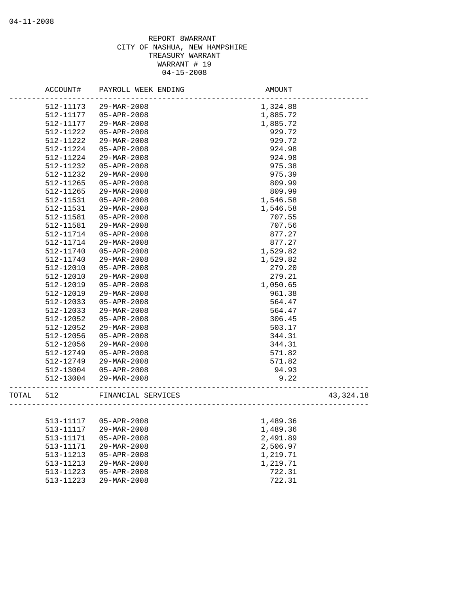|           | ACCOUNT#  | PAYROLL WEEK ENDING      | AMOUNT               |             |
|-----------|-----------|--------------------------|----------------------|-------------|
|           | 512-11173 | 29-MAR-2008              | 1,324.88             |             |
|           | 512-11177 | $05 - APR - 2008$        | 1,885.72             |             |
|           | 512-11177 | 29-MAR-2008              | 1,885.72             |             |
|           | 512-11222 | $05 - APR - 2008$        | 929.72               |             |
|           | 512-11222 | 29-MAR-2008              | 929.72               |             |
|           | 512-11224 | $05 - APR - 2008$        | 924.98               |             |
|           | 512-11224 | 29-MAR-2008              | 924.98               |             |
|           | 512-11232 | $05 - APR - 2008$        | 975.38               |             |
|           | 512-11232 | 29-MAR-2008              | 975.39               |             |
|           | 512-11265 | $05 - APR - 2008$        | 809.99               |             |
|           | 512-11265 | 29-MAR-2008              | 809.99               |             |
|           | 512-11531 | $05 - APR - 2008$        | 1,546.58             |             |
|           | 512-11531 | 29-MAR-2008              | 1,546.58             |             |
|           | 512-11581 | $05 - APR - 2008$        | 707.55               |             |
|           | 512-11581 | 29-MAR-2008              | 707.56               |             |
|           | 512-11714 | $05 - APR - 2008$        | 877.27               |             |
|           | 512-11714 | 29-MAR-2008              | 877.27               |             |
|           | 512-11740 | $05 - APR - 2008$        | 1,529.82             |             |
|           | 512-11740 | 29-MAR-2008              | 1,529.82             |             |
|           | 512-12010 | 05-APR-2008              | 279.20               |             |
|           | 512-12010 | $29 - \text{MAR} - 2008$ | 279.21               |             |
|           | 512-12019 | $05 - APR - 2008$        | 1,050.65             |             |
|           | 512-12019 | $29 - MAR - 2008$        | 961.38               |             |
|           | 512-12033 | 05-APR-2008              | 564.47               |             |
|           | 512-12033 | 29-MAR-2008              | 564.47               |             |
|           | 512-12052 | $05 - APR - 2008$        | 306.45               |             |
|           | 512-12052 | 29-MAR-2008              | 503.17               |             |
|           | 512-12056 | $05 - APR - 2008$        | 344.31               |             |
|           | 512-12056 | 29-MAR-2008              | 344.31               |             |
|           | 512-12749 | 05-APR-2008              | 571.82               |             |
|           | 512-12749 | 29-MAR-2008              | 571.82               |             |
|           | 512-13004 | 05-APR-2008              | 94.93                |             |
|           | 512-13004 | 29-MAR-2008              | 9.22                 |             |
| TOTAL 512 |           | FINANCIAL SERVICES       | ____________________ | 43, 324. 18 |
|           |           |                          |                      |             |
|           |           | 513-11117  05-APR-2008   | 1,489.36             |             |
|           | 513-11117 | 29-MAR-2008              | 1,489.36             |             |
|           | 513-11171 | $05 - APR - 2008$        | 2,491.89             |             |
|           | 513-11171 | 29-MAR-2008              | 2,506.97             |             |
|           | 513-11213 | 05-APR-2008              | 1,219.71             |             |
|           | 513-11213 | 29-MAR-2008              | 1,219.71             |             |
|           | 513-11223 | $05 - APR - 2008$        | 722.31               |             |
|           | 513-11223 | 29-MAR-2008              | 722.31               |             |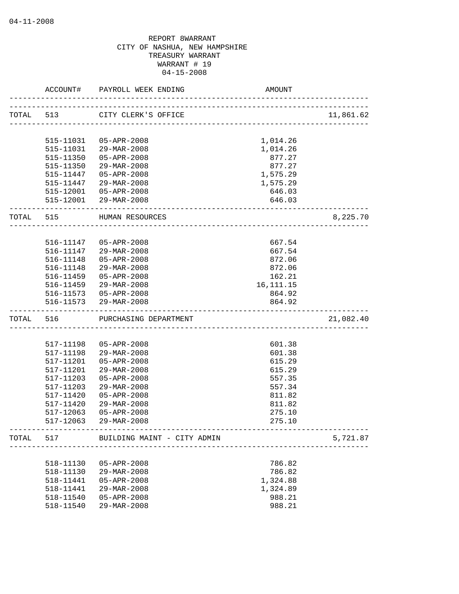|           | ACCOUNT#                  | PAYROLL WEEK ENDING<br>__________________                 | AMOUNT                 |           |
|-----------|---------------------------|-----------------------------------------------------------|------------------------|-----------|
|           | TOTAL 513                 | CITY CLERK'S OFFICE                                       |                        | 11,861.62 |
|           | 515-11031                 | 05-APR-2008                                               | 1,014.26               |           |
|           | 515-11031                 | 29-MAR-2008                                               | 1,014.26               |           |
|           | 515-11350                 | 05-APR-2008                                               | 877.27                 |           |
|           | 515-11350                 | 29-MAR-2008                                               | 877.27                 |           |
|           |                           | 515-11447 05-APR-2008                                     | 1,575.29               |           |
|           |                           | 515-11447 29-MAR-2008                                     | 1,575.29               |           |
|           |                           | 515-12001 05-APR-2008                                     | 646.03                 |           |
|           |                           | 515-12001 29-MAR-2008                                     | 646.03                 |           |
| TOTAL 515 |                           | HUMAN RESOURCES                                           |                        | 8,225.70  |
|           |                           |                                                           |                        |           |
|           |                           | 516-11147 05-APR-2008                                     | 667.54                 |           |
|           |                           | 516-11147 29-MAR-2008                                     | 667.54                 |           |
|           |                           | 516-11148  05-APR-2008                                    | 872.06                 |           |
|           | 516-11148                 | 29-MAR-2008                                               | 872.06                 |           |
|           | 516-11459                 | 05-APR-2008                                               | 162.21                 |           |
|           | 516-11459                 | 29-MAR-2008<br>516-11573 05-APR-2008                      | 16, 111. 15<br>864.92  |           |
|           |                           | 516-11573 29-MAR-2008                                     | 864.92                 |           |
| TOTAL 516 | ------------------------- | PURCHASING DEPARTMENT                                     | ______________________ | 21,082.40 |
|           |                           |                                                           |                        |           |
|           | 517-11198                 | 05-APR-2008                                               | 601.38                 |           |
|           | 517-11198                 | 29-MAR-2008                                               | 601.38                 |           |
|           | 517-11201                 | $05 - APR - 2008$                                         | 615.29                 |           |
|           | 517-11201                 | 29-MAR-2008                                               | 615.29                 |           |
|           | 517-11203                 | $05 - APR - 2008$                                         | 557.35                 |           |
|           | 517-11203                 | 29-MAR-2008                                               | 557.34                 |           |
|           | 517-11420                 | $05 - APR - 2008$                                         | 811.82                 |           |
|           | 517-11420                 | 29-MAR-2008                                               | 811.82                 |           |
|           | 517-12063                 | $05 - APR - 2008$                                         | 275.10                 |           |
|           | 517-12063                 | 29-MAR-2008                                               | 275.10                 |           |
| TOTAL     | 517                       | BUILDING MAINT - CITY ADMIN<br>__________________________ |                        | 5,721.87  |
|           |                           |                                                           |                        |           |
|           | 518-11130                 | 05-APR-2008                                               | 786.82                 |           |
|           | 518-11130                 | $29 - \text{MAR} - 2008$                                  | 786.82                 |           |
|           | 518-11441<br>518-11441    | $05 - APR - 2008$<br>29-MAR-2008                          | 1,324.88               |           |
|           | 518-11540                 | 05-APR-2008                                               | 1,324.89<br>988.21     |           |
|           | 518-11540                 | 29-MAR-2008                                               | 988.21                 |           |
|           |                           |                                                           |                        |           |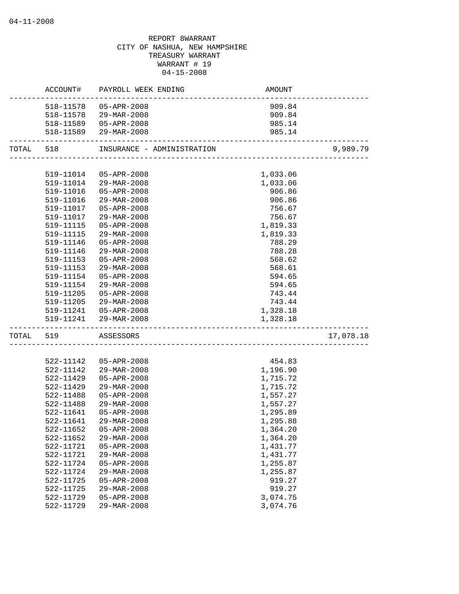|           |           | ACCOUNT# PAYROLL WEEK ENDING | AMOUNT   |           |
|-----------|-----------|------------------------------|----------|-----------|
|           | 518-11578 | 05-APR-2008                  | 909.84   |           |
|           | 518-11578 | 29-MAR-2008                  | 909.84   |           |
|           |           | 518-11589   05-APR-2008      | 985.14   |           |
|           |           | 518-11589 29-MAR-2008        | 985.14   |           |
| TOTAL 518 |           | INSURANCE - ADMINISTRATION   |          | 9,989.79  |
|           |           |                              |          |           |
|           | 519-11014 | 05-APR-2008                  | 1,033.06 |           |
|           | 519-11014 | 29-MAR-2008                  | 1,033.06 |           |
|           | 519-11016 | 05-APR-2008                  | 906.86   |           |
|           | 519-11016 | 29-MAR-2008                  | 906.86   |           |
|           | 519-11017 | 05-APR-2008                  | 756.67   |           |
|           | 519-11017 | 29-MAR-2008                  | 756.67   |           |
|           | 519-11115 | 05-APR-2008                  | 1,819.33 |           |
|           | 519-11115 | 29-MAR-2008                  | 1,819.33 |           |
|           | 519-11146 | 05-APR-2008                  | 788.29   |           |
|           | 519-11146 | 29-MAR-2008                  | 788.28   |           |
|           | 519-11153 | 05-APR-2008                  | 568.62   |           |
|           | 519-11153 | $29 - \text{MAR} - 2008$     | 568.61   |           |
|           | 519-11154 | 05-APR-2008                  | 594.65   |           |
|           | 519-11154 | 29-MAR-2008                  | 594.65   |           |
|           | 519-11205 | 05-APR-2008                  | 743.44   |           |
|           | 519-11205 | 29-MAR-2008                  | 743.44   |           |
|           |           | 519-11241  05-APR-2008       | 1,328.18 |           |
|           |           | 519-11241 29-MAR-2008        | 1,328.18 |           |
| TOTAL     | 519       | ASSESSORS                    |          | 17,078.18 |
|           |           |                              |          |           |
|           | 522-11142 | $05 - APR - 2008$            | 454.83   |           |
|           | 522-11142 | 29-MAR-2008                  | 1,196.90 |           |
|           | 522-11429 | $05 - APR - 2008$            | 1,715.72 |           |
|           | 522-11429 | 29-MAR-2008                  | 1,715.72 |           |
|           | 522-11488 | 05-APR-2008                  | 1,557.27 |           |
|           | 522-11488 | 29-MAR-2008                  | 1,557.27 |           |
|           | 522-11641 | 05-APR-2008                  | 1,295.89 |           |
|           | 522-11641 | 29-MAR-2008                  | 1,295.88 |           |
|           | 522-11652 | 05-APR-2008                  | 1,364.20 |           |
|           | 522-11652 | 29-MAR-2008                  | 1,364.20 |           |
|           | 522-11721 | $05 - APR - 2008$            | 1,431.77 |           |
|           | 522-11721 | 29-MAR-2008                  | 1,431.77 |           |
|           | 522-11724 | 05-APR-2008                  | 1,255.87 |           |
|           | 522-11724 | 29-MAR-2008                  | 1,255.87 |           |
|           | 522-11725 | $05 - APR - 2008$            | 919.27   |           |
|           | 522-11725 | 29-MAR-2008                  | 919.27   |           |
|           | 522-11729 | 05-APR-2008                  | 3,074.75 |           |
|           | 522-11729 | 29-MAR-2008                  | 3,074.76 |           |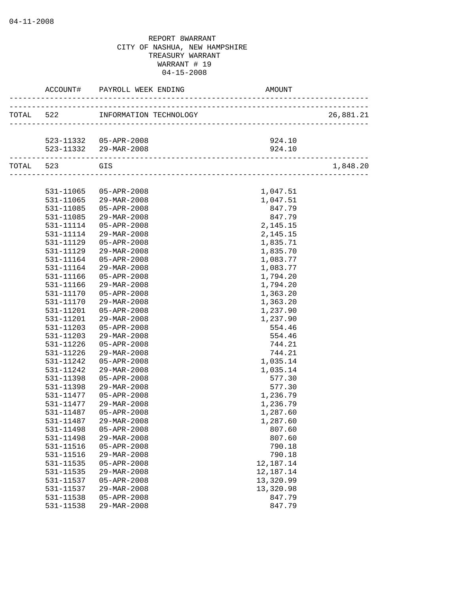|               | ACCOUNT# PAYROLL WEEK ENDING     | AMOUNT                                     |           |
|---------------|----------------------------------|--------------------------------------------|-----------|
|               | TOTAL 522 INFORMATION TECHNOLOGY | OGY<br>___________________________________ | 26,881.21 |
|               |                                  |                                            |           |
|               | 523-11332  05-APR-2008           | 924.10                                     |           |
|               | 523-11332 29-MAR-2008            | 924.10                                     |           |
| TOTAL 523 GIS |                                  |                                            | 1,848.20  |
|               |                                  |                                            |           |
|               | 531-11065 05-APR-2008            | 1,047.51                                   |           |
|               | 531-11065 29-MAR-2008            | 1,047.51                                   |           |
| 531-11085     | 05-APR-2008                      | 847.79                                     |           |
| 531-11085     | 29-MAR-2008                      | 847.79                                     |           |
| 531-11114     | 05-APR-2008                      | 2,145.15                                   |           |
| 531-11114     | $29 - \text{MAR} - 2008$         | 2,145.15                                   |           |
| 531-11129     | $05 - APR - 2008$                | 1,835.71                                   |           |
| 531-11129     | 29-MAR-2008                      | 1,835.70                                   |           |
| 531-11164     | 05-APR-2008                      | 1,083.77                                   |           |
| 531-11164     | 29-MAR-2008                      | 1,083.77                                   |           |
| 531-11166     | 05-APR-2008                      | 1,794.20                                   |           |
| 531-11166     | 29-MAR-2008                      | 1,794.20                                   |           |
| 531-11170     | $05 - APR - 2008$                | 1,363.20                                   |           |
| 531-11170     | 29-MAR-2008                      | 1,363.20                                   |           |
| 531-11201     | 05-APR-2008                      | 1,237.90                                   |           |
| 531-11201     | 29-MAR-2008                      | 1,237.90                                   |           |
| 531-11203     | 05-APR-2008                      | 554.46                                     |           |
| 531-11203     | 29-MAR-2008                      | 554.46                                     |           |
| 531-11226     | 05-APR-2008                      | 744.21                                     |           |
| 531-11226     | 29-MAR-2008                      | 744.21                                     |           |
| 531-11242     | 05-APR-2008                      | 1,035.14                                   |           |
| 531-11242     | 29-MAR-2008                      | 1,035.14                                   |           |
| 531-11398     | $05 - APR - 2008$                | 577.30                                     |           |
| 531-11398     | 29-MAR-2008                      | 577.30                                     |           |
| 531-11477     | 05-APR-2008                      | 1,236.79                                   |           |
| 531-11477     | 29-MAR-2008                      | 1,236.79                                   |           |
| 531-11487     | 05-APR-2008                      | 1,287.60                                   |           |
| 531-11487     | 29-MAR-2008                      | 1,287.60                                   |           |
| 531-11498     | $05 - APR - 2008$                | 807.60                                     |           |
| 531-11498     | 29-MAR-2008                      | 807.60                                     |           |
| 531-11516     | $05 - APR - 2008$                | 790.18                                     |           |
| 531-11516     | 29-MAR-2008                      | 790.18                                     |           |
| 531-11535     | 05-APR-2008                      | 12,187.14                                  |           |
| 531-11535     | 29-MAR-2008                      | 12,187.14                                  |           |
| 531-11537     | $05 - APR - 2008$                | 13,320.99                                  |           |
| 531-11537     | 29-MAR-2008                      | 13,320.98                                  |           |
| 531-11538     | $05 - APR - 2008$                | 847.79                                     |           |
| 531-11538     | 29-MAR-2008                      | 847.79                                     |           |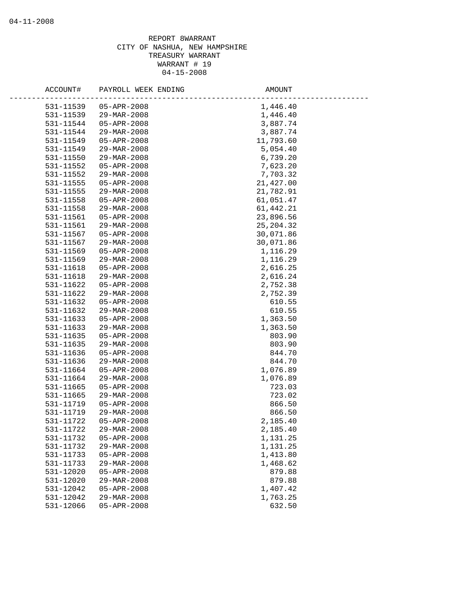| ACCOUNT#  | PAYROLL WEEK ENDING              | AMOUNT      |
|-----------|----------------------------------|-------------|
| 531-11539 | $05 - APR - 2008$                | 1,446.40    |
| 531-11539 | $29 - MAR - 2008$                | 1,446.40    |
| 531-11544 | 05-APR-2008                      | 3,887.74    |
| 531-11544 | 29-MAR-2008                      | 3,887.74    |
| 531-11549 | 05-APR-2008                      | 11,793.60   |
| 531-11549 | 29-MAR-2008                      | 5,054.40    |
| 531-11550 | 29-MAR-2008                      | 6,739.20    |
| 531-11552 | $05 - APR - 2008$                | 7,623.20    |
| 531-11552 | 29-MAR-2008                      | 7,703.32    |
| 531-11555 | 05-APR-2008                      | 21,427.00   |
| 531-11555 | 29-MAR-2008                      | 21,782.91   |
| 531-11558 | 05-APR-2008                      | 61,051.47   |
| 531-11558 | $29 - MAR - 2008$                | 61, 442. 21 |
| 531-11561 | 05-APR-2008                      | 23,896.56   |
| 531-11561 | 29-MAR-2008                      | 25, 204.32  |
| 531-11567 | $05 - APR - 2008$                | 30,071.86   |
| 531-11567 | $29 - MAR - 2008$                | 30,071.86   |
| 531-11569 | $05 - APR - 2008$                | 1,116.29    |
| 531-11569 | 29-MAR-2008                      | 1,116.29    |
| 531-11618 | $05 - APR - 2008$                | 2,616.25    |
| 531-11618 | $29 - \text{MAR} - 2008$         | 2,616.24    |
| 531-11622 | 05-APR-2008                      | 2,752.38    |
| 531-11622 | 29-MAR-2008                      | 2,752.39    |
| 531-11632 | 05-APR-2008                      | 610.55      |
| 531-11632 | 29-MAR-2008                      | 610.55      |
| 531-11633 | 05-APR-2008                      | 1,363.50    |
| 531-11633 | 29-MAR-2008                      | 1,363.50    |
| 531-11635 | 05-APR-2008                      | 803.90      |
| 531-11635 | 29-MAR-2008                      | 803.90      |
| 531-11636 | $05 - APR - 2008$                | 844.70      |
| 531-11636 | 29-MAR-2008                      | 844.70      |
| 531-11664 | 05-APR-2008                      | 1,076.89    |
| 531-11664 | 29-MAR-2008                      | 1,076.89    |
| 531-11665 | 05-APR-2008                      | 723.03      |
| 531-11665 | 29-MAR-2008                      | 723.02      |
| 531-11719 | $05 - APR - 2008$                | 866.50      |
| 531-11719 | 29-MAR-2008                      | 866.50      |
| 531-11722 | $05 - APR - 2008$                | 2,185.40    |
| 531-11722 | 29-MAR-2008                      | 2,185.40    |
| 531-11732 | $05 - APR - 2008$                | 1,131.25    |
| 531-11732 | 29-MAR-2008                      | 1,131.25    |
| 531-11733 | $05 - APR - 2008$                | 1,413.80    |
| 531-11733 | 29-MAR-2008<br>$05 - APR - 2008$ | 1,468.62    |
| 531-12020 |                                  | 879.88      |
| 531-12020 | 29-MAR-2008                      | 879.88      |
| 531-12042 | 05-APR-2008<br>29-MAR-2008       | 1,407.42    |
| 531-12042 | $05 - APR - 2008$                | 1,763.25    |
| 531-12066 |                                  | 632.50      |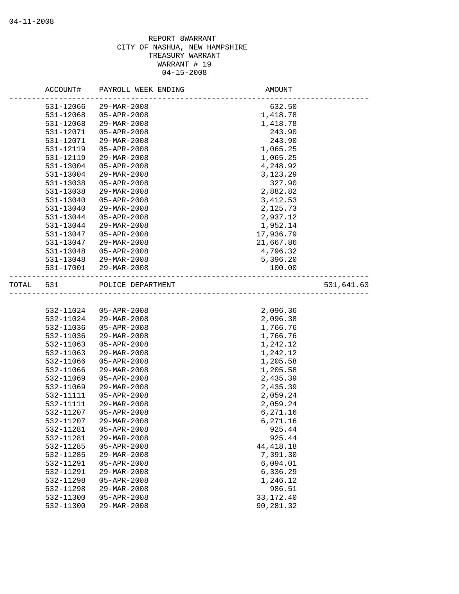|       | ACCOUNT#  | PAYROLL WEEK ENDING | AMOUNT                                 |            |
|-------|-----------|---------------------|----------------------------------------|------------|
|       | 531-12066 | 29-MAR-2008         | 632.50                                 |            |
|       | 531-12068 | $05 - APR - 2008$   | 1,418.78                               |            |
|       | 531-12068 | 29-MAR-2008         | 1,418.78                               |            |
|       | 531-12071 | 05-APR-2008         | 243.90                                 |            |
|       | 531-12071 | 29-MAR-2008         | 243.90                                 |            |
|       | 531-12119 | 05-APR-2008         | 1,065.25                               |            |
|       | 531-12119 | 29-MAR-2008         | 1,065.25                               |            |
|       | 531-13004 | 05-APR-2008         | 4,248.92                               |            |
|       | 531-13004 | 29-MAR-2008         | 3,123.29                               |            |
|       | 531-13038 | $05 - APR - 2008$   | 327.90                                 |            |
|       | 531-13038 | 29-MAR-2008         | 2,882.82                               |            |
|       | 531-13040 | $05 - APR - 2008$   | 3, 412.53                              |            |
|       | 531-13040 | 29-MAR-2008         | 2,125.73                               |            |
|       | 531-13044 | 05-APR-2008         | 2,937.12                               |            |
|       | 531-13044 | 29-MAR-2008         | 1,952.14                               |            |
|       | 531-13047 | 05-APR-2008         | 17,936.79                              |            |
|       | 531-13047 | 29-MAR-2008         | 21,667.86                              |            |
|       | 531-13048 | 05-APR-2008         | 4,796.32                               |            |
|       | 531-13048 | 29-MAR-2008         | 5,396.20                               |            |
|       | 531-17001 | 29-MAR-2008         | 100.00                                 |            |
| TOTAL | 531       | POLICE DEPARTMENT   | ______________________________________ | 531,641.63 |
|       |           |                     |                                        |            |
|       | 532-11024 | $05 - APR - 2008$   | 2,096.36                               |            |
|       | 532-11024 | 29-MAR-2008         | 2,096.38                               |            |
|       | 532-11036 | $05 - APR - 2008$   | 1,766.76                               |            |
|       | 532-11036 | $29 - MAR - 2008$   | 1,766.76                               |            |
|       | 532-11063 | 05-APR-2008         | 1,242.12                               |            |
|       | 532-11063 | 29-MAR-2008         | 1,242.12                               |            |
|       | 532-11066 | 05-APR-2008         | 1,205.58                               |            |
|       | 532-11066 | 29-MAR-2008         | 1,205.58                               |            |
|       | 532-11069 | 05-APR-2008         | 2,435.39                               |            |
|       | 532-11069 | 29-MAR-2008         | 2,435.39                               |            |
|       | 532-11111 | 05-APR-2008         | 2,059.24                               |            |
|       | 532-11111 | 29-MAR-2008         | 2,059.24                               |            |
|       | 532-11207 | $05 - APR - 2008$   | 6,271.16                               |            |
|       | 532-11207 | $29 - MAR - 2008$   | 6,271.16                               |            |
|       | 532-11281 | $05 - APR - 2008$   | 925.44                                 |            |
|       | 532-11281 | 29-MAR-2008         | 925.44                                 |            |
|       | 532-11285 | 05-APR-2008         | 44, 418.18                             |            |
|       | 532-11285 | 29-MAR-2008         | 7,391.30                               |            |
|       | 532-11291 | $05 - APR - 2008$   | 6,094.01                               |            |
|       | 532-11291 | 29-MAR-2008         | 6,336.29                               |            |
|       | 532-11298 | $05 - APR - 2008$   | 1,246.12                               |            |
|       | 532-11298 | 29-MAR-2008         | 986.51                                 |            |
|       | 532-11300 | $05 - APR - 2008$   | 33, 172. 40                            |            |
|       | 532-11300 | 29-MAR-2008         | 90,281.32                              |            |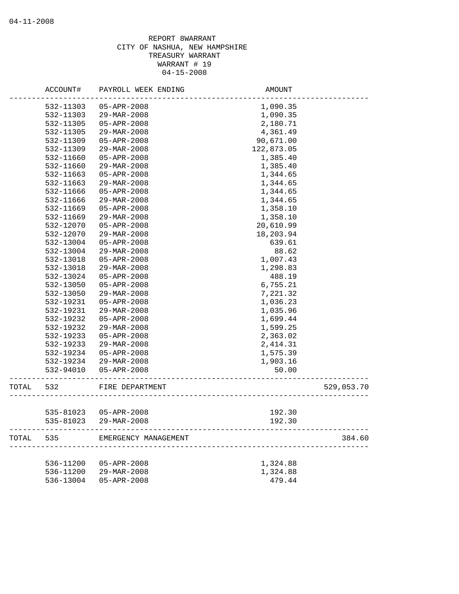|       | ACCOUNT#  | PAYROLL WEEK ENDING  | <b>AMOUNT</b>                      |            |
|-------|-----------|----------------------|------------------------------------|------------|
|       | 532-11303 | 05-APR-2008          | 1,090.35                           |            |
|       | 532-11303 | 29-MAR-2008          | 1,090.35                           |            |
|       | 532-11305 | 05-APR-2008          | 2,180.71                           |            |
|       | 532-11305 | 29-MAR-2008          | 4,361.49                           |            |
|       | 532-11309 | 05-APR-2008          | 90,671.00                          |            |
|       | 532-11309 | 29-MAR-2008          | 122,873.05                         |            |
|       | 532-11660 | 05-APR-2008          | 1,385.40                           |            |
|       | 532-11660 | 29-MAR-2008          | 1,385.40                           |            |
|       | 532-11663 | 05-APR-2008          | 1,344.65                           |            |
|       | 532-11663 | 29-MAR-2008          | 1,344.65                           |            |
|       | 532-11666 | 05-APR-2008          | 1,344.65                           |            |
|       | 532-11666 | 29-MAR-2008          | 1,344.65                           |            |
|       | 532-11669 | $05 - APR - 2008$    | 1,358.10                           |            |
|       | 532-11669 | 29-MAR-2008          | 1,358.10                           |            |
|       | 532-12070 | $05 - APR - 2008$    | 20,610.99                          |            |
|       | 532-12070 | $29 - MAR - 2008$    | 18,203.94                          |            |
|       | 532-13004 | 05-APR-2008          | 639.61                             |            |
|       | 532-13004 | 29-MAR-2008          | 88.62                              |            |
|       | 532-13018 | 05-APR-2008          | 1,007.43                           |            |
|       | 532-13018 | 29-MAR-2008          | 1,298.83                           |            |
|       | 532-13024 | 05-APR-2008          | 488.19                             |            |
|       | 532-13050 | 05-APR-2008          | 6,755.21                           |            |
|       | 532-13050 | 29-MAR-2008          | 7,221.32                           |            |
|       | 532-19231 | 05-APR-2008          | 1,036.23                           |            |
|       | 532-19231 | 29-MAR-2008          | 1,035.96                           |            |
|       | 532-19232 | 05-APR-2008          | 1,699.44                           |            |
|       | 532-19232 | 29-MAR-2008          | 1,599.25                           |            |
|       | 532-19233 | $05 - APR - 2008$    | 2,363.02                           |            |
|       | 532-19233 | 29-MAR-2008          | 2, 414.31                          |            |
|       | 532-19234 | 05-APR-2008          | 1,575.39                           |            |
|       | 532-19234 | 29-MAR-2008          | 1,903.16                           |            |
|       | 532-94010 | 05-APR-2008          | 50.00                              |            |
| TOTAL | 532       | FIRE DEPARTMENT      | __________________________________ | 529,053.70 |
|       |           |                      |                                    |            |
|       | 535-81023 | 05-APR-2008          | 192.30                             |            |
|       | 535-81023 | 29-MAR-2008          | 192.30                             |            |
| TOTAL | 535       | EMERGENCY MANAGEMENT |                                    | 384.60     |
|       |           |                      |                                    |            |
|       | 536-11200 | 05-APR-2008          | 1,324.88                           |            |
|       | 536-11200 | 29-MAR-2008          | 1,324.88<br>479.44                 |            |
|       | 536-13004 | 05-APR-2008          |                                    |            |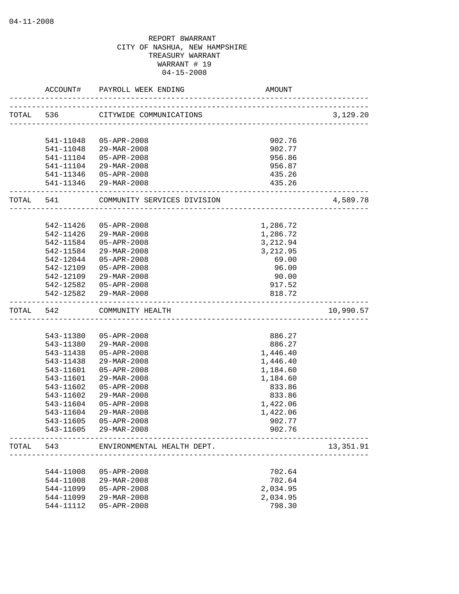|           | ACCOUNT#               | PAYROLL WEEK ENDING                             | AMOUNT          |           |
|-----------|------------------------|-------------------------------------------------|-----------------|-----------|
| TOTAL 536 |                        | CITYWIDE COMMUNICATIONS                         |                 | 3,129.20  |
|           | 541-11048              | 05-APR-2008                                     | 902.76          |           |
|           | 541-11048              | 29-MAR-2008                                     | 902.77          |           |
|           | 541-11104              | 05-APR-2008                                     | 956.86          |           |
|           | 541-11104              | 29-MAR-2008                                     | 956.87          |           |
|           |                        | 541-11346 05-APR-2008                           | 435.26          |           |
|           |                        | 541-11346 29-MAR-2008                           | 435.26          |           |
| TOTAL 541 |                        | COMMUNITY SERVICES DIVISION                     |                 | 4,589.78  |
|           |                        |                                                 |                 |           |
|           | 542-11426              | 05-APR-2008                                     | 1,286.72        |           |
|           | 542-11426              | 29-MAR-2008                                     | 1,286.72        |           |
|           | 542-11584              | 05-APR-2008                                     | 3,212.94        |           |
|           | 542-11584              | 29-MAR-2008                                     | 3,212.95        |           |
|           | 542-12044              | 05-APR-2008                                     | 69.00           |           |
|           | 542-12109<br>542-12109 | 05-APR-2008                                     | 96.00           |           |
|           |                        | 29-MAR-2008                                     | 90.00<br>917.52 |           |
|           |                        | 542-12582  05-APR-2008<br>542-12582 29-MAR-2008 | 818.72          |           |
| TOTAL     | 542                    | COMMUNITY HEALTH                                |                 | 10,990.57 |
|           |                        |                                                 |                 |           |
|           | 543-11380              | 05-APR-2008                                     | 886.27          |           |
|           | 543-11380              | 29-MAR-2008                                     | 886.27          |           |
|           | 543-11438              | 05-APR-2008                                     | 1,446.40        |           |
|           | 543-11438              | $29 - \text{MAR} - 2008$                        | 1,446.40        |           |
|           | 543-11601              | 05-APR-2008                                     | 1,184.60        |           |
|           | 543-11601              | 29-MAR-2008                                     | 1,184.60        |           |
|           | 543-11602              | $05 - APR - 2008$                               | 833.86          |           |
|           | 543-11602              | 29-MAR-2008                                     | 833.86          |           |
|           | 543-11604              | 05-APR-2008                                     | 1,422.06        |           |
|           | 543-11604              | 29-MAR-2008                                     | 1,422.06        |           |
|           | 543-11605              | 05-APR-2008                                     | 902.77          |           |
|           | 543-11605              | 29-MAR-2008                                     | 902.76          |           |
| TOTAL     | 543                    | ENVIRONMENTAL HEALTH DEPT.                      |                 | 13,351.91 |
|           | 544-11008              | 05-APR-2008                                     | 702.64          |           |
|           | 544-11008              | 29-MAR-2008                                     | 702.64          |           |
|           |                        | $05 - APR - 2008$                               |                 |           |
|           | 544-11099              |                                                 | 2,034.95        |           |
|           | 544-11099              | 29-MAR-2008<br>$05 - APR - 2008$                | 2,034.95        |           |
|           | 544-11112              |                                                 | 798.30          |           |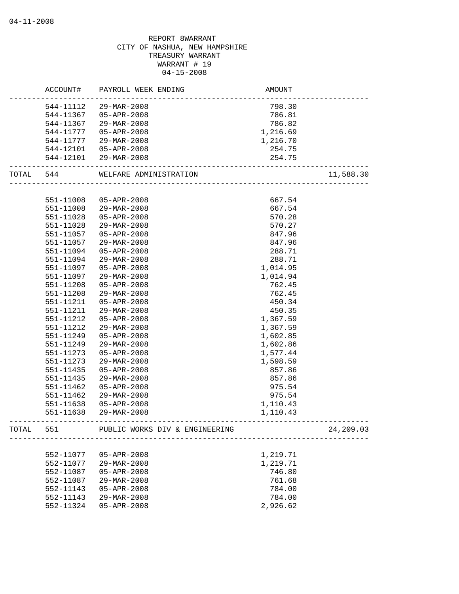# REPORT 8WARRANT CITY OF NASHUA, NEW HAMPSHIRE TREASURY WARRANT WARRANT # 19 04-15-2008 ACCOUNT# PAYROLL WEEK ENDING AND AMOUNT -------------------------------------------------------------------------------- 544-11112 29-MAR-2008 798.30 544-11367 05-APR-2008 786.81 544-11367 29-MAR-2008 786.82 544-11777 05-APR-2008 1,216.69 544-11777 29-MAR-2008 1,216.70 544-12101 05-APR-2008 254.75 544-12101 29-MAR-2008 254.75 -------------------------------------------------------------------------------- WELFARE ADMINISTRATION 11,588.30 -------------------------------------------------------------------------------- 551-11008 05-APR-2008 667.54 551-11008 29-MAR-2008 667.54 551-11028 05-APR-2008 570.28 551-11028 29-MAR-2008 570.27 551-11057 05-APR-2008 847.96 551-11057 29-MAR-2008 847.96 551-11094 05-APR-2008 288.71 551-11094 29-MAR-2008 288.71 551-11097 05-APR-2008 1,014.95 551-11097 29-MAR-2008 1,014.94 551-11208 05-APR-2008 762.45 551-11208 29-MAR-2008 762.45 551-11211 05-APR-2008 450.34 551-11211 29-MAR-2008 450.35 551-11212 05-APR-2008 1,367.59 551-11212 29-MAR-2008 1,367.59 551-11249 05-APR-2008 1,602.85 551-11249 29-MAR-2008 1,602.86 551-11273 05-APR-2008 1,577.44 551-11273 29-MAR-2008 1,598.59 551-11435 05-APR-2008 857.86 551-11435 29-MAR-2008 857.86 551-11462 05-APR-2008 975.54 551-11462 29-MAR-2008 975.54 551-11638 05-APR-2008 1,110.43 551-11638 29-MAR-2008 1,110.43 -------------------------------------------------------------------------------- TOTAL 551 PUBLIC WORKS DIV & ENGINEERING 24,209.03 -------------------------------------------------------------------------------- 552-11077 05-APR-2008 1,219.71 552-11077 29-MAR-2008 1,219.71 552-11087 05-APR-2008 746.80 552-11087 29-MAR-2008 761.68 552-11143 05-APR-2008 784.00 552-11143 29-MAR-2008 784.00 552-11324 05-APR-2008 2,926.62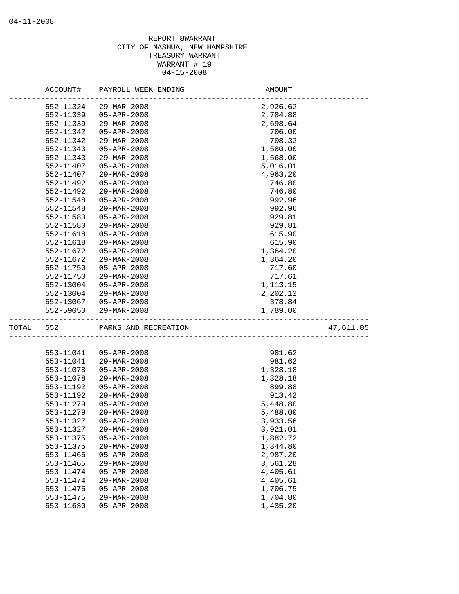|           | ACCOUNT#  | PAYROLL WEEK ENDING   | AMOUNT                                 |           |
|-----------|-----------|-----------------------|----------------------------------------|-----------|
|           | 552-11324 | 29-MAR-2008           | 2,926.62                               |           |
|           | 552-11339 | 05-APR-2008           | 2,784.88                               |           |
|           | 552-11339 | 29-MAR-2008           | 2,698.64                               |           |
|           | 552-11342 | $05 - APR - 2008$     | 706.00                                 |           |
|           | 552-11342 | 29-MAR-2008           | 708.32                                 |           |
|           | 552-11343 | $05 - APR - 2008$     | 1,580.00                               |           |
|           | 552-11343 | 29-MAR-2008           | 1,568.00                               |           |
|           | 552-11407 | $05 - APR - 2008$     | 5,016.01                               |           |
|           | 552-11407 | 29-MAR-2008           | 4,963.20                               |           |
|           | 552-11492 | $05 - APR - 2008$     | 746.80                                 |           |
|           | 552-11492 | 29-MAR-2008           | 746.80                                 |           |
|           | 552-11548 | 05-APR-2008           | 992.96                                 |           |
|           | 552-11548 | 29-MAR-2008           | 992.96                                 |           |
|           | 552-11580 | 05-APR-2008           | 929.81                                 |           |
|           | 552-11580 | 29-MAR-2008           | 929.81                                 |           |
|           | 552-11618 | $05 - APR - 2008$     | 615.90                                 |           |
|           | 552-11618 | 29-MAR-2008           | 615.90                                 |           |
|           | 552-11672 | 05-APR-2008           | 1,364.20                               |           |
|           | 552-11672 | 29-MAR-2008           | 1,364.20                               |           |
|           | 552-11750 | 05-APR-2008           | 717.60                                 |           |
|           | 552-11750 | 29-MAR-2008           | 717.61                                 |           |
|           | 552-13004 | 05-APR-2008           | 1,113.15                               |           |
|           | 552-13004 | 29-MAR-2008           | 2,202.12                               |           |
|           |           | 552-13067 05-APR-2008 | 378.84                                 |           |
|           | 552-59050 | 29-MAR-2008           | 1,789.00                               |           |
| TOTAL 552 |           | PARKS AND RECREATION  | ON<br>________________________________ | 47,611.85 |
|           |           |                       |                                        |           |
|           | 553-11041 | 05-APR-2008           | 981.62                                 |           |
|           | 553-11041 | 29-MAR-2008           | 981.62                                 |           |
|           | 553-11078 | 05-APR-2008           | 1,328.18                               |           |
|           | 553-11078 | 29-MAR-2008           | 1,328.18                               |           |
|           | 553-11192 | 05-APR-2008           | 899.88                                 |           |
|           | 553-11192 | 29-MAR-2008           | 913.42                                 |           |
|           | 553-11279 | 05-APR-2008           | 5,448.80                               |           |
|           | 553-11279 | 29-MAR-2008           | 5,488.00                               |           |
|           | 553-11327 | $05 - APR - 2008$     | 3,933.56                               |           |
|           | 553-11327 | 29-MAR-2008           | 3,921.01                               |           |
|           | 553-11375 | $05 - APR - 2008$     | 1,882.72                               |           |
|           | 553-11375 | 29-MAR-2008           | 1,344.80                               |           |
|           | 553-11465 | 05-APR-2008           | 2,987.20                               |           |
|           | 553-11465 | 29-MAR-2008           | 3,561.28                               |           |
|           | 553-11474 | $05 - APR - 2008$     | 4,405.61                               |           |
|           | 553-11474 | 29-MAR-2008           | 4,405.61                               |           |
|           | 553-11475 | $05 - APR - 2008$     | 1,706.75                               |           |
|           | 553-11475 | 29-MAR-2008           | 1,704.80                               |           |
|           | 553-11630 | 05-APR-2008           | 1,435.20                               |           |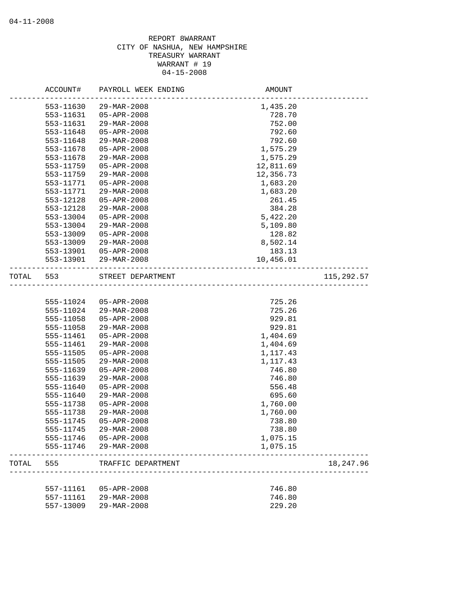|       | ACCOUNT#  | PAYROLL WEEK ENDING      | AMOUNT    |            |
|-------|-----------|--------------------------|-----------|------------|
|       | 553-11630 | 29-MAR-2008              | 1,435.20  |            |
|       | 553-11631 | $05 - APR - 2008$        | 728.70    |            |
|       | 553-11631 | 29-MAR-2008              | 752.00    |            |
|       | 553-11648 | $05 - APR - 2008$        | 792.60    |            |
|       | 553-11648 | 29-MAR-2008              | 792.60    |            |
|       | 553-11678 | $05 - APR - 2008$        | 1,575.29  |            |
|       | 553-11678 | 29-MAR-2008              | 1,575.29  |            |
|       | 553-11759 | 05-APR-2008              | 12,811.69 |            |
|       | 553-11759 | 29-MAR-2008              | 12,356.73 |            |
|       | 553-11771 | 05-APR-2008              | 1,683.20  |            |
|       | 553-11771 | $29 - MAR - 2008$        | 1,683.20  |            |
|       | 553-12128 | $05 - APR - 2008$        | 261.45    |            |
|       | 553-12128 | 29-MAR-2008              | 384.28    |            |
|       | 553-13004 | 05-APR-2008              | 5,422.20  |            |
|       | 553-13004 | 29-MAR-2008              | 5,109.80  |            |
|       | 553-13009 | 05-APR-2008              | 128.82    |            |
|       | 553-13009 | $29 - \text{MAR} - 2008$ | 8,502.14  |            |
|       | 553-13901 | 05-APR-2008              | 183.13    |            |
|       | 553-13901 | 29-MAR-2008              | 10,456.01 |            |
| TOTAL | 553       | STREET DEPARTMENT        |           | 115,292.57 |
|       |           |                          |           |            |
|       |           | 555-11024 05-APR-2008    | 725.26    |            |
|       | 555-11024 | 29-MAR-2008              | 725.26    |            |
|       | 555-11058 | 05-APR-2008              | 929.81    |            |
|       | 555-11058 | 29-MAR-2008              | 929.81    |            |
|       | 555-11461 | $05 - APR - 2008$        | 1,404.69  |            |
|       | 555-11461 | 29-MAR-2008              | 1,404.69  |            |
|       | 555-11505 | $05 - APR - 2008$        | 1,117.43  |            |
|       | 555-11505 | 29-MAR-2008              | 1,117.43  |            |
|       | 555-11639 | $05 - APR - 2008$        | 746.80    |            |
|       | 555-11639 | $29 - \text{MAR} - 2008$ | 746.80    |            |
|       | 555-11640 | $05 - APR - 2008$        | 556.48    |            |
|       | 555-11640 | 29-MAR-2008              | 695.60    |            |
|       | 555-11738 | $05 - APR - 2008$        | 1,760.00  |            |
|       | 555-11738 | $29 - \text{MAR} - 2008$ | 1,760.00  |            |
|       | 555-11745 | $05 - APR - 2008$        | 738.80    |            |
|       | 555-11745 | 29-MAR-2008              | 738.80    |            |
|       | 555-11746 | $05 - APR - 2008$        | 1,075.15  |            |
|       | 555-11746 | 29-MAR-2008              | 1,075.15  |            |
| TOTAL | 555       | TRAFFIC DEPARTMENT       |           | 18, 247.96 |
|       |           |                          |           |            |
|       | 557-11161 | 05-APR-2008              | 746.80    |            |
|       | 557-11161 | 29-MAR-2008              | 746.80    |            |
|       | 557-13009 | 29-MAR-2008              | 229.20    |            |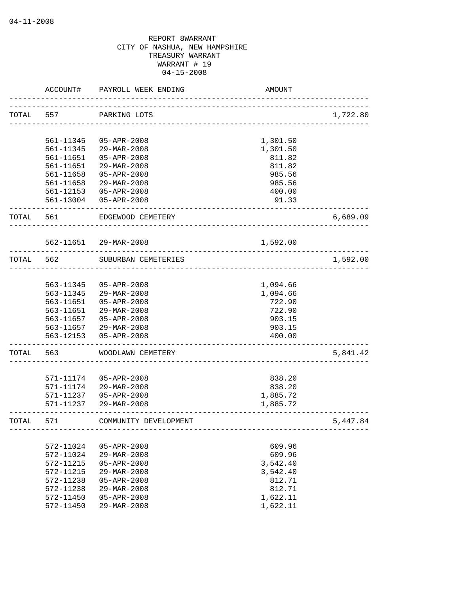|           | ACCOUNT#  | PAYROLL WEEK ENDING   | AMOUNT   |          |
|-----------|-----------|-----------------------|----------|----------|
| TOTAL 557 |           | PARKING LOTS          |          | 1,722.80 |
|           |           |                       |          |          |
|           | 561-11345 | 05-APR-2008           | 1,301.50 |          |
|           | 561-11345 | 29-MAR-2008           | 1,301.50 |          |
|           | 561-11651 | 05-APR-2008           | 811.82   |          |
|           | 561-11651 | $29 - MAR - 2008$     | 811.82   |          |
|           | 561-11658 | 05-APR-2008           | 985.56   |          |
|           | 561-11658 | 29-MAR-2008           | 985.56   |          |
|           | 561-12153 | 05-APR-2008           | 400.00   |          |
|           |           | 561-13004 05-APR-2008 | 91.33    |          |
| TOTAL 561 |           | EDGEWOOD CEMETERY     |          | 6,689.09 |
|           |           | 562-11651 29-MAR-2008 | 1,592.00 |          |
| TOTAL     | 562       | SUBURBAN CEMETERIES   |          | 1,592.00 |
|           |           |                       |          |          |
|           | 563-11345 | $05 - APR - 2008$     | 1,094.66 |          |
|           | 563-11345 | 29-MAR-2008           | 1,094.66 |          |
|           | 563-11651 | $05 - APR - 2008$     | 722.90   |          |
|           | 563-11651 | 29-MAR-2008           | 722.90   |          |
|           | 563-11657 | 05-APR-2008           | 903.15   |          |
|           |           | 563-11657 29-MAR-2008 | 903.15   |          |
|           | 563-12153 | 05-APR-2008           | 400.00   |          |
| TOTAL     | 563       | WOODLAWN CEMETERY     |          | 5,841.42 |
|           |           |                       |          |          |
|           | 571-11174 | $05 - APR - 2008$     | 838.20   |          |
|           | 571-11174 | 29-MAR-2008           | 838.20   |          |
|           | 571-11237 | $05 - APR - 2008$     | 1,885.72 |          |
|           | 571-11237 | 29-MAR-2008           | 1,885.72 |          |
| TOTAL     | 571       | COMMUNITY DEVELOPMENT |          | 5,447.84 |
|           |           |                       |          |          |
|           | 572-11024 | 05-APR-2008           | 609.96   |          |
|           | 572-11024 | 29-MAR-2008           | 609.96   |          |
|           | 572-11215 | $05 - APR - 2008$     | 3,542.40 |          |
|           | 572-11215 | 29-MAR-2008           | 3,542.40 |          |
|           | 572-11238 | 05-APR-2008           | 812.71   |          |
|           | 572-11238 | 29-MAR-2008           | 812.71   |          |
|           | 572-11450 | $05 - APR - 2008$     | 1,622.11 |          |
|           | 572-11450 | 29-MAR-2008           | 1,622.11 |          |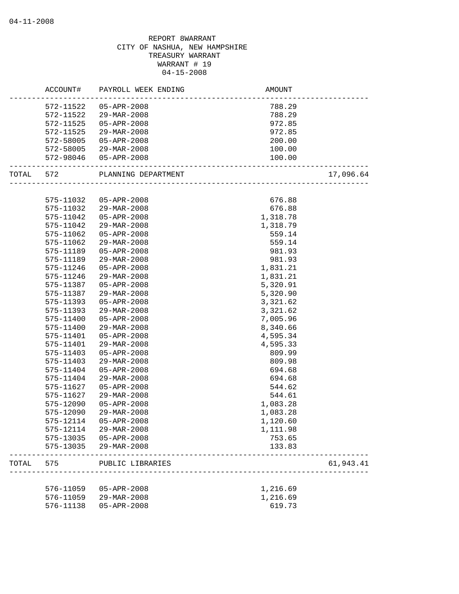# REPORT 8WARRANT CITY OF NASHUA, NEW HAMPSHIRE TREASURY WARRANT WARRANT # 19 04-15-2008 ACCOUNT# PAYROLL WEEK ENDING AND AMOUNT -------------------------------------------------------------------------------- 572-11522 05-APR-2008 788.29 572-11522 29-MAR-2008 788.29 572-11525 05-APR-2008 972.85 572-11525 29-MAR-2008 972.85 572-58005 05-APR-2008 200.00 572-58005 29-MAR-2008 100.00 572-98046 05-APR-2008 100.00 -------------------------------------------------------------------------------- TOTAL 572 PLANNING DEPARTMENT 17,096.64 -------------------------------------------------------------------------------- 575-11032 05-APR-2008 676.88 575-11032 29-MAR-2008 676.88 575-11042 05-APR-2008 1,318.78 575-11042 29-MAR-2008 1,318.79 575-11062 05-APR-2008 559.14 575-11062 29-MAR-2008 559.14 575-11189 05-APR-2008 981.93 575-11189 29-MAR-2008 981.93 575-11246 05-APR-2008 1,831.21 575-11246 29-MAR-2008 1,831.21 575-11387 05-APR-2008 5,320.91 575-11387 29-MAR-2008 5,320.90 575-11393 05-APR-2008 3,321.62 575-11393 29-MAR-2008 3,321.62 575-11400 05-APR-2008 7,005.96 575-11400 29-MAR-2008 8,340.66 575-11401 05-APR-2008 4,595.34 575-11401 29-MAR-2008 4,595.33 575-11403 05-APR-2008 809.99 575-11403 29-MAR-2008 809.98 575-11404 05-APR-2008 694.68 575-11404 29-MAR-2008 694.68 575-11627 05-APR-2008 544.62 575-11627 29-MAR-2008 544.61 575-12090 05-APR-2008 1,083.28 575-12090 29-MAR-2008 1,083.28 575-12114 05-APR-2008 1,120.60 575-12114 29-MAR-2008 1,111.98 575-13035 05-APR-2008 753.65 575-13035 29-MAR-2008 133.83 -------------------------------------------------------------------------------- TOTAL 575 PUBLIC LIBRARIES 61,943.41 -------------------------------------------------------------------------------- 576-11059 05-APR-2008 1,216.69 576-11059 29-MAR-2008 1,216.69 576-11138 05-APR-2008 619.73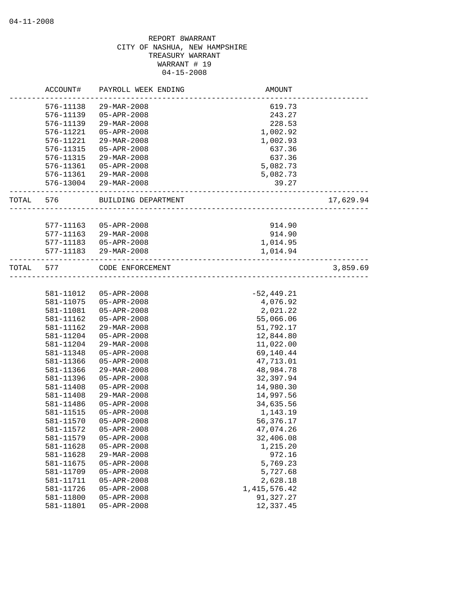|       | ACCOUNT#  | PAYROLL WEEK ENDING      | AMOUNT          |           |
|-------|-----------|--------------------------|-----------------|-----------|
|       | 576-11138 | 29-MAR-2008              | 619.73          |           |
|       | 576-11139 | 05-APR-2008              | 243.27          |           |
|       | 576-11139 | 29-MAR-2008              | 228.53          |           |
|       | 576-11221 | $05 - APR - 2008$        | 1,002.92        |           |
|       | 576-11221 | 29-MAR-2008              | 1,002.93        |           |
|       | 576-11315 | $05 - APR - 2008$        | 637.36          |           |
|       | 576-11315 | 29-MAR-2008              | 637.36          |           |
|       | 576-11361 | $05 - APR - 2008$        | 5,082.73        |           |
|       | 576-11361 | 29-MAR-2008              | 5,082.73        |           |
|       |           | 576-13004 29-MAR-2008    | 39.27           |           |
| TOTAL | 576       | BUILDING DEPARTMENT      |                 | 17,629.94 |
|       |           |                          |                 |           |
|       | 577-11163 | 05-APR-2008              | 914.90          |           |
|       | 577-11163 | 29-MAR-2008              | 914.90          |           |
|       | 577-11183 | 05-APR-2008              | 1,014.95        |           |
|       |           | 577-11183 29-MAR-2008    | 1,014.94        |           |
| TOTAL | 577       | CODE ENFORCEMENT         |                 | 3,859.69  |
|       |           |                          |                 |           |
|       | 581-11012 | 05-APR-2008              | $-52, 449.21$   |           |
|       | 581-11075 | 05-APR-2008              | 4,076.92        |           |
|       | 581-11081 | 05-APR-2008              | 2,021.22        |           |
|       | 581-11162 | 05-APR-2008              | 55,066.06       |           |
|       | 581-11162 | 29-MAR-2008              | 51,792.17       |           |
|       | 581-11204 | $05 - APR - 2008$        | 12,844.80       |           |
|       | 581-11204 | 29-MAR-2008              | 11,022.00       |           |
|       | 581-11348 | $05 - APR - 2008$        | 69,140.44       |           |
|       | 581-11366 | $05 - APR - 2008$        | 47,713.01       |           |
|       | 581-11366 | 29-MAR-2008              | 48,984.78       |           |
|       | 581-11396 | $05 - APR - 2008$        | 32,397.94       |           |
|       | 581-11408 | $05 - APR - 2008$        | 14,980.30       |           |
|       | 581-11408 | $29 - \text{MAR} - 2008$ | 14,997.56       |           |
|       | 581-11486 | $05 - APR - 2008$        | 34,635.56       |           |
|       | 581-11515 | $05 - APR - 2008$        | 1,143.19        |           |
|       | 581-11570 | $05 - APR - 2008$        | 56,376.17       |           |
|       | 581-11572 | $05 - APR - 2008$        | 47,074.26       |           |
|       | 581-11579 | $05 - APR - 2008$        | 32,406.08       |           |
|       | 581-11628 | 05-APR-2008              | 1,215.20        |           |
|       | 581-11628 | 29-MAR-2008              | 972.16          |           |
|       | 581-11675 | 05-APR-2008              | 5,769.23        |           |
|       | 581-11709 | 05-APR-2008              | 5,727.68        |           |
|       | 581-11711 | $05 - APR - 2008$        | 2,628.18        |           |
|       | 581-11726 | 05-APR-2008              | 1, 415, 576. 42 |           |
|       | 581-11800 | 05-APR-2008              | 91,327.27       |           |
|       | 581-11801 | 05-APR-2008              | 12,337.45       |           |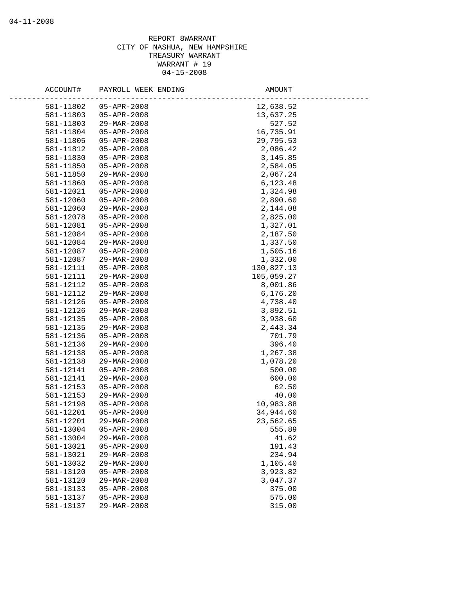| ACCOUNT#               | PAYROLL WEEK ENDING              | AMOUNT                 |
|------------------------|----------------------------------|------------------------|
|                        |                                  |                        |
| 581-11802              | 05-APR-2008                      | 12,638.52              |
| 581-11803              | 05-APR-2008                      | 13,637.25              |
| 581-11803              | 29-MAR-2008                      | 527.52                 |
| 581-11804              | 05-APR-2008                      | 16,735.91              |
| 581-11805              | 05-APR-2008                      | 29,795.53              |
| 581-11812              | 05-APR-2008                      | 2,086.42               |
| 581-11830              | 05-APR-2008                      | 3, 145.85              |
| 581-11850              | 05-APR-2008                      | 2,584.05               |
| 581-11850              | 29-MAR-2008                      | 2,067.24               |
| 581-11860<br>581-12021 | 05-APR-2008                      | 6,123.48               |
|                        | 05-APR-2008                      | 1,324.98               |
| 581-12060              | 05-APR-2008                      | 2,890.60               |
| 581-12060              | 29-MAR-2008                      | 2,144.08               |
| 581-12078              | 05-APR-2008                      | 2,825.00               |
| 581-12081              | 05-APR-2008                      | 1,327.01               |
| 581-12084              | 05-APR-2008                      | 2,187.50<br>1,337.50   |
| 581-12084              | 29-MAR-2008                      | 1,505.16               |
| 581-12087<br>581-12087 | 05-APR-2008                      | 1,332.00               |
|                        | 29-MAR-2008<br>$05 - APR - 2008$ |                        |
| 581-12111              | 29-MAR-2008                      | 130,827.13             |
| 581-12111              |                                  | 105,059.27<br>8,001.86 |
| 581-12112<br>581-12112 | 05-APR-2008<br>29-MAR-2008       | 6,176.20               |
| 581-12126              | 05-APR-2008                      | 4,738.40               |
| 581-12126              | 29-MAR-2008                      |                        |
| 581-12135              | $05 - APR - 2008$                | 3,892.51<br>3,938.60   |
| 581-12135              | 29-MAR-2008                      | 2,443.34               |
| 581-12136              | 05-APR-2008                      | 701.79                 |
| 581-12136              | 29-MAR-2008                      | 396.40                 |
| 581-12138              | 05-APR-2008                      | 1,267.38               |
| 581-12138              | 29-MAR-2008                      | 1,078.20               |
| 581-12141              | $05 - APR - 2008$                | 500.00                 |
| 581-12141              | 29-MAR-2008                      | 600.00                 |
| 581-12153              | 05-APR-2008                      | 62.50                  |
| 581-12153              | 29-MAR-2008                      | 40.00                  |
| 581-12198              | $05 - APR - 2008$                | 10,983.88              |
| 581-12201              | 05-APR-2008                      | 34,944.60              |
| 581-12201              | 29-MAR-2008                      | 23,562.65              |
| 581-13004              | 05-APR-2008                      | 555.89                 |
| 581-13004              | 29-MAR-2008                      | 41.62                  |
| 581-13021              | $05 - APR - 2008$                | 191.43                 |
| 581-13021              | 29-MAR-2008                      | 234.94                 |
| 581-13032              | 29-MAR-2008                      | 1,105.40               |
| 581-13120              | $05 - APR - 2008$                | 3,923.82               |
| 581-13120              | 29-MAR-2008                      | 3,047.37               |
| 581-13133              | $05 - APR - 2008$                | 375.00                 |
| 581-13137              | $05 - APR - 2008$                | 575.00                 |
| 581-13137              | 29-MAR-2008                      | 315.00                 |
|                        |                                  |                        |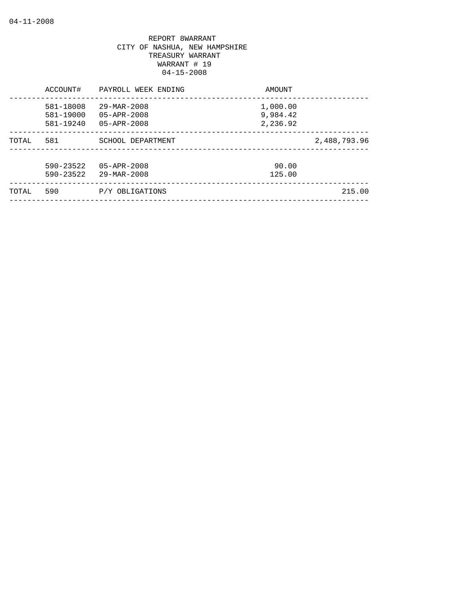| 581-18008<br>$29 - \text{MAR} - 2008$<br>1,000.00<br>9,984.42<br>581-19000<br>$05 - APR - 2008$<br>2,236.92<br>581-19240<br>$05 - APR - 2008$ |              |
|-----------------------------------------------------------------------------------------------------------------------------------------------|--------------|
| 581<br>TOTAL<br>SCHOOL DEPARTMENT                                                                                                             | 2,488,793.96 |
| $590 - 23522$<br>$05 - APR - 2008$<br>90.00<br>$590 - 23522$<br>$29 - \text{MAR} - 2008$<br>125.00                                            |              |
| 590<br>P/Y OBLIGATIONS<br>TOTAL                                                                                                               | 215.00       |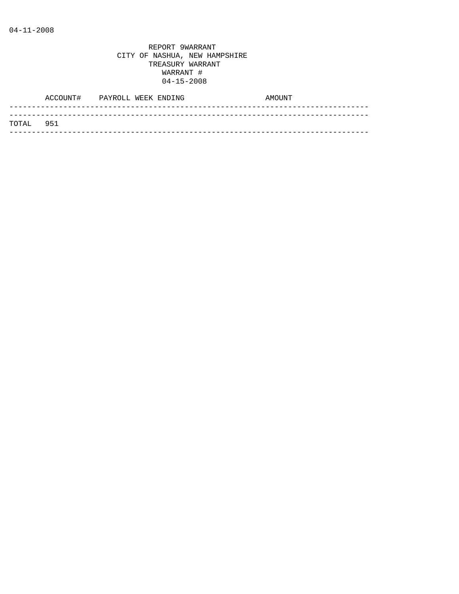|            | ACCOUNT# PAYROLL WEEK ENDING |  | AMOUNT |
|------------|------------------------------|--|--------|
| ТОТАІ. 951 |                              |  |        |
|            |                              |  |        |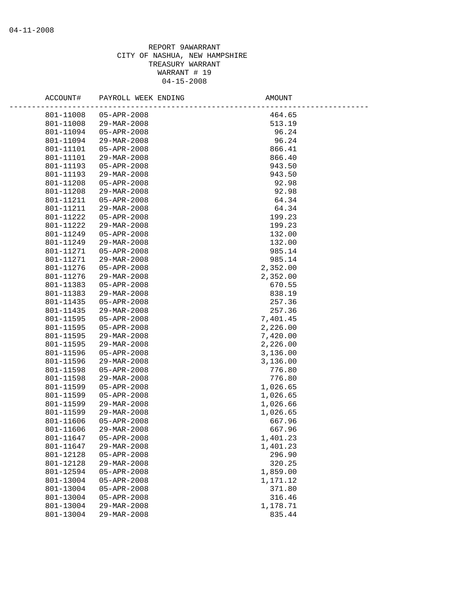| ACCOUNT#  | PAYROLL WEEK ENDING      | AMOUNT   |
|-----------|--------------------------|----------|
| 801-11008 | 05-APR-2008              | 464.65   |
| 801-11008 | 29-MAR-2008              | 513.19   |
| 801-11094 | 05-APR-2008              | 96.24    |
| 801-11094 | 29-MAR-2008              | 96.24    |
| 801-11101 | 05-APR-2008              | 866.41   |
| 801-11101 | 29-MAR-2008              | 866.40   |
| 801-11193 | 05-APR-2008              | 943.50   |
| 801-11193 | 29-MAR-2008              | 943.50   |
| 801-11208 | 05-APR-2008              | 92.98    |
| 801-11208 | 29-MAR-2008              | 92.98    |
| 801-11211 | 05-APR-2008              | 64.34    |
| 801-11211 | 29-MAR-2008              | 64.34    |
| 801-11222 | 05-APR-2008              | 199.23   |
| 801-11222 | 29-MAR-2008              | 199.23   |
| 801-11249 | 05-APR-2008              | 132.00   |
| 801-11249 | $29 - \text{MAR} - 2008$ | 132.00   |
| 801-11271 | $05 - APR - 2008$        | 985.14   |
| 801-11271 | $29 - \text{MAR} - 2008$ | 985.14   |
| 801-11276 | 05-APR-2008              | 2,352.00 |
| 801-11276 | 29-MAR-2008              | 2,352.00 |
| 801-11383 | $05 - APR - 2008$        | 670.55   |
| 801-11383 | 29-MAR-2008              | 838.19   |
| 801-11435 | 05-APR-2008              | 257.36   |
| 801-11435 | $29 - \text{MAR} - 2008$ | 257.36   |
| 801-11595 | 05-APR-2008              | 7,401.45 |
| 801-11595 | 05-APR-2008              | 2,226.00 |
| 801-11595 | 29-MAR-2008              | 7,420.00 |
| 801-11595 | 29-MAR-2008              | 2,226.00 |
| 801-11596 | 05-APR-2008              | 3,136.00 |
| 801-11596 | 29-MAR-2008              | 3,136.00 |
| 801-11598 | 05-APR-2008              | 776.80   |
| 801-11598 | 29-MAR-2008              | 776.80   |
| 801-11599 | 05-APR-2008              | 1,026.65 |
| 801-11599 | 05-APR-2008              | 1,026.65 |
| 801-11599 | 29-MAR-2008              | 1,026.66 |
| 801-11599 | 29-MAR-2008              | 1,026.65 |
| 801-11606 | $05 - APR - 2008$        | 667.96   |
| 801-11606 | 29-MAR-2008              | 667.96   |
| 801-11647 | $05 - APR - 2008$        | 1,401.23 |
| 801-11647 | 29-MAR-2008              | 1,401.23 |
| 801-12128 | 05-APR-2008              | 296.90   |
| 801-12128 | 29-MAR-2008              | 320.25   |
| 801-12594 | $05 - APR - 2008$        | 1,859.00 |
| 801-13004 | 05-APR-2008              | 1,171.12 |
| 801-13004 | $05 - APR - 2008$        | 371.80   |
| 801-13004 | 05-APR-2008              | 316.46   |
| 801-13004 | 29-MAR-2008              | 1,178.71 |
| 801-13004 | 29-MAR-2008              | 835.44   |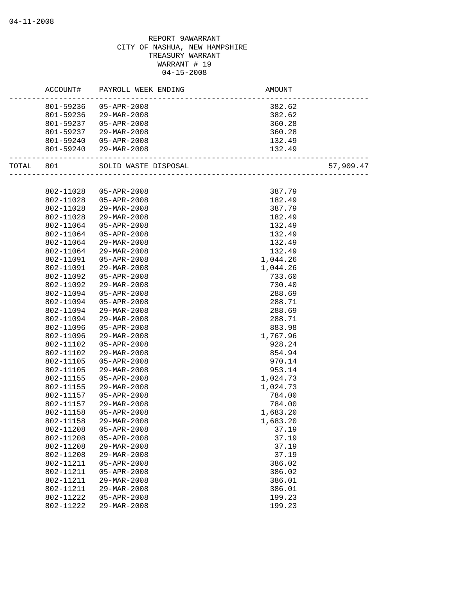|       | ACCOUNT#  | PAYROLL WEEK ENDING      | <b>AMOUNT</b>            |           |
|-------|-----------|--------------------------|--------------------------|-----------|
|       | 801-59236 | 05-APR-2008              | 382.62                   |           |
|       | 801-59236 | 29-MAR-2008              | 382.62                   |           |
|       | 801-59237 | 05-APR-2008              | 360.28                   |           |
|       | 801-59237 | 29-MAR-2008              | 360.28                   |           |
|       | 801-59240 | 05-APR-2008              | 132.49                   |           |
|       | 801-59240 | 29-MAR-2008              | 132.49                   |           |
|       |           |                          |                          |           |
| TOTAL | 801       | SOLID WASTE DISPOSAL     | ________________________ | 57,909.47 |
|       |           |                          |                          |           |
|       | 802-11028 | $05 - APR - 2008$        | 387.79                   |           |
|       | 802-11028 | 05-APR-2008              | 182.49                   |           |
|       | 802-11028 | 29-MAR-2008              | 387.79                   |           |
|       | 802-11028 | 29-MAR-2008              | 182.49                   |           |
|       | 802-11064 | 05-APR-2008              | 132.49                   |           |
|       | 802-11064 | 05-APR-2008              | 132.49                   |           |
|       | 802-11064 | $29 - \text{MAR} - 2008$ | 132.49                   |           |
|       | 802-11064 | 29-MAR-2008              | 132.49                   |           |
|       | 802-11091 | $05 - APR - 2008$        | 1,044.26                 |           |
|       | 802-11091 | 29-MAR-2008              | 1,044.26                 |           |
|       | 802-11092 | $05 - APR - 2008$        | 733.60                   |           |
|       | 802-11092 | 29-MAR-2008              | 730.40                   |           |
|       | 802-11094 | 05-APR-2008              | 288.69                   |           |
|       | 802-11094 | 05-APR-2008              | 288.71                   |           |
|       | 802-11094 | 29-MAR-2008              | 288.69                   |           |
|       | 802-11094 | 29-MAR-2008              | 288.71                   |           |
|       | 802-11096 | 05-APR-2008              | 883.98                   |           |
|       | 802-11096 | 29-MAR-2008              | 1,767.96                 |           |
|       | 802-11102 | 05-APR-2008              | 928.24                   |           |
|       | 802-11102 | 29-MAR-2008              | 854.94                   |           |
|       | 802-11105 | 05-APR-2008              | 970.14                   |           |
|       | 802-11105 | 29-MAR-2008              | 953.14                   |           |
|       | 802-11155 | 05-APR-2008              | 1,024.73                 |           |
|       | 802-11155 | $29 - MAR - 2008$        | 1,024.73                 |           |
|       | 802-11157 | 05-APR-2008              | 784.00                   |           |
|       | 802-11157 | 29-MAR-2008              | 784.00                   |           |
|       | 802-11158 | 05-APR-2008              | 1,683.20                 |           |
|       | 802-11158 | $29 - \text{MAR} - 2008$ | 1,683.20                 |           |
|       | 802-11208 | $05 - APR - 2008$        | 37.19                    |           |
|       | 802-11208 | $05 - APR - 2008$        | 37.19                    |           |
|       | 802-11208 | 29-MAR-2008              | 37.19                    |           |
|       | 802-11208 | 29-MAR-2008              | 37.19                    |           |
|       | 802-11211 | 05-APR-2008              | 386.02                   |           |
|       | 802-11211 | $05 - APR - 2008$        | 386.02                   |           |
|       | 802-11211 | 29-MAR-2008              | 386.01                   |           |
|       | 802-11211 | 29-MAR-2008              | 386.01                   |           |
|       | 802-11222 | 05-APR-2008              | 199.23                   |           |
|       | 802-11222 | 29-MAR-2008              | 199.23                   |           |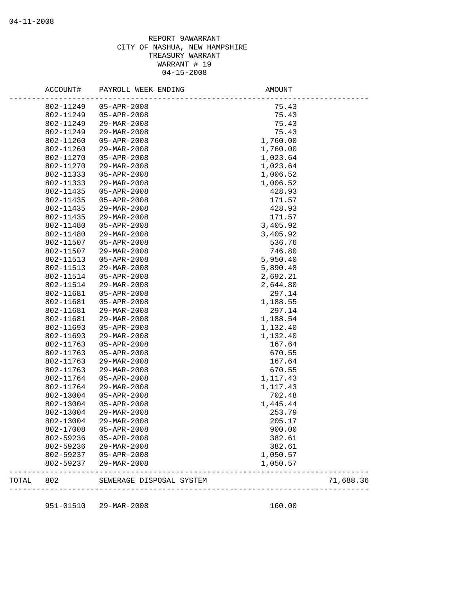## REPORT 9AWARRANT CITY OF NASHUA, NEW HAMPSHIRE TREASURY WARRANT WARRANT # 19 04-15-2008

| TOTAL | 802                    | SEWERAGE DISPOSAL SYSTEM         |                    | 71,688.36 |
|-------|------------------------|----------------------------------|--------------------|-----------|
|       | 802-59237              | 29-MAR-2008                      | 1,050.57           |           |
|       | 802-59237              | 05-APR-2008                      | 1,050.57           |           |
|       | 802-59236              | 29-MAR-2008                      | 382.61             |           |
|       | 802-59236              | $05 - APR - 2008$                | 382.61             |           |
|       | 802-17008              | 05-APR-2008                      | 900.00             |           |
|       | 802-13004              | 29-MAR-2008                      | 205.17             |           |
|       | 802-13004              | 29-MAR-2008                      | 253.79             |           |
|       | 802-13004              | $05 - APR - 2008$                | 1,445.44           |           |
|       | 802-13004              | $05 - APR - 2008$                | 702.48             |           |
|       | 802-11764              | 29-MAR-2008                      | 1,117.43           |           |
|       | 802-11764              | 05-APR-2008                      | 1,117.43           |           |
|       | 802-11763              | 29-MAR-2008                      | 670.55             |           |
|       | 802-11763              | 29-MAR-2008                      | 167.64             |           |
|       | 802-11763              | $05 - APR - 2008$                | 670.55             |           |
|       | 802-11763              | 05-APR-2008                      | 167.64             |           |
|       | 802-11693              | 29-MAR-2008                      | 1,132.40           |           |
|       | 802-11693              | 05-APR-2008                      | 1,132.40           |           |
|       | 802-11681<br>802-11681 | 29-MAR-2008<br>29-MAR-2008       | 297.14<br>1,188.54 |           |
|       |                        | 05-APR-2008                      |                    |           |
|       | 802-11681<br>802-11681 | $05 - APR - 2008$                | 297.14<br>1,188.55 |           |
|       |                        | 29-MAR-2008                      | 2,644.80           |           |
|       | 802-11514              |                                  |                    |           |
|       | 802-11514              | $05 - APR - 2008$                | 2,692.21           |           |
|       | 802-11513              | 29-MAR-2008                      | 5,890.48           |           |
|       | 802-11513              | 29-MAR-2008<br>05-APR-2008       | 746.80<br>5,950.40 |           |
|       | 802-11507              |                                  | 536.76             |           |
|       | 802-11480<br>802-11507 | 29-MAR-2008<br>$05 - APR - 2008$ | 3,405.92           |           |
|       | 802-11480              | 05-APR-2008                      | 3,405.92           |           |
|       | 802-11435              | 29-MAR-2008                      | 171.57             |           |
|       | 802-11435              | 29-MAR-2008                      | 428.93             |           |
|       | 802-11435              | 05-APR-2008                      | 171.57             |           |
|       | 802-11435              | 05-APR-2008                      | 428.93             |           |
|       | 802-11333              | 29-MAR-2008                      | 1,006.52           |           |
|       | 802-11333              | $05 - APR - 2008$                | 1,006.52           |           |
|       | 802-11270              | 29-MAR-2008                      | 1,023.64           |           |
|       | 802-11270              | 05-APR-2008                      | 1,023.64           |           |
|       | 802-11260              | 29-MAR-2008                      | 1,760.00           |           |
|       | 802-11260              | $05 - APR - 2008$                | 1,760.00           |           |
|       | 802-11249              | 29-MAR-2008                      | 75.43              |           |
|       | 802-11249              | 29-MAR-2008                      | 75.43              |           |
|       | 802-11249              | $05 - APR - 2008$                | 75.43              |           |
|       | 802-11249              | 05-APR-2008                      | 75.43              |           |
|       | ACCOUNT#               | PAYROLL WEEK ENDING              | AMOUNT             |           |
|       |                        |                                  |                    |           |

951-01510 29-MAR-2008 160.00